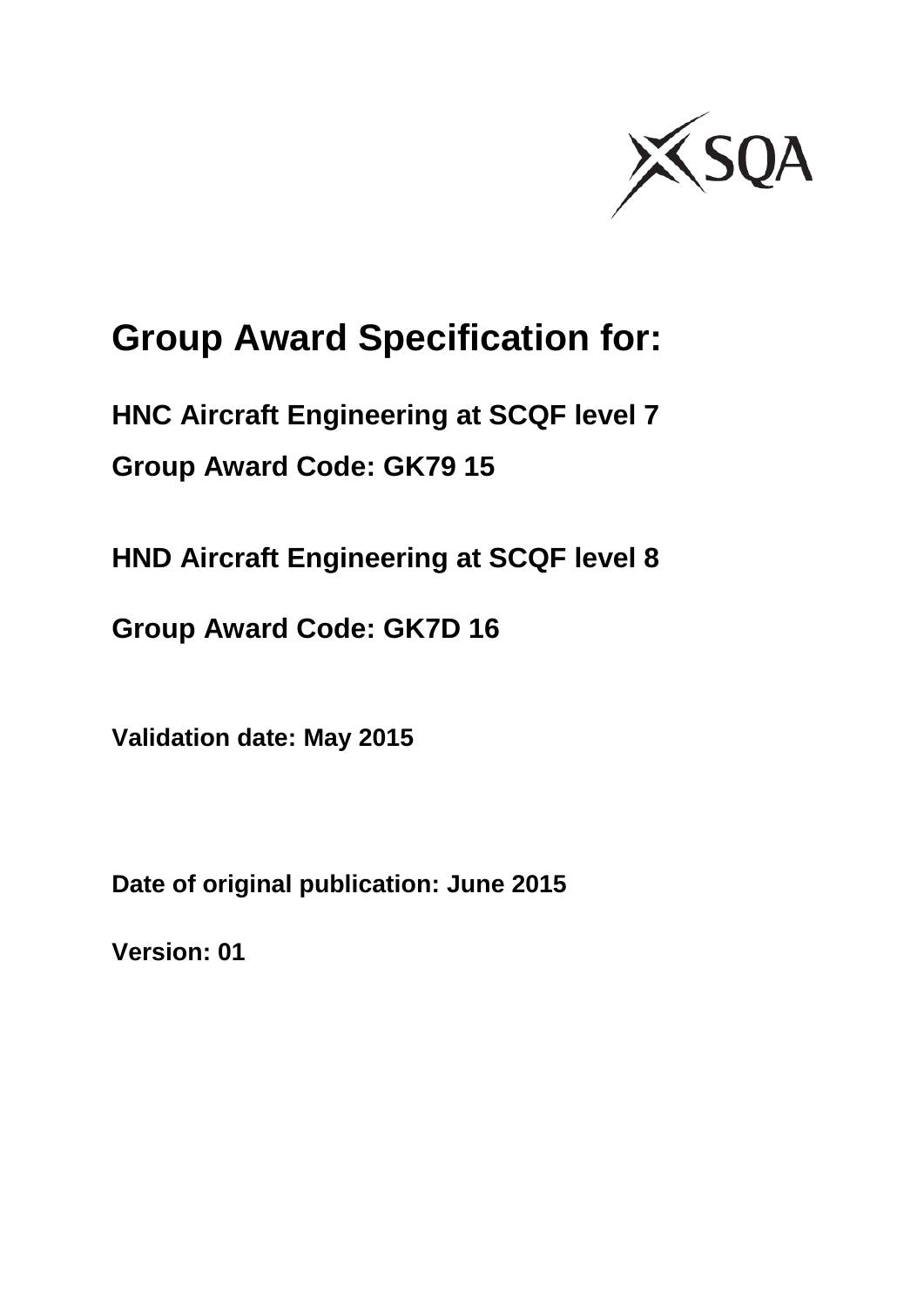

# **Group Award Specification for:**

**HNC Aircraft Engineering at SCQF level 7 Group Award Code: GK79 15**

**HND Aircraft Engineering at SCQF level 8**

**Group Award Code: GK7D 16**

**Validation date: May 2015**

**Date of original publication: June 2015**

**Version: 01**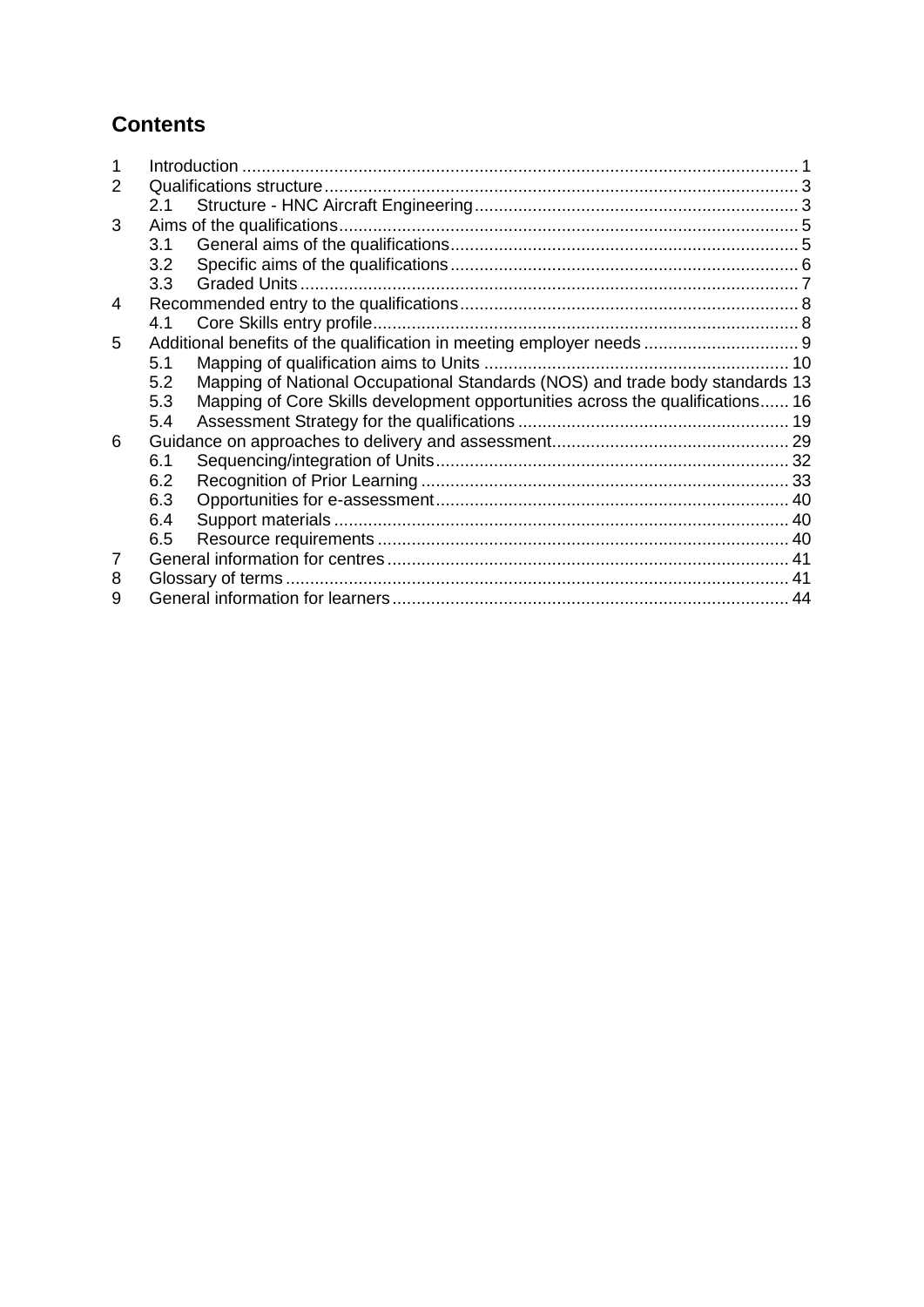## **Contents**

| 2 |     |                                                                               |  |
|---|-----|-------------------------------------------------------------------------------|--|
|   | 2.1 |                                                                               |  |
| 3 |     |                                                                               |  |
|   | 3.1 |                                                                               |  |
|   | 3.2 |                                                                               |  |
|   | 3.3 | <b>Graded Units.</b>                                                          |  |
| 4 |     |                                                                               |  |
|   | 4.1 |                                                                               |  |
| 5 |     | Additional benefits of the qualification in meeting employer needs  9         |  |
|   | 5.1 |                                                                               |  |
|   | 5.2 | Mapping of National Occupational Standards (NOS) and trade body standards 13  |  |
|   | 5.3 | Mapping of Core Skills development opportunities across the qualifications 16 |  |
|   | 5.4 |                                                                               |  |
| 6 |     |                                                                               |  |
|   | 6.1 |                                                                               |  |
|   | 6.2 |                                                                               |  |
|   | 6.3 |                                                                               |  |
|   | 6.4 |                                                                               |  |
|   | 6.5 |                                                                               |  |
| 7 |     |                                                                               |  |
| 8 |     |                                                                               |  |
| 9 |     |                                                                               |  |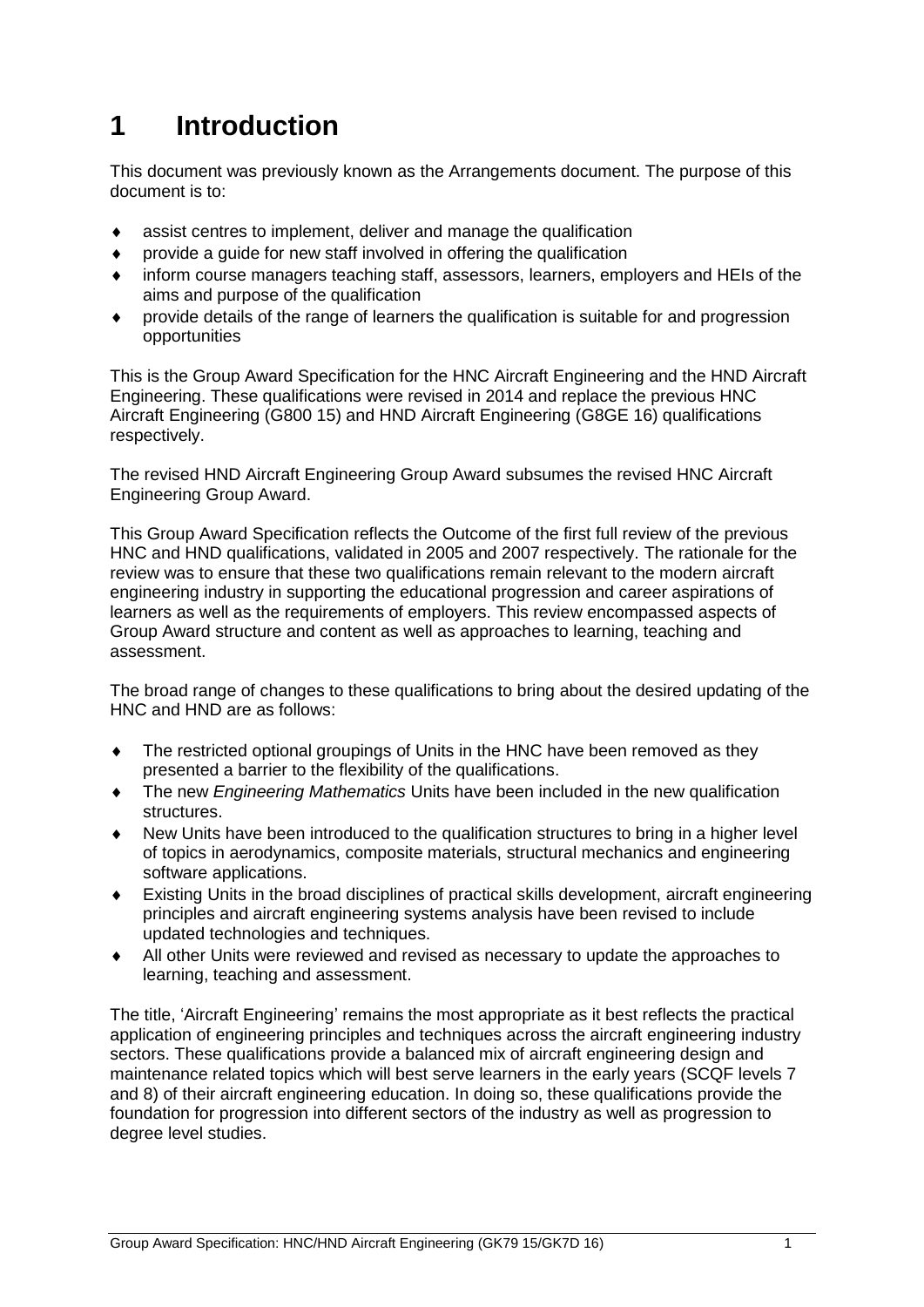# <span id="page-2-0"></span>**1 Introduction**

This document was previously known as the Arrangements document. The purpose of this document is to:

- assist centres to implement, deliver and manage the qualification
- provide a guide for new staff involved in offering the qualification
- inform course managers teaching staff, assessors, learners, employers and HEIs of the aims and purpose of the qualification
- provide details of the range of learners the qualification is suitable for and progression opportunities

This is the Group Award Specification for the HNC Aircraft Engineering and the HND Aircraft Engineering. These qualifications were revised in 2014 and replace the previous HNC Aircraft Engineering (G800 15) and HND Aircraft Engineering (G8GE 16) qualifications respectively.

The revised HND Aircraft Engineering Group Award subsumes the revised HNC Aircraft Engineering Group Award.

This Group Award Specification reflects the Outcome of the first full review of the previous HNC and HND qualifications, validated in 2005 and 2007 respectively. The rationale for the review was to ensure that these two qualifications remain relevant to the modern aircraft engineering industry in supporting the educational progression and career aspirations of learners as well as the requirements of employers. This review encompassed aspects of Group Award structure and content as well as approaches to learning, teaching and assessment.

The broad range of changes to these qualifications to bring about the desired updating of the HNC and HND are as follows:

- The restricted optional groupings of Units in the HNC have been removed as they presented a barrier to the flexibility of the qualifications.
- The new *Engineering Mathematics* Units have been included in the new qualification structures.
- New Units have been introduced to the qualification structures to bring in a higher level of topics in aerodynamics, composite materials, structural mechanics and engineering software applications.
- Existing Units in the broad disciplines of practical skills development, aircraft engineering principles and aircraft engineering systems analysis have been revised to include updated technologies and techniques.
- All other Units were reviewed and revised as necessary to update the approaches to learning, teaching and assessment.

The title, 'Aircraft Engineering' remains the most appropriate as it best reflects the practical application of engineering principles and techniques across the aircraft engineering industry sectors. These qualifications provide a balanced mix of aircraft engineering design and maintenance related topics which will best serve learners in the early years (SCQF levels 7 and 8) of their aircraft engineering education. In doing so, these qualifications provide the foundation for progression into different sectors of the industry as well as progression to degree level studies.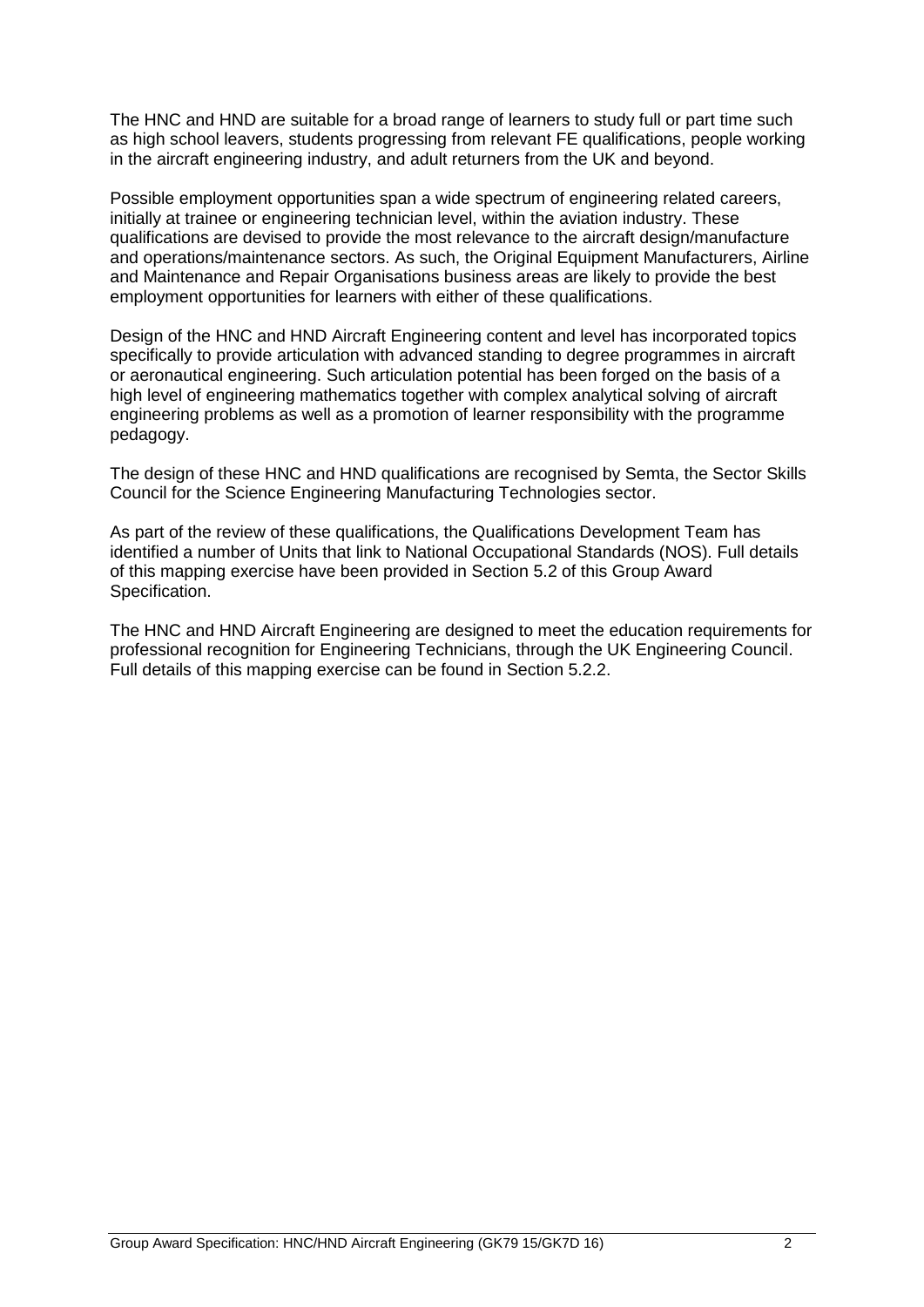The HNC and HND are suitable for a broad range of learners to study full or part time such as high school leavers, students progressing from relevant FE qualifications, people working in the aircraft engineering industry, and adult returners from the UK and beyond.

Possible employment opportunities span a wide spectrum of engineering related careers, initially at trainee or engineering technician level, within the aviation industry. These qualifications are devised to provide the most relevance to the aircraft design/manufacture and operations/maintenance sectors. As such, the Original Equipment Manufacturers, Airline and Maintenance and Repair Organisations business areas are likely to provide the best employment opportunities for learners with either of these qualifications.

Design of the HNC and HND Aircraft Engineering content and level has incorporated topics specifically to provide articulation with advanced standing to degree programmes in aircraft or aeronautical engineering. Such articulation potential has been forged on the basis of a high level of engineering mathematics together with complex analytical solving of aircraft engineering problems as well as a promotion of learner responsibility with the programme pedagogy.

The design of these HNC and HND qualifications are recognised by Semta, the Sector Skills Council for the Science Engineering Manufacturing Technologies sector.

As part of the review of these qualifications, the Qualifications Development Team has identified a number of Units that link to National Occupational Standards (NOS). Full details of this mapping exercise have been provided in Section 5.2 of this Group Award Specification.

The HNC and HND Aircraft Engineering are designed to meet the education requirements for professional recognition for Engineering Technicians, through the UK Engineering Council. Full details of this mapping exercise can be found in Section 5.2.2.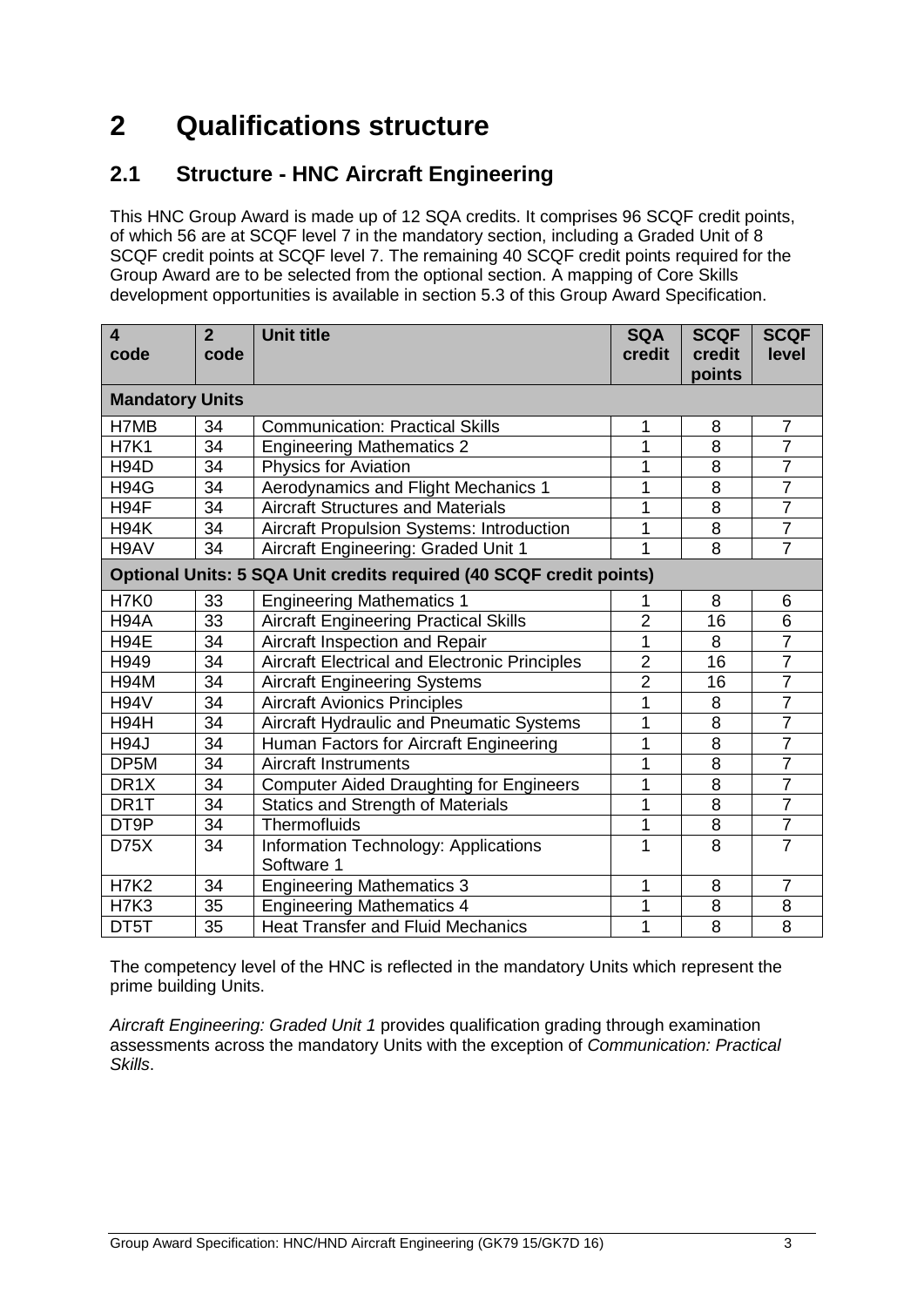# <span id="page-4-0"></span>**2 Qualifications structure**

## <span id="page-4-1"></span>**2.1 Structure - HNC Aircraft Engineering**

This HNC Group Award is made up of 12 SQA credits. It comprises 96 SCQF credit points, of which 56 are at SCQF level 7 in the mandatory section, including a Graded Unit of 8 SCQF credit points at SCQF level 7. The remaining 40 SCQF credit points required for the Group Award are to be selected from the optional section. A mapping of Core Skills development opportunities is available in section 5.3 of this Group Award Specification.

| $\overline{\mathbf{4}}$<br>code | $\overline{2}$<br>code | <b>Unit title</b>                                                   | <b>SQA</b><br>credit | <b>SCQF</b><br>credit | <b>SCQF</b><br>level |
|---------------------------------|------------------------|---------------------------------------------------------------------|----------------------|-----------------------|----------------------|
| <b>Mandatory Units</b>          |                        |                                                                     |                      | points                |                      |
| H7MB                            | 34                     | <b>Communication: Practical Skills</b>                              | 1                    | 8                     | $\overline{7}$       |
| <b>H7K1</b>                     | 34                     | <b>Engineering Mathematics 2</b>                                    | 1                    | 8                     | $\overline{7}$       |
| <b>H94D</b>                     | 34                     | <b>Physics for Aviation</b>                                         | 1                    | 8                     | $\overline{7}$       |
| <b>H94G</b>                     | 34                     | Aerodynamics and Flight Mechanics 1                                 | 1                    | 8                     | $\overline{7}$       |
| H94F                            | 34                     | <b>Aircraft Structures and Materials</b>                            | 1                    | 8                     | $\overline{7}$       |
| <b>H94K</b>                     | 34                     | Aircraft Propulsion Systems: Introduction                           | $\mathbf{1}$         | 8                     | $\overline{7}$       |
| H9AV                            | 34                     | Aircraft Engineering: Graded Unit 1                                 | $\overline{1}$       | 8                     | $\overline{7}$       |
|                                 |                        | Optional Units: 5 SQA Unit credits required (40 SCQF credit points) |                      |                       |                      |
| <b>H7K0</b>                     | 33                     | <b>Engineering Mathematics 1</b>                                    | 1                    | 8                     | 6                    |
| <b>H94A</b>                     | 33                     | <b>Aircraft Engineering Practical Skills</b>                        | $\overline{2}$       | 16                    | 6                    |
| <b>H94E</b>                     | 34                     | Aircraft Inspection and Repair                                      | 1                    | 8                     | $\overline{7}$       |
| H949                            | 34                     | <b>Aircraft Electrical and Electronic Principles</b>                | $\overline{2}$       | 16                    | $\overline{7}$       |
| <b>H94M</b>                     | 34                     | <b>Aircraft Engineering Systems</b>                                 | $\overline{2}$       | 16                    | $\overline{7}$       |
| <b>H94V</b>                     | 34                     | <b>Aircraft Avionics Principles</b>                                 | 1                    | 8                     | $\overline{7}$       |
| <b>H94H</b>                     | 34                     | Aircraft Hydraulic and Pneumatic Systems                            | 1                    | 8                     | $\overline{7}$       |
| <b>H94J</b>                     | 34                     | Human Factors for Aircraft Engineering                              | 1                    | 8                     | $\overline{7}$       |
| DP5M                            | 34                     | <b>Aircraft Instruments</b>                                         | 1                    | 8                     | $\overline{7}$       |
| DR <sub>1</sub> X               | 34                     | <b>Computer Aided Draughting for Engineers</b>                      | 1                    | 8                     | $\overline{7}$       |
| DR1T                            | 34                     | <b>Statics and Strength of Materials</b>                            | 1                    | 8                     | $\overline{7}$       |
| DT9P                            | 34                     | <b>Thermofluids</b>                                                 | 1                    | 8                     | $\overline{7}$       |
| <b>D75X</b>                     | 34                     | Information Technology: Applications                                | 1                    | 8                     | $\overline{7}$       |
|                                 |                        | Software 1                                                          |                      |                       |                      |
| <b>H7K2</b>                     | 34                     | <b>Engineering Mathematics 3</b>                                    | 1                    | 8                     | $\overline{7}$       |
| <b>H7K3</b>                     | 35                     | <b>Engineering Mathematics 4</b>                                    | 1                    | 8                     | 8                    |
| DT5T                            | 35                     | <b>Heat Transfer and Fluid Mechanics</b>                            | 1                    | 8                     | 8                    |

The competency level of the HNC is reflected in the mandatory Units which represent the prime building Units.

*Aircraft Engineering: Graded Unit 1* provides qualification grading through examination assessments across the mandatory Units with the exception of *Communication: Practical Skills*.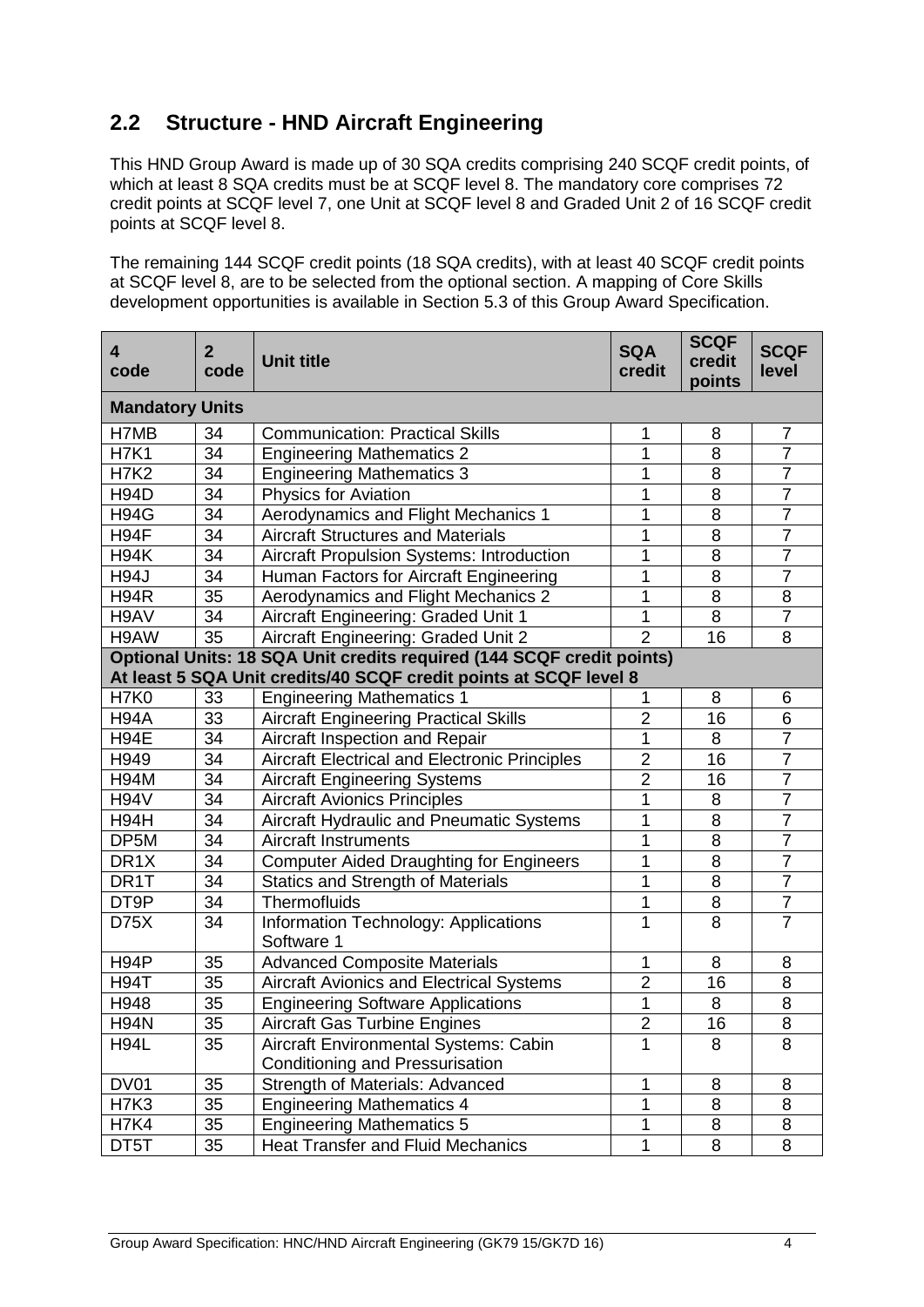### **2.2 Structure - HND Aircraft Engineering**

This HND Group Award is made up of 30 SQA credits comprising 240 SCQF credit points, of which at least 8 SQA credits must be at SCQF level 8. The mandatory core comprises 72 credit points at SCQF level 7, one Unit at SCQF level 8 and Graded Unit 2 of 16 SCQF credit points at SCQF level 8.

The remaining 144 SCQF credit points (18 SQA credits), with at least 40 SCQF credit points at SCQF level 8, are to be selected from the optional section. A mapping of Core Skills development opportunities is available in Section 5.3 of this Group Award Specification.

| 4<br>code              | $\mathbf{2}$<br>code | <b>Unit title</b>                                                                                                                          | <b>SQA</b><br>credit | <b>SCQF</b><br>credit<br>points | <b>SCQF</b><br>level |
|------------------------|----------------------|--------------------------------------------------------------------------------------------------------------------------------------------|----------------------|---------------------------------|----------------------|
| <b>Mandatory Units</b> |                      |                                                                                                                                            |                      |                                 |                      |
| H7MB                   | 34                   | <b>Communication: Practical Skills</b>                                                                                                     | 1                    | 8                               | 7                    |
| <b>H7K1</b>            | 34                   | <b>Engineering Mathematics 2</b>                                                                                                           | 1                    | 8                               | $\overline{7}$       |
| <b>H7K2</b>            | 34                   | <b>Engineering Mathematics 3</b>                                                                                                           | 1                    | 8                               | $\overline{7}$       |
| <b>H94D</b>            | 34                   | <b>Physics for Aviation</b>                                                                                                                | 1                    | 8                               | $\overline{7}$       |
| <b>H94G</b>            | $\overline{34}$      | Aerodynamics and Flight Mechanics 1                                                                                                        | 1                    | 8                               | $\overline{7}$       |
| H94F                   | 34                   | <b>Aircraft Structures and Materials</b>                                                                                                   | 1                    | 8                               | $\overline{7}$       |
| <b>H94K</b>            | 34                   | Aircraft Propulsion Systems: Introduction                                                                                                  | $\overline{1}$       | 8                               | $\overline{7}$       |
| <b>H94J</b>            | 34                   | Human Factors for Aircraft Engineering                                                                                                     | 1                    | 8                               | $\overline{7}$       |
| <b>H94R</b>            | 35                   | Aerodynamics and Flight Mechanics 2                                                                                                        | 1                    | 8                               | 8                    |
| H9AV                   | $\overline{34}$      | Aircraft Engineering: Graded Unit 1                                                                                                        | $\overline{1}$       | 8                               | $\overline{7}$       |
| H9AW                   | 35                   | Aircraft Engineering: Graded Unit 2                                                                                                        | $\overline{2}$       | 16                              | 8                    |
|                        |                      | Optional Units: 18 SQA Unit credits required (144 SCQF credit points)<br>At least 5 SQA Unit credits/40 SCQF credit points at SCQF level 8 |                      |                                 |                      |
| <b>H7K0</b>            | 33                   | <b>Engineering Mathematics 1</b>                                                                                                           | 1                    | 8                               | 6                    |
| <b>H94A</b>            | 33                   | <b>Aircraft Engineering Practical Skills</b>                                                                                               | $\overline{2}$       | 16                              | 6                    |
| <b>H94E</b>            | 34                   | Aircraft Inspection and Repair                                                                                                             | 1                    | 8                               | $\overline{7}$       |
| H949                   | 34                   | <b>Aircraft Electrical and Electronic Principles</b>                                                                                       | $\overline{2}$       | 16                              | $\overline{7}$       |
| <b>H94M</b>            | 34                   | <b>Aircraft Engineering Systems</b>                                                                                                        | $\overline{2}$       | 16                              | $\overline{7}$       |
| <b>H94V</b>            | 34                   | <b>Aircraft Avionics Principles</b>                                                                                                        | 1                    | 8                               | $\overline{7}$       |
| <b>H94H</b>            | 34                   | Aircraft Hydraulic and Pneumatic Systems                                                                                                   | 1                    | 8                               | $\overline{7}$       |
| DP5M                   | 34                   | <b>Aircraft Instruments</b>                                                                                                                | 1                    | 8                               | $\overline{7}$       |
| DR <sub>1</sub> X      | 34                   | <b>Computer Aided Draughting for Engineers</b>                                                                                             | 1                    | 8                               | $\overline{7}$       |
| DR1T                   | 34                   | <b>Statics and Strength of Materials</b>                                                                                                   | 1                    | 8                               | $\overline{7}$       |
| DT <sub>9</sub> P      | 34                   | <b>Thermofluids</b>                                                                                                                        | 1                    | 8                               | $\overline{7}$       |
| <b>D75X</b>            | 34                   | Information Technology: Applications<br>Software 1                                                                                         | $\mathbf 1$          | 8                               | $\overline{7}$       |
| H <sub>94</sub> P      | 35                   | <b>Advanced Composite Materials</b>                                                                                                        | 1                    | 8                               | 8                    |
| <b>H94T</b>            | $\overline{35}$      | Aircraft Avionics and Electrical Systems                                                                                                   | $\overline{2}$       | 16                              | 8                    |
| H948                   | $\overline{35}$      | <b>Engineering Software Applications</b>                                                                                                   | 1                    | 8                               | $\overline{8}$       |
| <b>H94N</b>            | 35                   | <b>Aircraft Gas Turbine Engines</b>                                                                                                        | $\overline{c}$       | 16                              | 8                    |
| <b>H94L</b>            | 35                   | Aircraft Environmental Systems: Cabin                                                                                                      | 1                    | 8                               | 8                    |
|                        |                      | <b>Conditioning and Pressurisation</b>                                                                                                     |                      |                                 |                      |
| DV01                   | 35                   | Strength of Materials: Advanced                                                                                                            | 1                    | 8                               | 8                    |
| <b>H7K3</b>            | 35                   | <b>Engineering Mathematics 4</b>                                                                                                           | 1                    | 8                               | 8                    |
| <b>H7K4</b>            | 35                   | <b>Engineering Mathematics 5</b>                                                                                                           | 1                    | 8                               | 8                    |
| DT5T                   | 35                   | <b>Heat Transfer and Fluid Mechanics</b>                                                                                                   | $\mathbf 1$          | 8                               | $\overline{8}$       |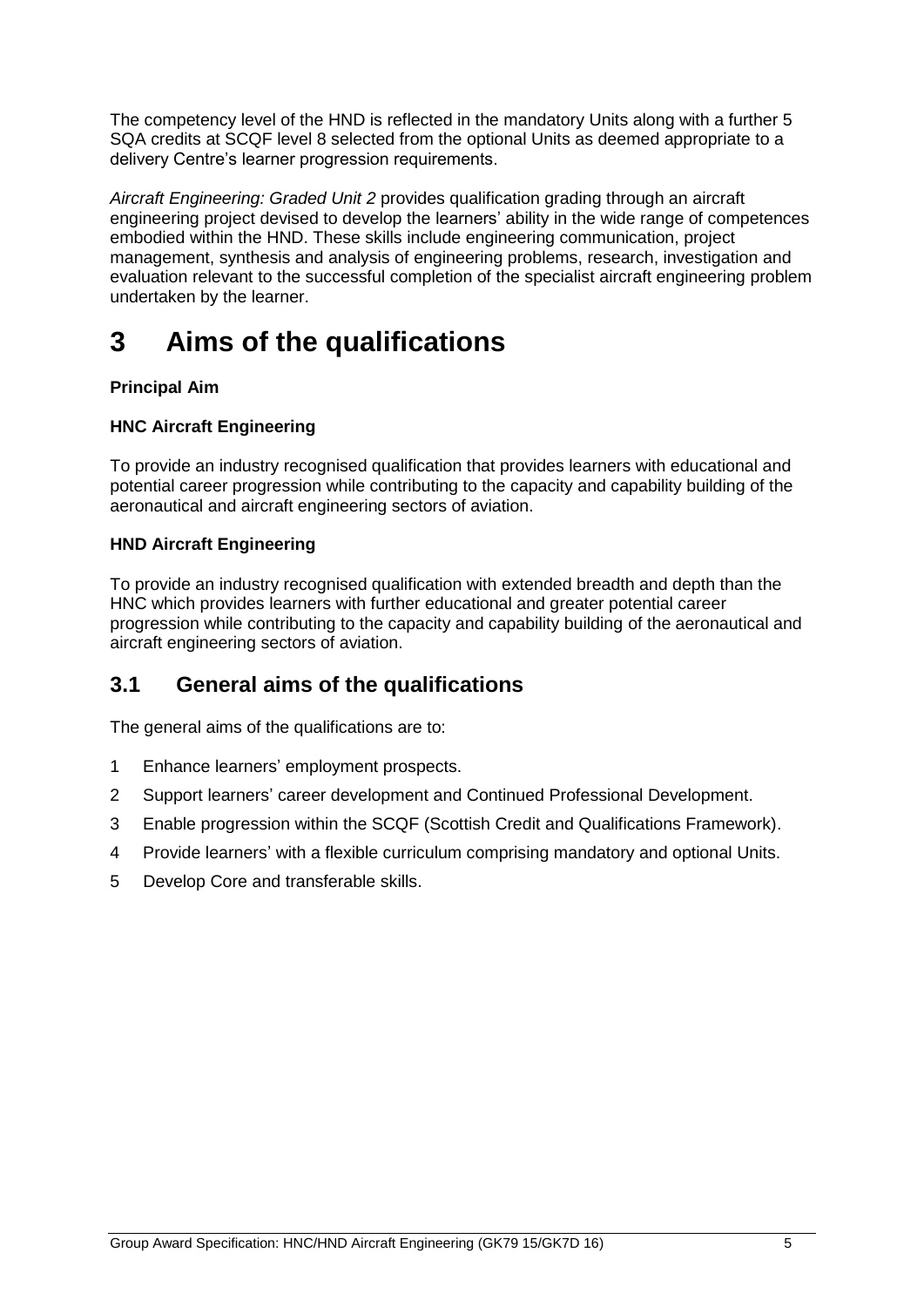The competency level of the HND is reflected in the mandatory Units along with a further 5 SQA credits at SCQF level 8 selected from the optional Units as deemed appropriate to a delivery Centre's learner progression requirements.

*Aircraft Engineering: Graded Unit 2* provides qualification grading through an aircraft engineering project devised to develop the learners' ability in the wide range of competences embodied within the HND. These skills include engineering communication, project management, synthesis and analysis of engineering problems, research, investigation and evaluation relevant to the successful completion of the specialist aircraft engineering problem undertaken by the learner.

# <span id="page-6-0"></span>**3 Aims of the qualifications**

#### **Principal Aim**

#### **HNC Aircraft Engineering**

To provide an industry recognised qualification that provides learners with educational and potential career progression while contributing to the capacity and capability building of the aeronautical and aircraft engineering sectors of aviation.

#### **HND Aircraft Engineering**

To provide an industry recognised qualification with extended breadth and depth than the HNC which provides learners with further educational and greater potential career progression while contributing to the capacity and capability building of the aeronautical and aircraft engineering sectors of aviation.

### <span id="page-6-1"></span>**3.1 General aims of the qualifications**

The general aims of the qualifications are to:

- 1 Enhance learners' employment prospects.
- 2 Support learners' career development and Continued Professional Development.
- 3 Enable progression within the SCQF (Scottish Credit and Qualifications Framework).
- 4 Provide learners' with a flexible curriculum comprising mandatory and optional Units.
- 5 Develop Core and transferable skills.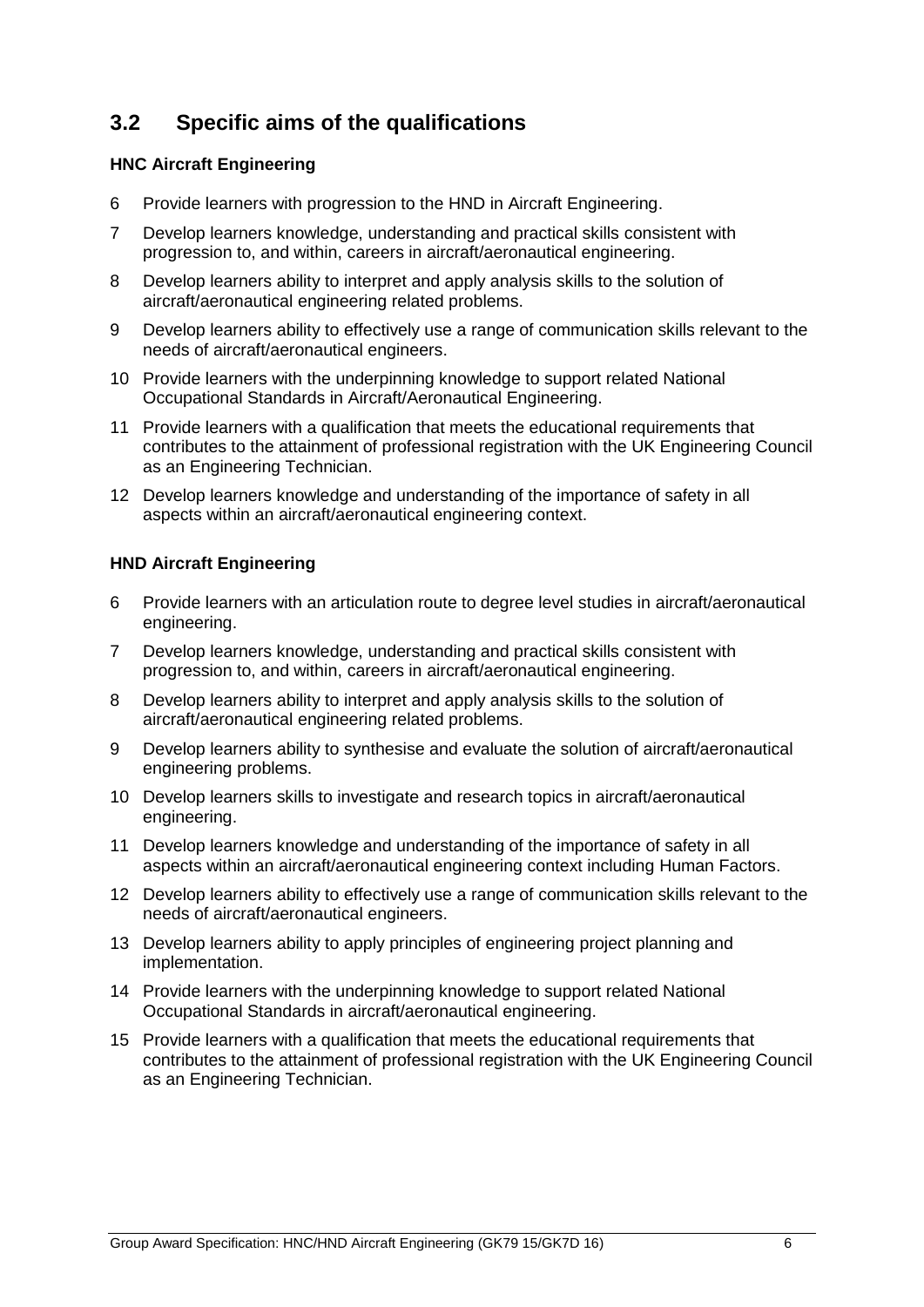### <span id="page-7-0"></span>**3.2 Specific aims of the qualifications**

#### **HNC Aircraft Engineering**

- 6 Provide learners with progression to the HND in Aircraft Engineering.
- 7 Develop learners knowledge, understanding and practical skills consistent with progression to, and within, careers in aircraft/aeronautical engineering.
- 8 Develop learners ability to interpret and apply analysis skills to the solution of aircraft/aeronautical engineering related problems.
- 9 Develop learners ability to effectively use a range of communication skills relevant to the needs of aircraft/aeronautical engineers.
- 10 Provide learners with the underpinning knowledge to support related National Occupational Standards in Aircraft/Aeronautical Engineering.
- 11 Provide learners with a qualification that meets the educational requirements that contributes to the attainment of professional registration with the UK Engineering Council as an Engineering Technician.
- 12 Develop learners knowledge and understanding of the importance of safety in all aspects within an aircraft/aeronautical engineering context.

#### **HND Aircraft Engineering**

- 6 Provide learners with an articulation route to degree level studies in aircraft/aeronautical engineering.
- 7 Develop learners knowledge, understanding and practical skills consistent with progression to, and within, careers in aircraft/aeronautical engineering.
- 8 Develop learners ability to interpret and apply analysis skills to the solution of aircraft/aeronautical engineering related problems.
- 9 Develop learners ability to synthesise and evaluate the solution of aircraft/aeronautical engineering problems.
- 10 Develop learners skills to investigate and research topics in aircraft/aeronautical engineering.
- 11 Develop learners knowledge and understanding of the importance of safety in all aspects within an aircraft/aeronautical engineering context including Human Factors.
- 12 Develop learners ability to effectively use a range of communication skills relevant to the needs of aircraft/aeronautical engineers.
- 13 Develop learners ability to apply principles of engineering project planning and implementation.
- 14 Provide learners with the underpinning knowledge to support related National Occupational Standards in aircraft/aeronautical engineering.
- 15 Provide learners with a qualification that meets the educational requirements that contributes to the attainment of professional registration with the UK Engineering Council as an Engineering Technician.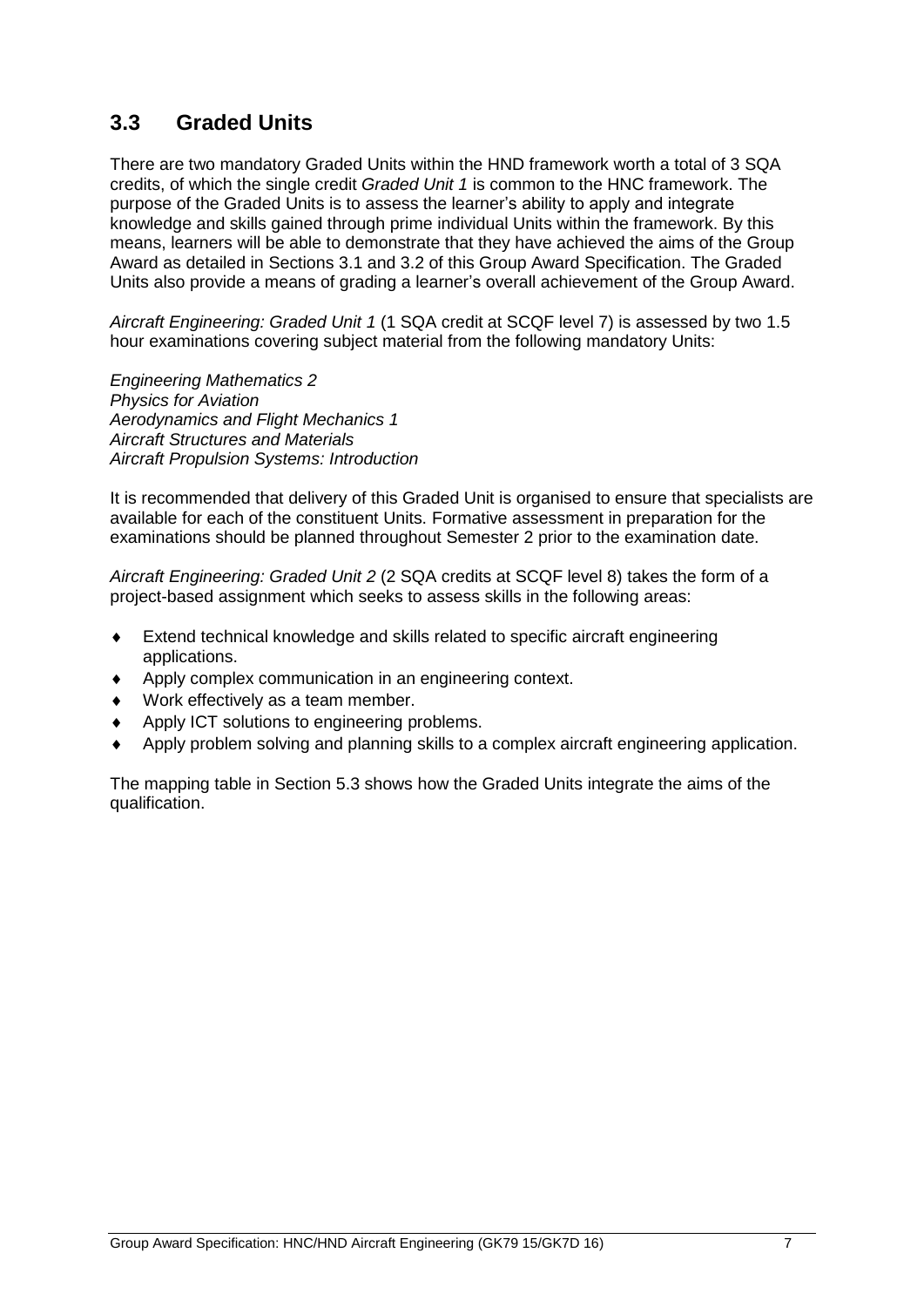### <span id="page-8-0"></span>**3.3 Graded Units**

There are two mandatory Graded Units within the HND framework worth a total of 3 SQA credits, of which the single credit *Graded Unit 1* is common to the HNC framework. The purpose of the Graded Units is to assess the learner's ability to apply and integrate knowledge and skills gained through prime individual Units within the framework. By this means, learners will be able to demonstrate that they have achieved the aims of the Group Award as detailed in Sections 3.1 and 3.2 of this Group Award Specification. The Graded Units also provide a means of grading a learner's overall achievement of the Group Award.

*Aircraft Engineering: Graded Unit 1* (1 SQA credit at SCQF level 7) is assessed by two 1.5 hour examinations covering subject material from the following mandatory Units:

*Engineering Mathematics 2 Physics for Aviation Aerodynamics and Flight Mechanics 1 Aircraft Structures and Materials Aircraft Propulsion Systems: Introduction*

It is recommended that delivery of this Graded Unit is organised to ensure that specialists are available for each of the constituent Units. Formative assessment in preparation for the examinations should be planned throughout Semester 2 prior to the examination date.

*Aircraft Engineering: Graded Unit 2* (2 SQA credits at SCQF level 8) takes the form of a project-based assignment which seeks to assess skills in the following areas:

- Extend technical knowledge and skills related to specific aircraft engineering applications.
- Apply complex communication in an engineering context.
- Work effectively as a team member.
- Apply ICT solutions to engineering problems.
- Apply problem solving and planning skills to a complex aircraft engineering application.

The mapping table in Section 5.3 shows how the Graded Units integrate the aims of the qualification.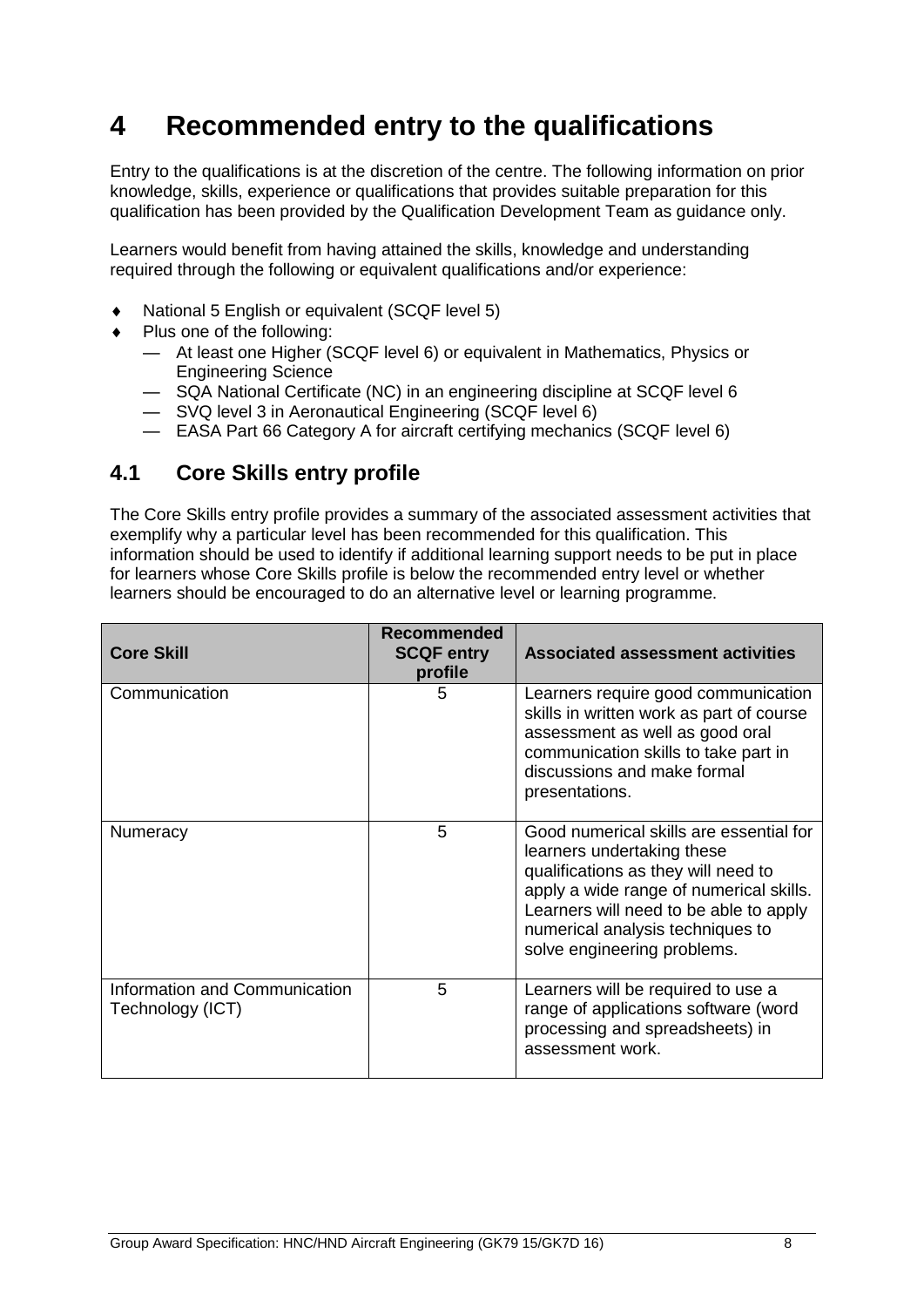# <span id="page-9-0"></span>**4 Recommended entry to the qualifications**

Entry to the qualifications is at the discretion of the centre. The following information on prior knowledge, skills, experience or qualifications that provides suitable preparation for this qualification has been provided by the Qualification Development Team as guidance only.

Learners would benefit from having attained the skills, knowledge and understanding required through the following or equivalent qualifications and/or experience:

- National 5 English or equivalent (SCQF level 5)
- ◆ Plus one of the following:
	- At least one Higher (SCQF level 6) or equivalent in Mathematics, Physics or Engineering Science
	- SQA National Certificate (NC) in an engineering discipline at SCQF level 6
	- SVQ level 3 in Aeronautical Engineering (SCQF level 6)
	- EASA Part 66 Category A for aircraft certifying mechanics (SCQF level 6)

### <span id="page-9-1"></span>**4.1 Core Skills entry profile**

The Core Skills entry profile provides a summary of the associated assessment activities that exemplify why a particular level has been recommended for this qualification. This information should be used to identify if additional learning support needs to be put in place for learners whose Core Skills profile is below the recommended entry level or whether learners should be encouraged to do an alternative level or learning programme.

| <b>Core Skill</b>                                 | Recommended<br><b>SCQF entry</b><br>profile | <b>Associated assessment activities</b>                                                                                                                                                                                                                              |
|---------------------------------------------------|---------------------------------------------|----------------------------------------------------------------------------------------------------------------------------------------------------------------------------------------------------------------------------------------------------------------------|
| Communication                                     | 5                                           | Learners require good communication<br>skills in written work as part of course<br>assessment as well as good oral<br>communication skills to take part in<br>discussions and make formal<br>presentations.                                                          |
| Numeracy                                          | 5                                           | Good numerical skills are essential for<br>learners undertaking these<br>qualifications as they will need to<br>apply a wide range of numerical skills.<br>Learners will need to be able to apply<br>numerical analysis techniques to<br>solve engineering problems. |
| Information and Communication<br>Technology (ICT) | 5                                           | Learners will be required to use a<br>range of applications software (word<br>processing and spreadsheets) in<br>assessment work.                                                                                                                                    |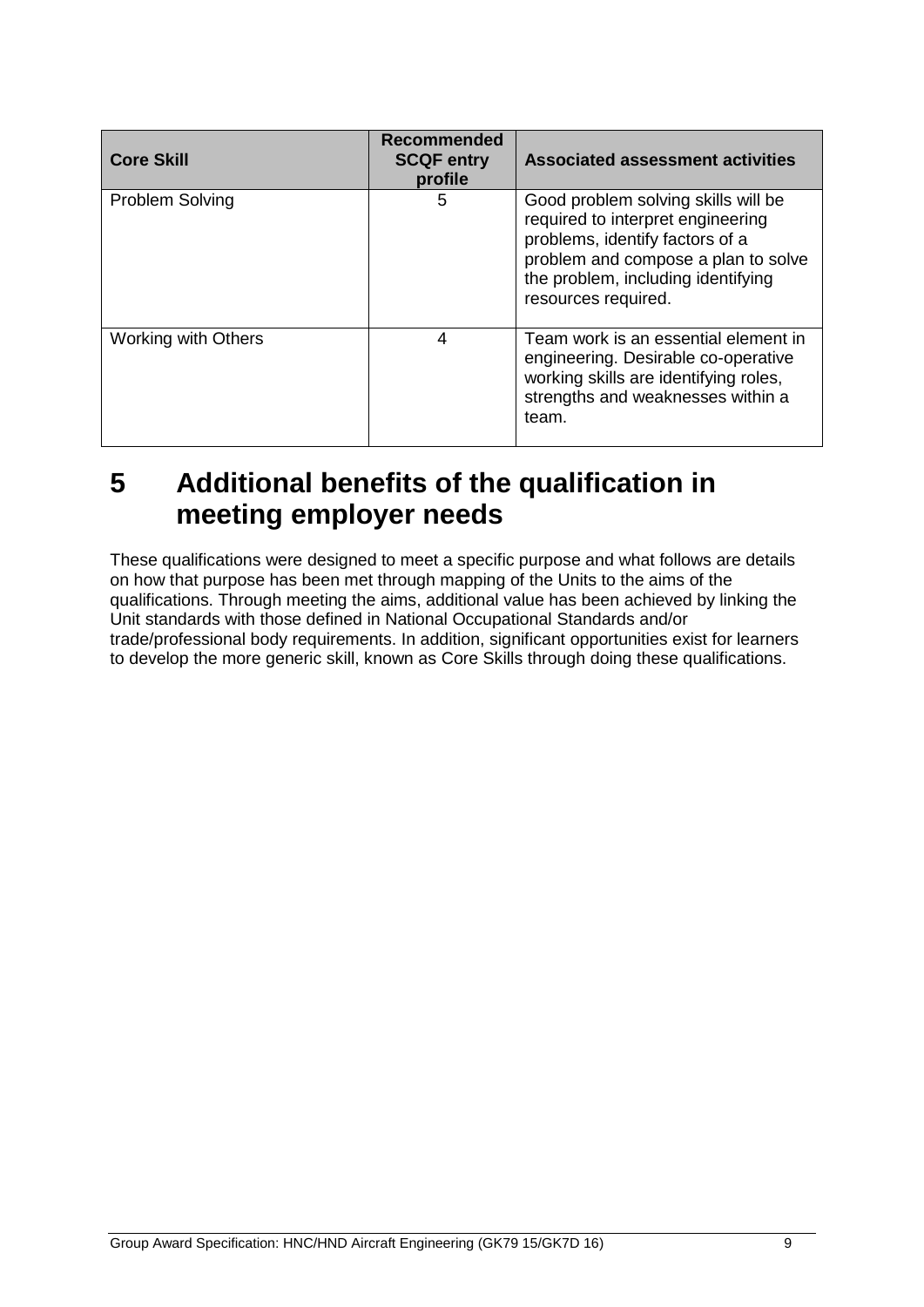| <b>Core Skill</b>          | <b>Recommended</b><br><b>SCQF entry</b><br>profile | <b>Associated assessment activities</b>                                                                                                                                                                         |
|----------------------------|----------------------------------------------------|-----------------------------------------------------------------------------------------------------------------------------------------------------------------------------------------------------------------|
| <b>Problem Solving</b>     | 5                                                  | Good problem solving skills will be<br>required to interpret engineering<br>problems, identify factors of a<br>problem and compose a plan to solve<br>the problem, including identifying<br>resources required. |
| <b>Working with Others</b> | 4                                                  | Team work is an essential element in<br>engineering. Desirable co-operative<br>working skills are identifying roles,<br>strengths and weaknesses within a<br>team.                                              |

# <span id="page-10-0"></span>**5 Additional benefits of the qualification in meeting employer needs**

These qualifications were designed to meet a specific purpose and what follows are details on how that purpose has been met through mapping of the Units to the aims of the qualifications. Through meeting the aims, additional value has been achieved by linking the Unit standards with those defined in National Occupational Standards and/or trade/professional body requirements. In addition, significant opportunities exist for learners to develop the more generic skill, known as Core Skills through doing these qualifications.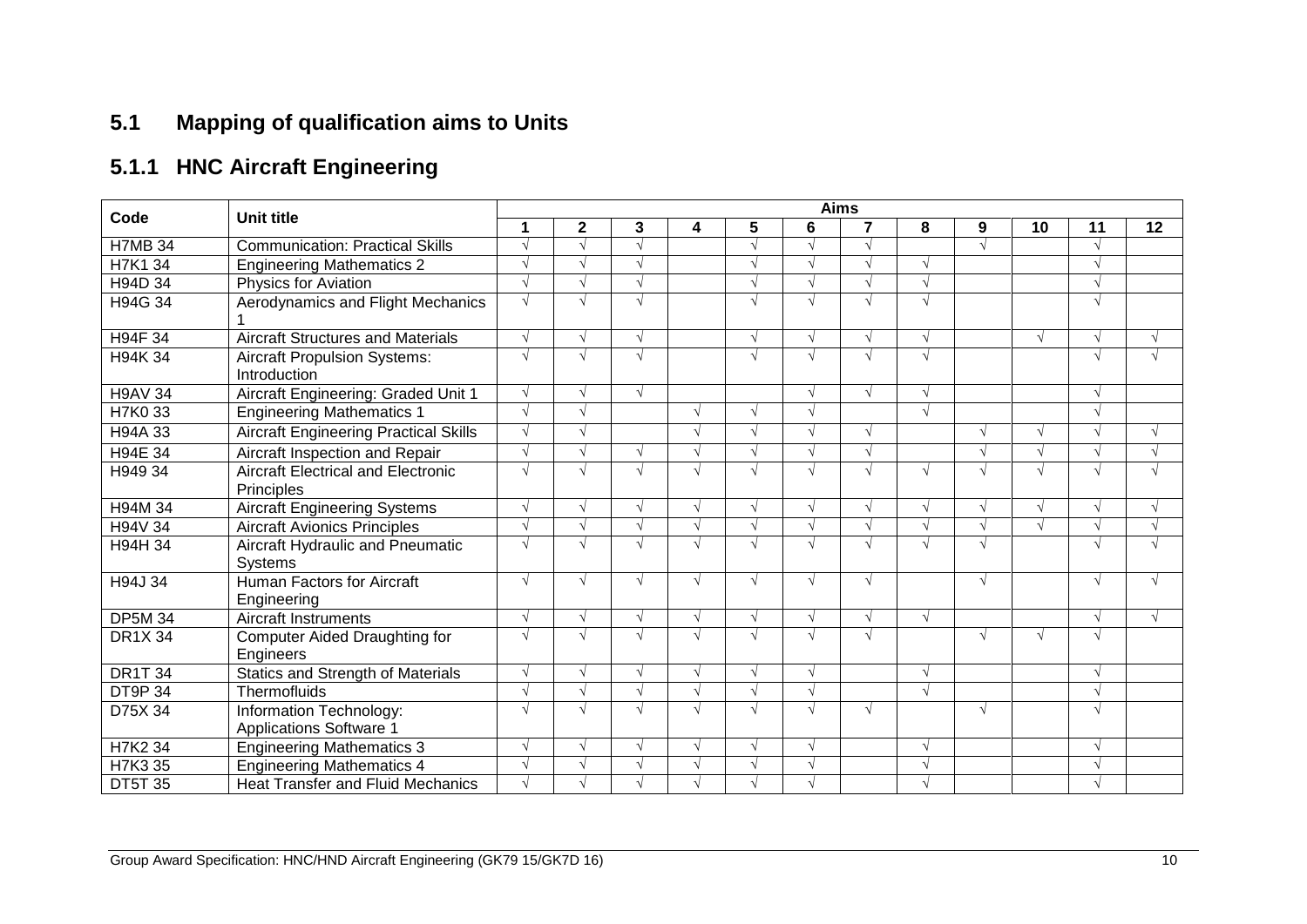# **5.1 Mapping of qualification aims to Units**

# **5.1.1 HNC Aircraft Engineering**

<span id="page-11-0"></span>

|                |                                                           | <b>Aims</b> |            |            |            |            |            |            |            |            |    |                          |            |  |
|----------------|-----------------------------------------------------------|-------------|------------|------------|------------|------------|------------|------------|------------|------------|----|--------------------------|------------|--|
| Code           | <b>Unit title</b>                                         | 1           | 2          | 3          | 4          | 5          | 6          | 7          | 8          | 9          | 10 | 11                       | 12         |  |
| H7MB 34        | <b>Communication: Practical Skills</b>                    |             |            |            |            | $\sqrt{ }$ |            | √          |            |            |    |                          |            |  |
| H7K1 34        | <b>Engineering Mathematics 2</b>                          |             |            |            |            | $\sqrt{ }$ |            |            |            |            |    |                          |            |  |
| H94D 34        | <b>Physics for Aviation</b>                               | $\sqrt{ }$  |            |            |            | $\sqrt{ }$ |            |            |            |            |    |                          |            |  |
| H94G 34        | Aerodynamics and Flight Mechanics                         | $\sqrt{ }$  |            | N          |            | $\sqrt{ }$ |            | N          |            |            |    |                          |            |  |
| H94F 34        | <b>Aircraft Structures and Materials</b>                  | $\sqrt{ }$  | $\sqrt{ }$ |            |            | $\sqrt{ }$ |            | √          |            |            |    |                          | $\sqrt{ }$ |  |
| H94K 34        | <b>Aircraft Propulsion Systems:</b><br>Introduction       | $\sqrt{ }$  |            |            |            | $\sqrt{ }$ |            | N          |            |            |    |                          |            |  |
| <b>H9AV 34</b> | Aircraft Engineering: Graded Unit 1                       | $\sqrt{ }$  |            | $\sqrt{ }$ |            |            | $\sim$     | $\sqrt{ }$ |            |            |    | $\overline{\mathcal{N}}$ |            |  |
| <b>H7K033</b>  | <b>Engineering Mathematics 1</b>                          | $\sqrt{ }$  |            |            | $\sqrt{ }$ | $\sqrt{ }$ | $\sqrt{ }$ |            |            |            |    |                          |            |  |
| H94A 33        | <b>Aircraft Engineering Practical Skills</b>              | $\sqrt{ }$  |            |            | $\sqrt{ }$ | $\sqrt{ }$ |            | √          |            |            |    |                          | $\sqrt{ }$ |  |
| <b>H94E 34</b> | Aircraft Inspection and Repair                            | $\sqrt{ }$  |            |            | $\sqrt{ }$ | $\sqrt{ }$ |            | √          |            |            |    |                          | $\sqrt{ }$ |  |
| H949 34        | <b>Aircraft Electrical and Electronic</b><br>Principles   | $\sqrt{ }$  |            |            | V          | $\sqrt{ }$ |            | V          |            |            |    |                          |            |  |
| H94M 34        | <b>Aircraft Engineering Systems</b>                       | $\sqrt{ }$  | $\sqrt{ }$ | N          | $\sqrt{ }$ | $\sqrt{ }$ | $\sqrt{ }$ | $\sqrt{ }$ |            |            |    |                          | $\sqrt{ }$ |  |
| H94V 34        | <b>Aircraft Avionics Principles</b>                       |             |            |            | V          | $\sqrt{ }$ |            |            |            |            |    |                          | $\sqrt{ }$ |  |
| H94H 34        | Aircraft Hydraulic and Pneumatic<br>Systems               | $\sqrt{ }$  |            |            | √          | $\sqrt{ }$ |            |            |            |            |    |                          | $\sqrt{ }$ |  |
| H94J 34        | <b>Human Factors for Aircraft</b><br>Engineering          | $\sqrt{ }$  | $\sqrt{ }$ | $\sqrt{ }$ | $\sqrt{ }$ | $\sqrt{ }$ | $\sqrt{ }$ | √          |            | $\sqrt{ }$ |    | $\sqrt{ }$               | $\sqrt{ }$ |  |
| <b>DP5M 34</b> | <b>Aircraft Instruments</b>                               | $\sqrt{ }$  |            | N          | $\sqrt{ }$ | $\sqrt{ }$ |            | √          |            |            |    |                          |            |  |
| <b>DR1X 34</b> | <b>Computer Aided Draughting for</b><br>Engineers         | $\sqrt{ }$  |            | $\sqrt{ }$ | $\sqrt{ }$ | $\sqrt{ }$ |            | √          |            |            |    |                          |            |  |
| <b>DR1T 34</b> | <b>Statics and Strength of Materials</b>                  | $\sqrt{ }$  |            | N          | $\sqrt{ }$ | $\sqrt{ }$ | $\sqrt{ }$ |            |            |            |    |                          |            |  |
| <b>DT9P34</b>  | Thermofluids                                              | $\sqrt{ }$  |            |            | V          | $\sqrt{ }$ | $\sqrt{ }$ |            | $\sqrt{ }$ |            |    |                          |            |  |
| D75X 34        | Information Technology:<br><b>Applications Software 1</b> | $\sqrt{ }$  |            |            | $\sqrt{ }$ | V          |            | √          |            |            |    | $\mathbf{v}$             |            |  |
| H7K2 34        | <b>Engineering Mathematics 3</b>                          | $\sqrt{ }$  |            |            | √          | $\sqrt{ }$ |            |            |            |            |    |                          |            |  |
| H7K3 35        | <b>Engineering Mathematics 4</b>                          |             |            |            |            |            |            |            |            |            |    |                          |            |  |
| <b>DT5T 35</b> | <b>Heat Transfer and Fluid Mechanics</b>                  |             |            |            |            |            |            |            |            |            |    |                          |            |  |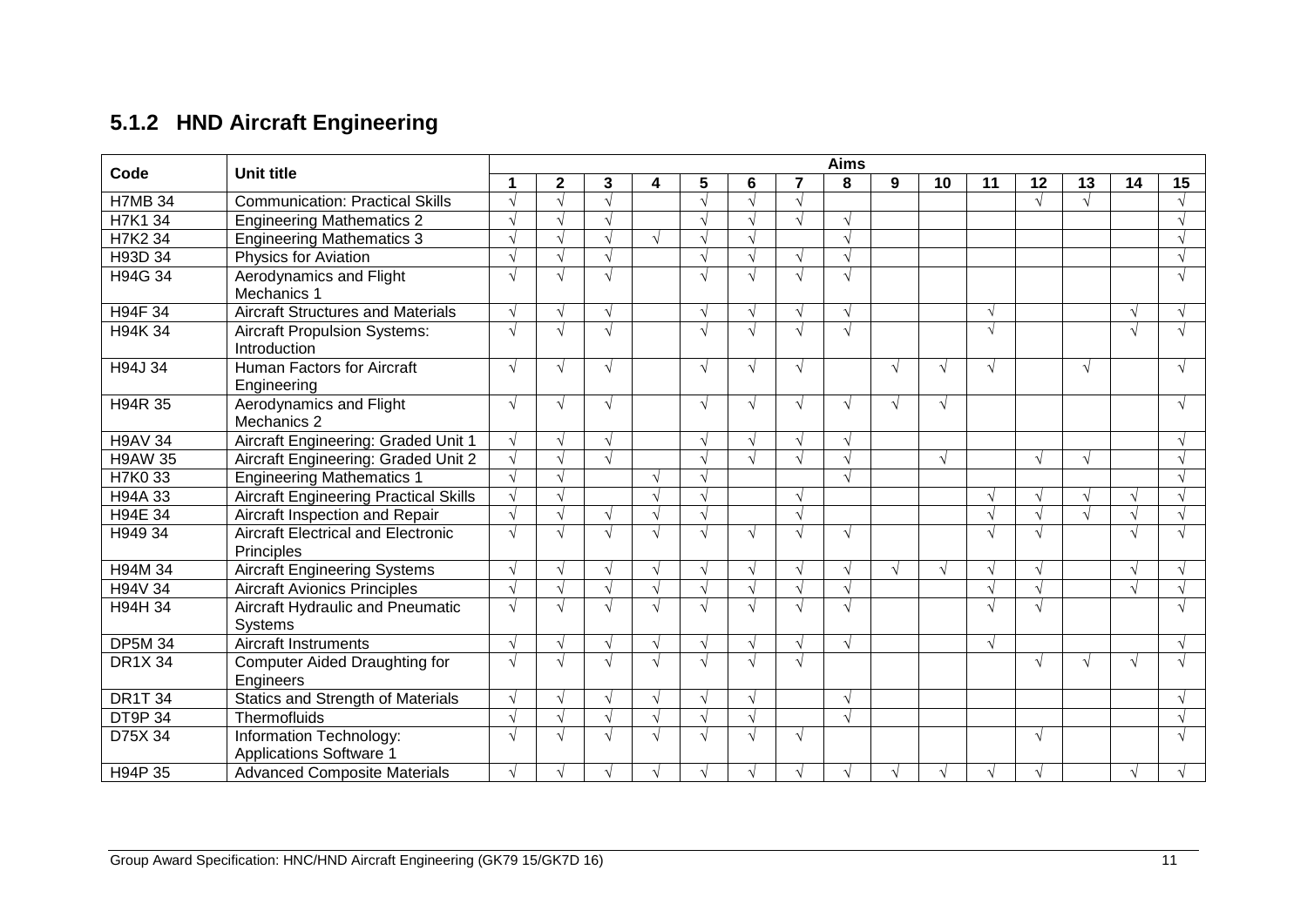# **5.1.2 HND Aircraft Engineering**

|                | <b>Unit title</b>                            | <b>Aims</b> |              |               |            |           |            |               |            |            |            |            |            |            |               |    |
|----------------|----------------------------------------------|-------------|--------------|---------------|------------|-----------|------------|---------------|------------|------------|------------|------------|------------|------------|---------------|----|
| Code           |                                              |             | $\mathbf{2}$ | 3             | 4          | 5         | 6          | 7             | 8          | 9          | 10         | 11         | 12         | 13         | 14            | 15 |
| <b>H7MB 34</b> | <b>Communication: Practical Skills</b>       |             |              |               |            |           |            |               |            |            |            |            |            |            |               |    |
| H7K1 34        | <b>Engineering Mathematics 2</b>             |             |              |               |            |           |            |               | $\sqrt{ }$ |            |            |            |            |            |               |    |
| H7K2 34        | <b>Engineering Mathematics 3</b>             |             |              |               |            |           |            |               | $\sqrt{ }$ |            |            |            |            |            |               |    |
| H93D 34        | <b>Physics for Aviation</b>                  |             |              |               |            |           |            |               | $\sqrt{ }$ |            |            |            |            |            |               |    |
| H94G 34        | Aerodynamics and Flight                      | $\sqrt{ }$  | $\sqrt{ }$   | $\sqrt{ }$    |            |           | $\sqrt{ }$ |               | $\sqrt{ }$ |            |            |            |            |            |               |    |
|                | Mechanics 1                                  |             |              |               |            |           |            |               |            |            |            |            |            |            |               |    |
| H94F 34        | <b>Aircraft Structures and Materials</b>     | $\sqrt{ }$  | $\sqrt{ }$   | $\sqrt{ }$    |            |           | $\sqrt{}$  | $\sqrt{ }$    | $\sqrt{ }$ |            |            | $\sqrt{ }$ |            |            | $\mathcal{N}$ |    |
| H94K 34        | <b>Aircraft Propulsion Systems:</b>          | $\sqrt{ }$  | $\sqrt{ }$   |               |            |           | $\sqrt{}$  | $\sqrt{ }$    | $\sqrt{ }$ |            |            | $\sqrt{ }$ |            |            |               |    |
|                | Introduction                                 |             |              |               |            |           |            |               |            |            |            |            |            |            |               |    |
| H94J 34        | Human Factors for Aircraft                   | $\sqrt{ }$  | $\sqrt{ }$   | $\sqrt{ }$    |            |           | $\sqrt{ }$ | $\sqrt{}$     |            | $\sqrt{ }$ | $\sqrt{ }$ | $\sqrt{ }$ |            | $\sqrt{ }$ |               |    |
|                | Engineering                                  |             |              |               |            |           |            |               |            |            |            |            |            |            |               |    |
| H94R 35        | Aerodynamics and Flight                      | $\sqrt{ }$  | $\sqrt{ }$   | $\sqrt{ }$    |            | $\sqrt{}$ | $\sqrt{ }$ | $\sqrt{ }$    | $\sqrt{ }$ | $\sqrt{ }$ | $\sqrt{ }$ |            |            |            |               | √  |
|                | Mechanics 2                                  |             |              |               |            |           |            |               |            |            |            |            |            |            |               |    |
| <b>H9AV 34</b> | Aircraft Engineering: Graded Unit 1          | $\sqrt{ }$  | $\sqrt{ }$   | $\sqrt{ }$    |            |           |            | $\sqrt{}$     | $\sqrt{ }$ |            |            |            |            |            |               |    |
| <b>H9AW 35</b> | Aircraft Engineering: Graded Unit 2          | $\sqrt{ }$  | $\sqrt{ }$   | $\sqrt{ }$    |            |           | $\sqrt{}$  | $\sqrt{ }$    | $\sqrt{ }$ |            |            |            | $\sqrt{ }$ | $\sqrt{ }$ |               |    |
| H7K0 33        | <b>Engineering Mathematics 1</b>             | $\sqrt{ }$  | $\sqrt{ }$   |               |            |           |            |               | $\sqrt{ }$ |            |            |            |            |            |               |    |
| H94A 33        | <b>Aircraft Engineering Practical Skills</b> | $\sqrt{ }$  |              |               |            |           |            | V             |            |            |            | $\sqrt{ }$ | $\sqrt{ }$ | $\sqrt{ }$ |               |    |
| H94E 34        | Aircraft Inspection and Repair               | $\sqrt{ }$  |              |               |            |           |            | $\sim$        |            |            |            | $\sqrt{ }$ |            |            |               |    |
| H949 34        | <b>Aircraft Electrical and Electronic</b>    | √           | $\sqrt{ }$   |               | $\sqrt{ }$ |           | √          | $\sim$        | $\sqrt{ }$ |            |            | $\sqrt{ }$ |            |            |               |    |
|                | Principles                                   |             |              |               |            |           |            |               |            |            |            |            |            |            |               |    |
| H94M 34        | <b>Aircraft Engineering Systems</b>          | $\sqrt{ }$  | $\sqrt{ }$   |               |            |           | $\sqrt{ }$ |               |            | $\sqrt{ }$ |            | $\sqrt{ }$ |            |            |               |    |
| H94V 34        | <b>Aircraft Avionics Principles</b>          |             |              |               |            |           |            |               | $\sqrt{ }$ |            |            | $\sqrt{ }$ |            |            |               |    |
| H94H 34        | Aircraft Hydraulic and Pneumatic             | $\sqrt{ }$  | $\sqrt{ }$   |               | $\sqrt{ }$ |           | √          | $\mathcal{N}$ | $\sqrt{ }$ |            |            | $\sqrt{ }$ |            |            |               |    |
|                | Systems                                      |             |              |               |            |           |            |               |            |            |            |            |            |            |               |    |
| <b>DP5M 34</b> | <b>Aircraft Instruments</b>                  | $\sqrt{ }$  | $\sqrt{ }$   | $\sqrt{ }$    | $\sqrt{ }$ |           | $\sqrt{ }$ | $\sqrt{ }$    | $\sqrt{ }$ |            |            | $\sqrt{ }$ |            |            |               | √  |
| <b>DR1X 34</b> | Computer Aided Draughting for                | $\sqrt{ }$  | $\sqrt{ }$   | $\sqrt{ }$    | $\sqrt{ }$ |           | $\sqrt{ }$ | $\sim$        |            |            |            |            | $\sqrt{ }$ | اد         |               |    |
|                | Engineers                                    |             |              |               |            |           |            |               |            |            |            |            |            |            |               |    |
| <b>DR1T 34</b> | <b>Statics and Strength of Materials</b>     | $\sqrt{ }$  | $\sqrt{ }$   | $\mathcal{N}$ | $\sqrt{}$  |           | $\sqrt{}$  |               | $\sqrt{ }$ |            |            |            |            |            |               |    |
| <b>DT9P34</b>  | Thermofluids                                 | $\sqrt{ }$  |              |               |            |           | $\sqrt{ }$ |               | $\sqrt{ }$ |            |            |            |            |            |               |    |
| D75X 34        | Information Technology:                      | $\sqrt{ }$  | $\sqrt{ }$   |               | $\sqrt{ }$ |           | $\sqrt{ }$ | V             |            |            |            |            | $\sqrt{ }$ |            |               |    |
|                | <b>Applications Software 1</b>               |             |              |               |            |           |            |               |            |            |            |            |            |            |               |    |
| H94P 35        | <b>Advanced Composite Materials</b>          |             | $\sqrt{ }$   |               | $\sqrt{ }$ |           |            |               | V          |            |            |            |            |            |               |    |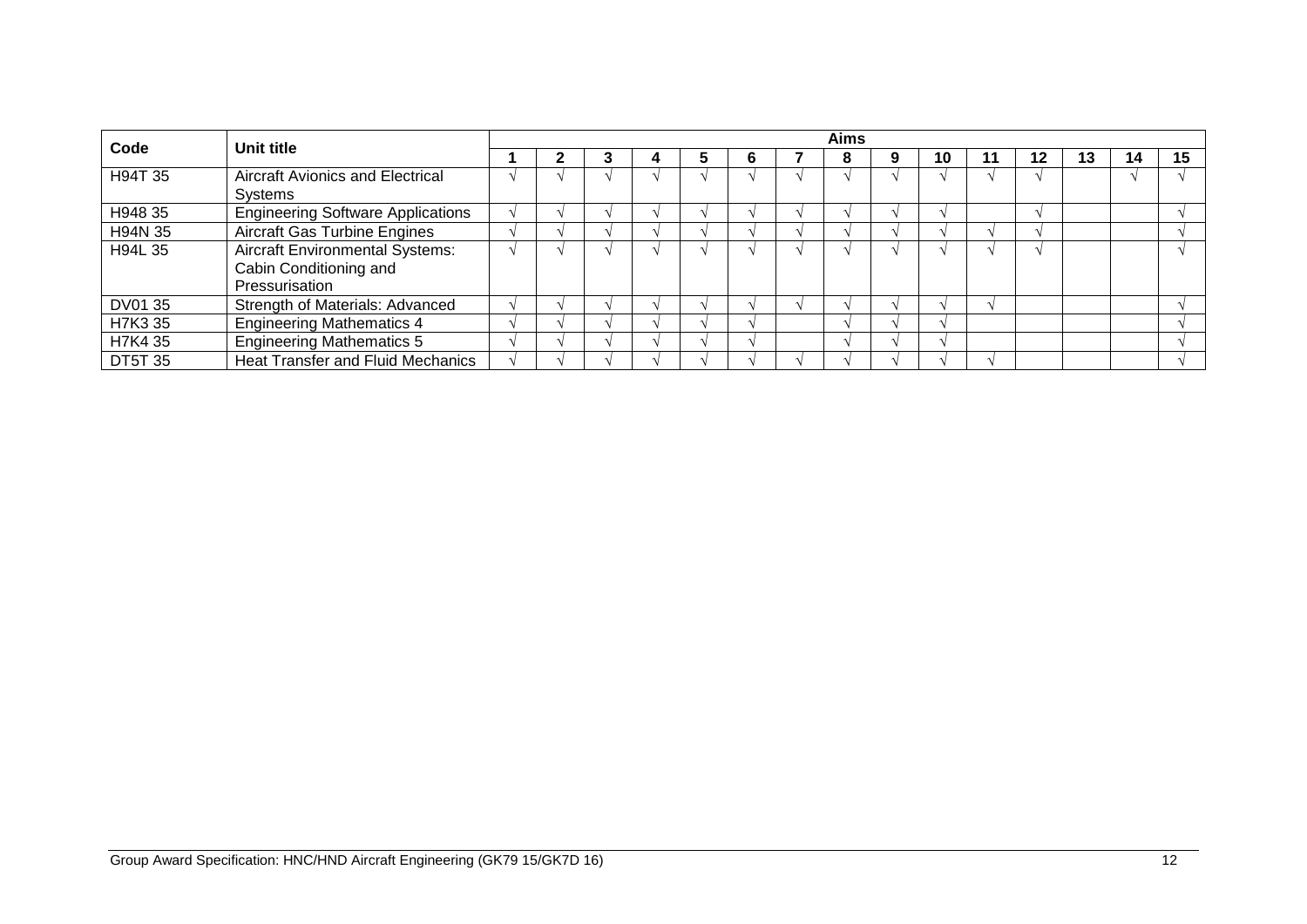| Code           | Unit title                               | <b>Aims</b> |  |  |  |  |   |  |   |  |    |    |    |    |    |    |
|----------------|------------------------------------------|-------------|--|--|--|--|---|--|---|--|----|----|----|----|----|----|
|                |                                          |             |  |  |  |  | o |  | O |  | 10 | 11 | 12 | 13 | 14 | 15 |
| H94T 35        | <b>Aircraft Avionics and Electrical</b>  |             |  |  |  |  |   |  |   |  |    |    |    |    |    |    |
|                | Systems                                  |             |  |  |  |  |   |  |   |  |    |    |    |    |    |    |
| H948 35        | <b>Engineering Software Applications</b> |             |  |  |  |  |   |  |   |  |    |    |    |    |    |    |
| H94N 35        | <b>Aircraft Gas Turbine Engines</b>      |             |  |  |  |  |   |  |   |  |    |    |    |    |    |    |
| H94L 35        | <b>Aircraft Environmental Systems:</b>   |             |  |  |  |  |   |  |   |  |    |    |    |    |    |    |
|                | Cabin Conditioning and                   |             |  |  |  |  |   |  |   |  |    |    |    |    |    |    |
|                | Pressurisation                           |             |  |  |  |  |   |  |   |  |    |    |    |    |    |    |
| DV01 35        | Strength of Materials: Advanced          |             |  |  |  |  |   |  |   |  |    |    |    |    |    |    |
| H7K3 35        | <b>Engineering Mathematics 4</b>         |             |  |  |  |  |   |  |   |  |    |    |    |    |    |    |
| H7K4 35        | <b>Engineering Mathematics 5</b>         |             |  |  |  |  |   |  |   |  |    |    |    |    |    |    |
| <b>DT5T 35</b> | <b>Heat Transfer and Fluid Mechanics</b> |             |  |  |  |  |   |  |   |  |    |    |    |    |    |    |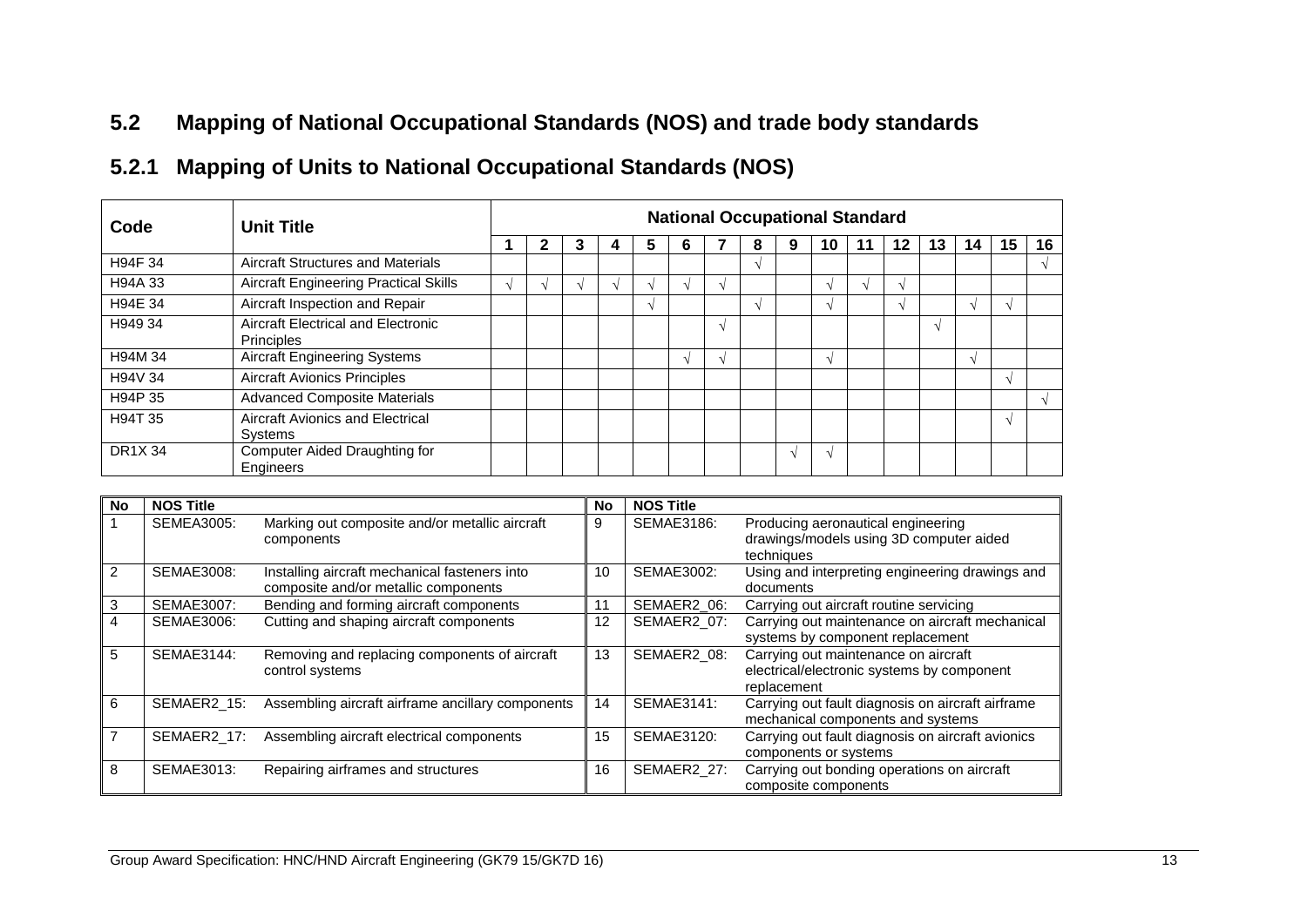## **5.2 Mapping of National Occupational Standards (NOS) and trade body standards**

# **5.2.1 Mapping of Units to National Occupational Standards (NOS)**

| Code          | <b>Unit Title</b>                                       | <b>National Occupational Standard</b> |  |   |  |    |   |  |               |        |                   |  |           |    |    |    |    |
|---------------|---------------------------------------------------------|---------------------------------------|--|---|--|----|---|--|---------------|--------|-------------------|--|-----------|----|----|----|----|
|               |                                                         |                                       |  | 3 |  | b. | O |  | 8             | 9      | 10                |  | 12        | 13 | 14 | 15 | 16 |
| H94F 34       | Aircraft Structures and Materials                       |                                       |  |   |  |    |   |  | $\mathcal{N}$ |        |                   |  |           |    |    |    |    |
| H94A 33       | <b>Aircraft Engineering Practical Skills</b>            |                                       |  |   |  |    |   |  |               |        |                   |  | $\lambda$ |    |    |    |    |
| H94E 34       | Aircraft Inspection and Repair                          |                                       |  |   |  |    |   |  | $\lambda$     |        | $\mathbf{\hat{}}$ |  | $\lambda$ |    |    |    |    |
| H949 34       | Aircraft Electrical and Electronic<br><b>Principles</b> |                                       |  |   |  |    |   |  |               |        |                   |  |           |    |    |    |    |
| H94M 34       | <b>Aircraft Engineering Systems</b>                     |                                       |  |   |  |    |   |  |               |        | $\Delta$          |  |           |    |    |    |    |
| H94V 34       | <b>Aircraft Avionics Principles</b>                     |                                       |  |   |  |    |   |  |               |        |                   |  |           |    |    |    |    |
| H94P 35       | <b>Advanced Composite Materials</b>                     |                                       |  |   |  |    |   |  |               |        |                   |  |           |    |    |    |    |
| H94T 35       | Aircraft Avionics and Electrical<br>Systems             |                                       |  |   |  |    |   |  |               |        |                   |  |           |    |    | N  |    |
| <b>DR1X34</b> | Computer Aided Draughting for<br>Engineers              |                                       |  |   |  |    |   |  |               | $\sim$ |                   |  |           |    |    |    |    |

<span id="page-14-0"></span>

| No            | <b>NOS Title</b>  |                                                                                       | No | <b>NOS Title</b>  |                                                                                                   |
|---------------|-------------------|---------------------------------------------------------------------------------------|----|-------------------|---------------------------------------------------------------------------------------------------|
|               | <b>SEMEA3005:</b> | Marking out composite and/or metallic aircraft<br>components                          | 9  | <b>SEMAE3186:</b> | Producing aeronautical engineering<br>drawings/models using 3D computer aided<br>techniques       |
| $\mathcal{P}$ | <b>SEMAE3008:</b> | Installing aircraft mechanical fasteners into<br>composite and/or metallic components | 10 | SEMAE3002:        | Using and interpreting engineering drawings and<br>documents                                      |
| 3             | SEMAE3007:        | Bending and forming aircraft components                                               | 11 | SEMAER2_06:       | Carrying out aircraft routine servicing                                                           |
| 4             | SEMAE3006:        | Cutting and shaping aircraft components                                               | 12 | SEMAER2_07:       | Carrying out maintenance on aircraft mechanical<br>systems by component replacement               |
| 5             | SEMAE3144:        | Removing and replacing components of aircraft<br>control systems                      | 13 | SEMAER2_08:       | Carrying out maintenance on aircraft<br>electrical/electronic systems by component<br>replacement |
| 6             | SEMAER2 15:       | Assembling aircraft airframe ancillary components                                     | 14 | SEMAE3141:        | Carrying out fault diagnosis on aircraft airframe<br>mechanical components and systems            |
|               | SEMAER2 17:       | Assembling aircraft electrical components                                             | 15 | SEMAE3120:        | Carrying out fault diagnosis on aircraft avionics<br>components or systems                        |
| 8             | SEMAE3013:        | Repairing airframes and structures                                                    | 16 | SEMAER2_27:       | Carrying out bonding operations on aircraft<br>composite components                               |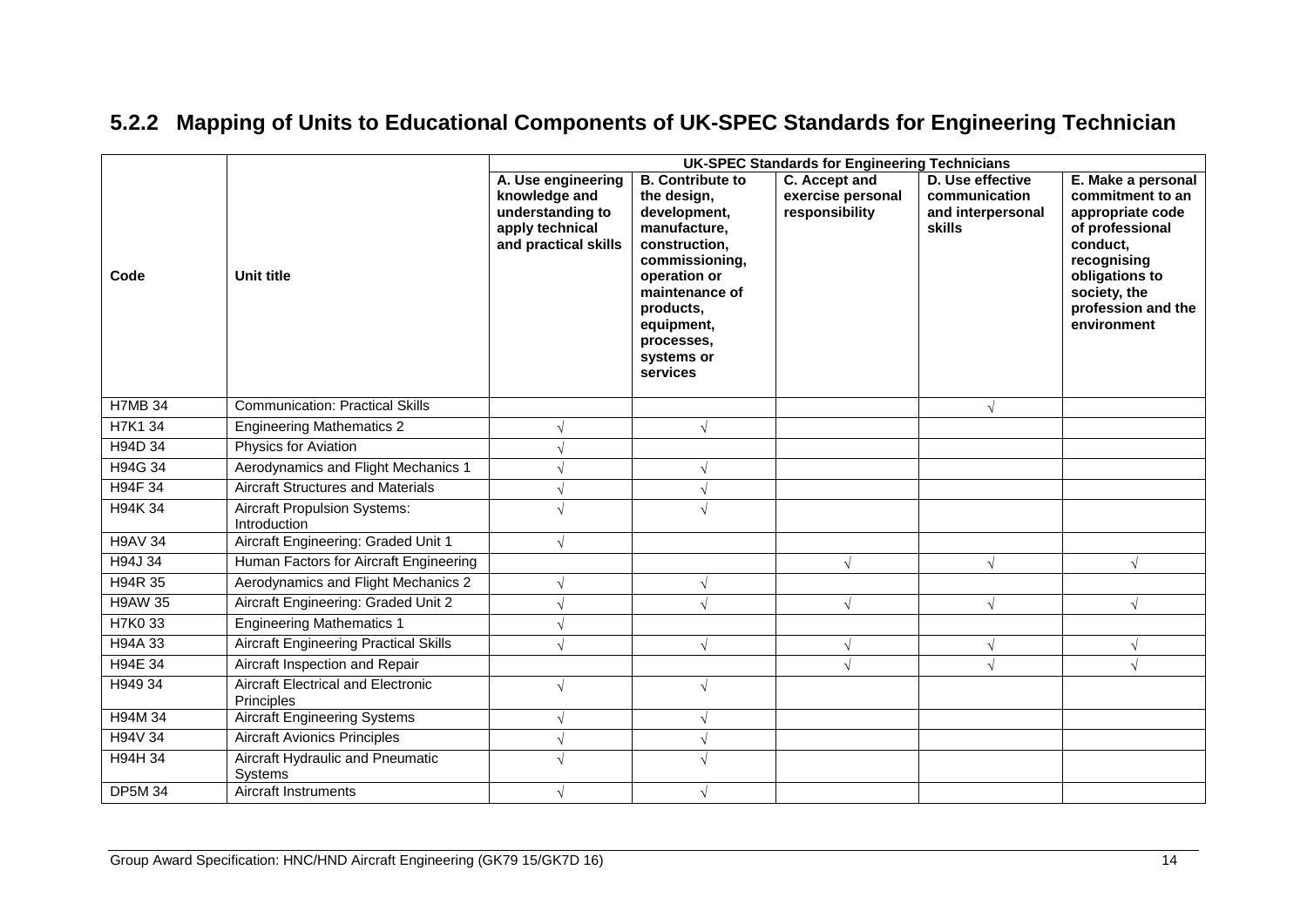# **5.2.2 Mapping of Units to Educational Components of UK-SPEC Standards for Engineering Technician**

|                | <b>UK-SPEC Standards for Engineering Technicians</b>    |                                                                                                    |                                                                                                                                                                                                                |                                                      |                                                                  |                                                                                                                                                                                 |  |  |  |  |  |
|----------------|---------------------------------------------------------|----------------------------------------------------------------------------------------------------|----------------------------------------------------------------------------------------------------------------------------------------------------------------------------------------------------------------|------------------------------------------------------|------------------------------------------------------------------|---------------------------------------------------------------------------------------------------------------------------------------------------------------------------------|--|--|--|--|--|
| Code           | <b>Unit title</b>                                       | A. Use engineering<br>knowledge and<br>understanding to<br>apply technical<br>and practical skills | <b>B.</b> Contribute to<br>the design,<br>development,<br>manufacture,<br>construction,<br>commissioning,<br>operation or<br>maintenance of<br>products,<br>equipment,<br>processes,<br>systems or<br>services | C. Accept and<br>exercise personal<br>responsibility | D. Use effective<br>communication<br>and interpersonal<br>skills | E. Make a personal<br>commitment to an<br>appropriate code<br>of professional<br>conduct,<br>recognising<br>obligations to<br>society, the<br>profession and the<br>environment |  |  |  |  |  |
| <b>H7MB 34</b> | <b>Communication: Practical Skills</b>                  |                                                                                                    |                                                                                                                                                                                                                |                                                      | $\sqrt{ }$                                                       |                                                                                                                                                                                 |  |  |  |  |  |
| H7K1 34        | <b>Engineering Mathematics 2</b>                        |                                                                                                    |                                                                                                                                                                                                                |                                                      |                                                                  |                                                                                                                                                                                 |  |  |  |  |  |
| H94D 34        | Physics for Aviation                                    |                                                                                                    |                                                                                                                                                                                                                |                                                      |                                                                  |                                                                                                                                                                                 |  |  |  |  |  |
| H94G 34        | Aerodynamics and Flight Mechanics 1                     |                                                                                                    |                                                                                                                                                                                                                |                                                      |                                                                  |                                                                                                                                                                                 |  |  |  |  |  |
| H94F 34        | <b>Aircraft Structures and Materials</b>                |                                                                                                    |                                                                                                                                                                                                                |                                                      |                                                                  |                                                                                                                                                                                 |  |  |  |  |  |
| H94K 34        | <b>Aircraft Propulsion Systems:</b><br>Introduction     |                                                                                                    |                                                                                                                                                                                                                |                                                      |                                                                  |                                                                                                                                                                                 |  |  |  |  |  |
| <b>H9AV 34</b> | Aircraft Engineering: Graded Unit 1                     | $\sqrt{}$                                                                                          |                                                                                                                                                                                                                |                                                      |                                                                  |                                                                                                                                                                                 |  |  |  |  |  |
| H94J 34        | Human Factors for Aircraft Engineering                  |                                                                                                    |                                                                                                                                                                                                                | $\sqrt{ }$                                           | $\sqrt{ }$                                                       | $\sqrt{}$                                                                                                                                                                       |  |  |  |  |  |
| H94R 35        | Aerodynamics and Flight Mechanics 2                     | $\sqrt{}$                                                                                          |                                                                                                                                                                                                                |                                                      |                                                                  |                                                                                                                                                                                 |  |  |  |  |  |
| <b>H9AW 35</b> | Aircraft Engineering: Graded Unit 2                     |                                                                                                    |                                                                                                                                                                                                                | $\sqrt{}$                                            | $\sqrt{ }$                                                       | $\sqrt{}$                                                                                                                                                                       |  |  |  |  |  |
| H7K0 33        | <b>Engineering Mathematics 1</b>                        |                                                                                                    |                                                                                                                                                                                                                |                                                      |                                                                  |                                                                                                                                                                                 |  |  |  |  |  |
| H94A 33        | <b>Aircraft Engineering Practical Skills</b>            | $\sqrt{ }$                                                                                         |                                                                                                                                                                                                                | $\sqrt{ }$                                           | $\sqrt{ }$                                                       | $\sqrt{}$                                                                                                                                                                       |  |  |  |  |  |
| H94E 34        | Aircraft Inspection and Repair                          |                                                                                                    |                                                                                                                                                                                                                |                                                      | $\sqrt{}$                                                        |                                                                                                                                                                                 |  |  |  |  |  |
| H949 34        | <b>Aircraft Electrical and Electronic</b><br>Principles | $\sqrt{ }$                                                                                         |                                                                                                                                                                                                                |                                                      |                                                                  |                                                                                                                                                                                 |  |  |  |  |  |
| H94M 34        | <b>Aircraft Engineering Systems</b>                     | $\sqrt{}$                                                                                          |                                                                                                                                                                                                                |                                                      |                                                                  |                                                                                                                                                                                 |  |  |  |  |  |
| H94V 34        | <b>Aircraft Avionics Principles</b>                     | $\sqrt{}$                                                                                          |                                                                                                                                                                                                                |                                                      |                                                                  |                                                                                                                                                                                 |  |  |  |  |  |
| <b>H94H 34</b> | Aircraft Hydraulic and Pneumatic<br>Systems             | $\sqrt{ }$                                                                                         |                                                                                                                                                                                                                |                                                      |                                                                  |                                                                                                                                                                                 |  |  |  |  |  |
| <b>DP5M 34</b> | <b>Aircraft Instruments</b>                             | $\sqrt{}$                                                                                          |                                                                                                                                                                                                                |                                                      |                                                                  |                                                                                                                                                                                 |  |  |  |  |  |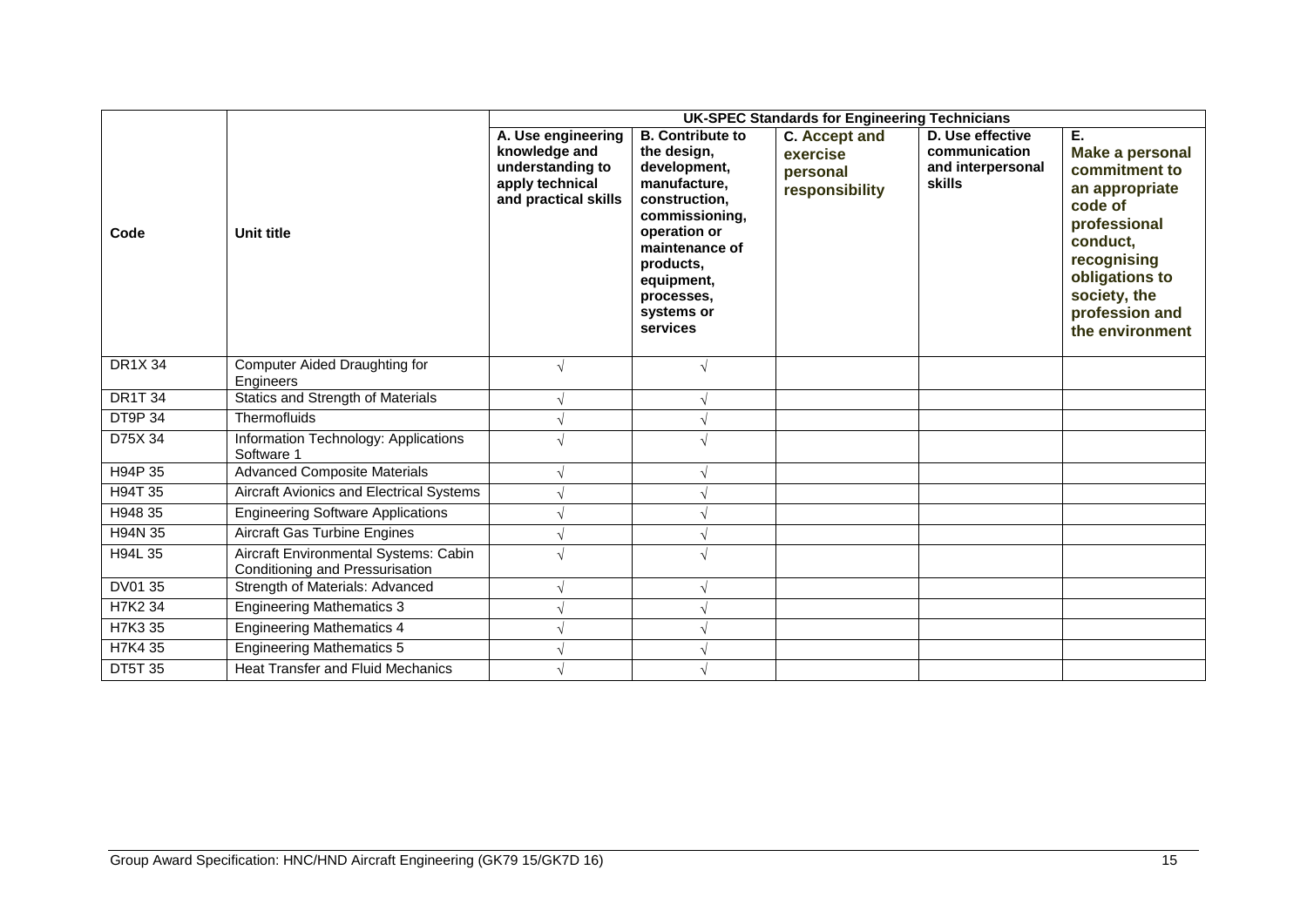|                |                                                                          | <b>UK-SPEC Standards for Engineering Technicians</b>                                               |                                                                                                                                                                                                                |                                                         |                                                                         |                                                                                                                                                                                       |  |  |  |  |  |  |  |
|----------------|--------------------------------------------------------------------------|----------------------------------------------------------------------------------------------------|----------------------------------------------------------------------------------------------------------------------------------------------------------------------------------------------------------------|---------------------------------------------------------|-------------------------------------------------------------------------|---------------------------------------------------------------------------------------------------------------------------------------------------------------------------------------|--|--|--|--|--|--|--|
| Code           | Unit title                                                               | A. Use engineering<br>knowledge and<br>understanding to<br>apply technical<br>and practical skills | <b>B.</b> Contribute to<br>the design,<br>development,<br>manufacture,<br>construction,<br>commissioning,<br>operation or<br>maintenance of<br>products.<br>equipment,<br>processes,<br>systems or<br>services | C. Accept and<br>exercise<br>personal<br>responsibility | D. Use effective<br>communication<br>and interpersonal<br><b>skills</b> | Е.<br>Make a personal<br>commitment to<br>an appropriate<br>code of<br>professional<br>conduct,<br>recognising<br>obligations to<br>society, the<br>profession and<br>the environment |  |  |  |  |  |  |  |
| <b>DR1X34</b>  | Computer Aided Draughting for<br>Engineers                               | $\sqrt{ }$                                                                                         |                                                                                                                                                                                                                |                                                         |                                                                         |                                                                                                                                                                                       |  |  |  |  |  |  |  |
| <b>DR1T 34</b> | Statics and Strength of Materials                                        |                                                                                                    |                                                                                                                                                                                                                |                                                         |                                                                         |                                                                                                                                                                                       |  |  |  |  |  |  |  |
| <b>DT9P 34</b> | Thermofluids                                                             |                                                                                                    |                                                                                                                                                                                                                |                                                         |                                                                         |                                                                                                                                                                                       |  |  |  |  |  |  |  |
| D75X 34        | Information Technology: Applications<br>Software 1                       |                                                                                                    |                                                                                                                                                                                                                |                                                         |                                                                         |                                                                                                                                                                                       |  |  |  |  |  |  |  |
| H94P 35        | <b>Advanced Composite Materials</b>                                      |                                                                                                    |                                                                                                                                                                                                                |                                                         |                                                                         |                                                                                                                                                                                       |  |  |  |  |  |  |  |
| H94T 35        | Aircraft Avionics and Electrical Systems                                 |                                                                                                    |                                                                                                                                                                                                                |                                                         |                                                                         |                                                                                                                                                                                       |  |  |  |  |  |  |  |
| H948 35        | <b>Engineering Software Applications</b>                                 |                                                                                                    |                                                                                                                                                                                                                |                                                         |                                                                         |                                                                                                                                                                                       |  |  |  |  |  |  |  |
| H94N 35        | <b>Aircraft Gas Turbine Engines</b>                                      |                                                                                                    |                                                                                                                                                                                                                |                                                         |                                                                         |                                                                                                                                                                                       |  |  |  |  |  |  |  |
| H94L 35        | Aircraft Environmental Systems: Cabin<br>Conditioning and Pressurisation |                                                                                                    |                                                                                                                                                                                                                |                                                         |                                                                         |                                                                                                                                                                                       |  |  |  |  |  |  |  |
| DV01 35        | Strength of Materials: Advanced                                          |                                                                                                    |                                                                                                                                                                                                                |                                                         |                                                                         |                                                                                                                                                                                       |  |  |  |  |  |  |  |
| H7K2 34        | <b>Engineering Mathematics 3</b>                                         |                                                                                                    |                                                                                                                                                                                                                |                                                         |                                                                         |                                                                                                                                                                                       |  |  |  |  |  |  |  |
| H7K3 35        | <b>Engineering Mathematics 4</b>                                         |                                                                                                    |                                                                                                                                                                                                                |                                                         |                                                                         |                                                                                                                                                                                       |  |  |  |  |  |  |  |
| H7K4 35        | <b>Engineering Mathematics 5</b>                                         |                                                                                                    |                                                                                                                                                                                                                |                                                         |                                                                         |                                                                                                                                                                                       |  |  |  |  |  |  |  |
| <b>DT5T 35</b> | <b>Heat Transfer and Fluid Mechanics</b>                                 |                                                                                                    |                                                                                                                                                                                                                |                                                         |                                                                         |                                                                                                                                                                                       |  |  |  |  |  |  |  |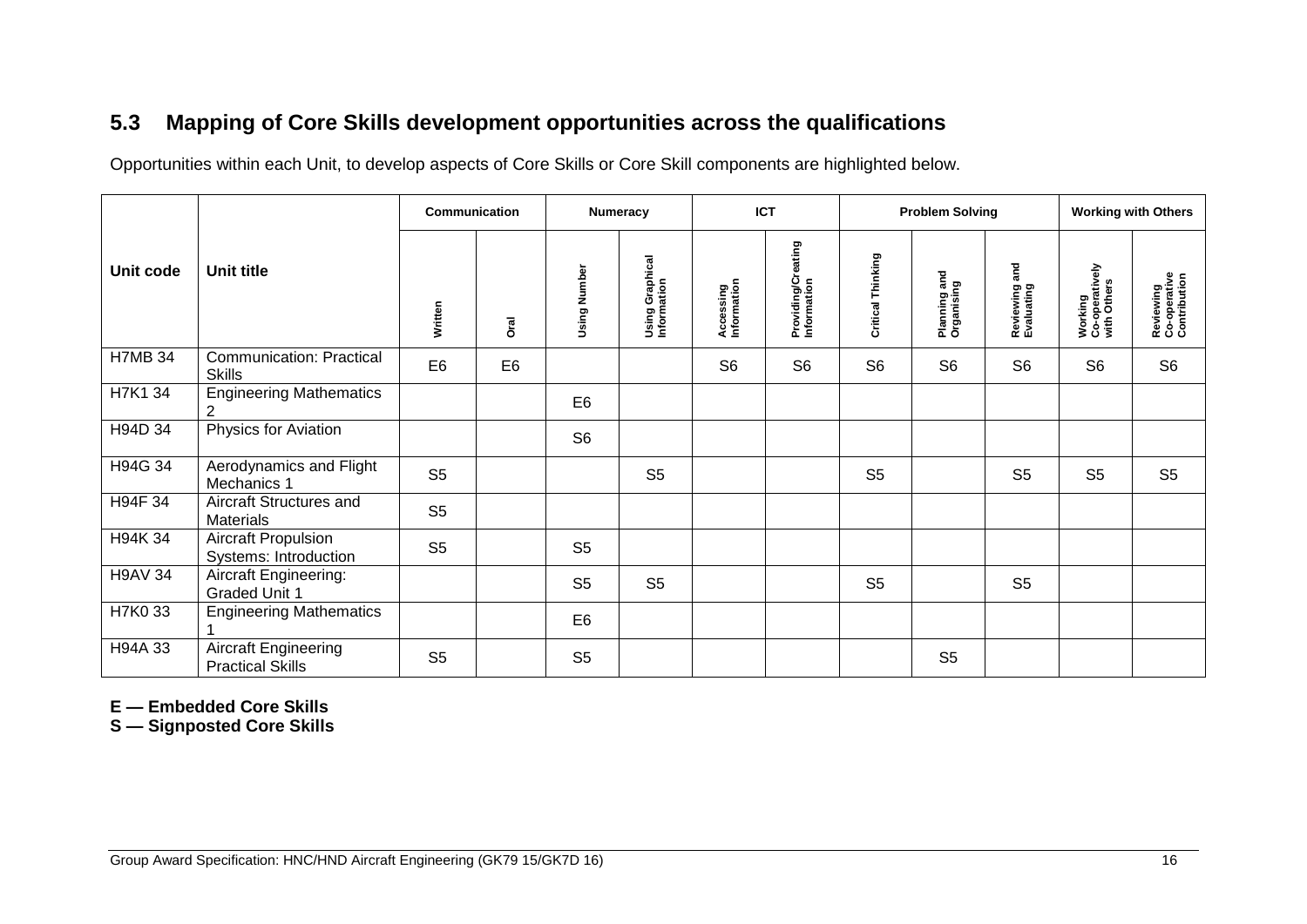# **5.3 Mapping of Core Skills development opportunities across the qualifications**

Opportunities within each Unit, to develop aspects of Core Skills or Core Skill components are highlighted below.

|                |                                                     | <b>Communication</b> |                |                | <b>Numeracy</b>                | <b>ICT</b>               |                                   | <b>Problem Solving</b> |                            |                                  | <b>Working with Others</b>               |                                           |
|----------------|-----------------------------------------------------|----------------------|----------------|----------------|--------------------------------|--------------------------|-----------------------------------|------------------------|----------------------------|----------------------------------|------------------------------------------|-------------------------------------------|
| Unit code      | Unit title                                          | Written              | Drai           | Using Number   | Using Graphical<br>Information | Accessing<br>Information | Providing/Creating<br>Information | Critical Thinking      | Planning and<br>Organising | and<br>Reviewing a<br>Evaluating | Working<br>Co-operatively<br>with Others | Reviewing<br>Co-operative<br>Contribution |
| <b>H7MB 34</b> | <b>Communication: Practical</b><br><b>Skills</b>    | E <sub>6</sub>       | E <sub>6</sub> |                |                                | S <sub>6</sub>           | S <sub>6</sub>                    | S <sub>6</sub>         | S <sub>6</sub>             | S <sub>6</sub>                   | S <sub>6</sub>                           | S <sub>6</sub>                            |
| H7K1 34        | <b>Engineering Mathematics</b><br>2                 |                      |                | E <sub>6</sub> |                                |                          |                                   |                        |                            |                                  |                                          |                                           |
| H94D 34        | Physics for Aviation                                |                      |                | S <sub>6</sub> |                                |                          |                                   |                        |                            |                                  |                                          |                                           |
| H94G 34        | Aerodynamics and Flight<br>Mechanics 1              | S <sub>5</sub>       |                |                | S <sub>5</sub>                 |                          |                                   | S <sub>5</sub>         |                            | S <sub>5</sub>                   | S <sub>5</sub>                           | S <sub>5</sub>                            |
| H94F 34        | Aircraft Structures and<br><b>Materials</b>         | S <sub>5</sub>       |                |                |                                |                          |                                   |                        |                            |                                  |                                          |                                           |
| H94K 34        | <b>Aircraft Propulsion</b><br>Systems: Introduction | S <sub>5</sub>       |                | S <sub>5</sub> |                                |                          |                                   |                        |                            |                                  |                                          |                                           |
| <b>H9AV 34</b> | Aircraft Engineering:<br><b>Graded Unit 1</b>       |                      |                | S <sub>5</sub> | S <sub>5</sub>                 |                          |                                   | S <sub>5</sub>         |                            | S <sub>5</sub>                   |                                          |                                           |
| H7K0 33        | <b>Engineering Mathematics</b>                      |                      |                | E <sub>6</sub> |                                |                          |                                   |                        |                            |                                  |                                          |                                           |
| H94A 33        | Aircraft Engineering<br><b>Practical Skills</b>     | S <sub>5</sub>       |                | S <sub>5</sub> |                                |                          |                                   |                        | S <sub>5</sub>             |                                  |                                          |                                           |

<span id="page-17-0"></span>**E — Embedded Core Skills**

**S — Signposted Core Skills**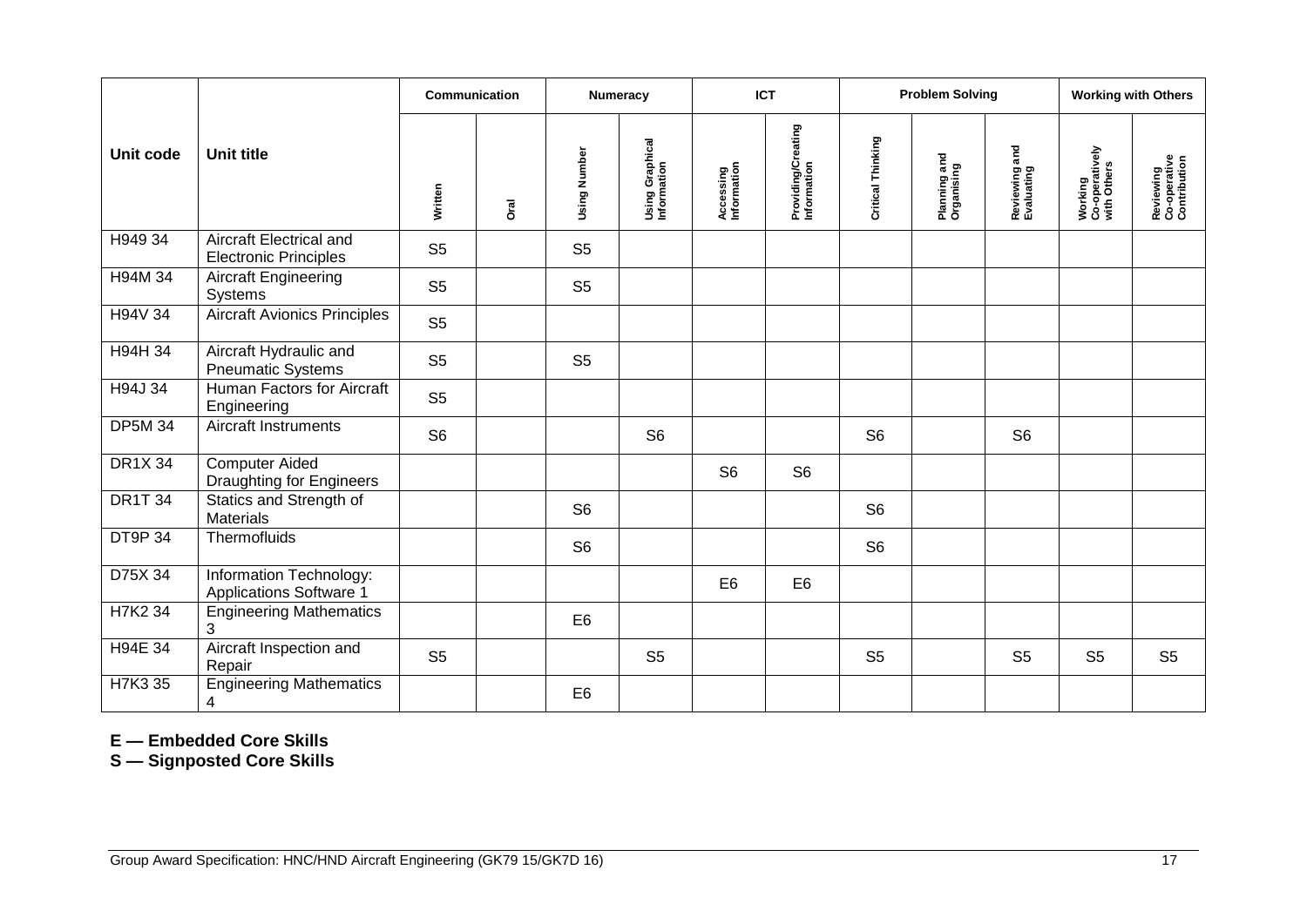|                |                                                         | Communication  |             |                     | <b>Numeracy</b>                |                          | <b>ICT</b>                        |                   | <b>Problem Solving</b>     |                             |                                          | <b>Working with Others</b>                |
|----------------|---------------------------------------------------------|----------------|-------------|---------------------|--------------------------------|--------------------------|-----------------------------------|-------------------|----------------------------|-----------------------------|------------------------------------------|-------------------------------------------|
| Unit code      | <b>Unit title</b>                                       | Written        | <b>Oral</b> | <b>Using Number</b> | Using Graphical<br>Information | Accessing<br>Information | Providing/Creating<br>Information | Critical Thinking | Planning and<br>Organising | Reviewing and<br>Evaluating | Working<br>Co-operatively<br>with Others | Reviewing<br>Co-operative<br>Contribution |
| H949 34        | Aircraft Electrical and<br><b>Electronic Principles</b> | S <sub>5</sub> |             | S <sub>5</sub>      |                                |                          |                                   |                   |                            |                             |                                          |                                           |
| H94M 34        | <b>Aircraft Engineering</b><br>Systems                  | S <sub>5</sub> |             | S <sub>5</sub>      |                                |                          |                                   |                   |                            |                             |                                          |                                           |
| H94V 34        | <b>Aircraft Avionics Principles</b>                     | S <sub>5</sub> |             |                     |                                |                          |                                   |                   |                            |                             |                                          |                                           |
| H94H 34        | Aircraft Hydraulic and<br><b>Pneumatic Systems</b>      | S <sub>5</sub> |             | S <sub>5</sub>      |                                |                          |                                   |                   |                            |                             |                                          |                                           |
| H94J 34        | Human Factors for Aircraft<br>Engineering               | S <sub>5</sub> |             |                     |                                |                          |                                   |                   |                            |                             |                                          |                                           |
| <b>DP5M 34</b> | <b>Aircraft Instruments</b>                             | S <sub>6</sub> |             |                     | S <sub>6</sub>                 |                          |                                   | S <sub>6</sub>    |                            | S <sub>6</sub>              |                                          |                                           |
| <b>DR1X 34</b> | <b>Computer Aided</b><br>Draughting for Engineers       |                |             |                     |                                | S <sub>6</sub>           | S <sub>6</sub>                    |                   |                            |                             |                                          |                                           |
| <b>DR1T 34</b> | Statics and Strength of<br><b>Materials</b>             |                |             | S <sub>6</sub>      |                                |                          |                                   | S <sub>6</sub>    |                            |                             |                                          |                                           |
| DT9P 34        | Thermofluids                                            |                |             | S <sub>6</sub>      |                                |                          |                                   | S <sub>6</sub>    |                            |                             |                                          |                                           |
| D75X 34        | Information Technology:<br>Applications Software 1      |                |             |                     |                                | E <sub>6</sub>           | E <sub>6</sub>                    |                   |                            |                             |                                          |                                           |
| H7K2 34        | <b>Engineering Mathematics</b><br>3                     |                |             | E <sub>6</sub>      |                                |                          |                                   |                   |                            |                             |                                          |                                           |
| H94E 34        | Aircraft Inspection and<br>Repair                       | S <sub>5</sub> |             |                     | S <sub>5</sub>                 |                          |                                   | S <sub>5</sub>    |                            | S <sub>5</sub>              | S <sub>5</sub>                           | S <sub>5</sub>                            |
| H7K3 35        | <b>Engineering Mathematics</b><br>4                     |                |             | E <sub>6</sub>      |                                |                          |                                   |                   |                            |                             |                                          |                                           |

**E — Embedded Core Skills**

**S — Signposted Core Skills**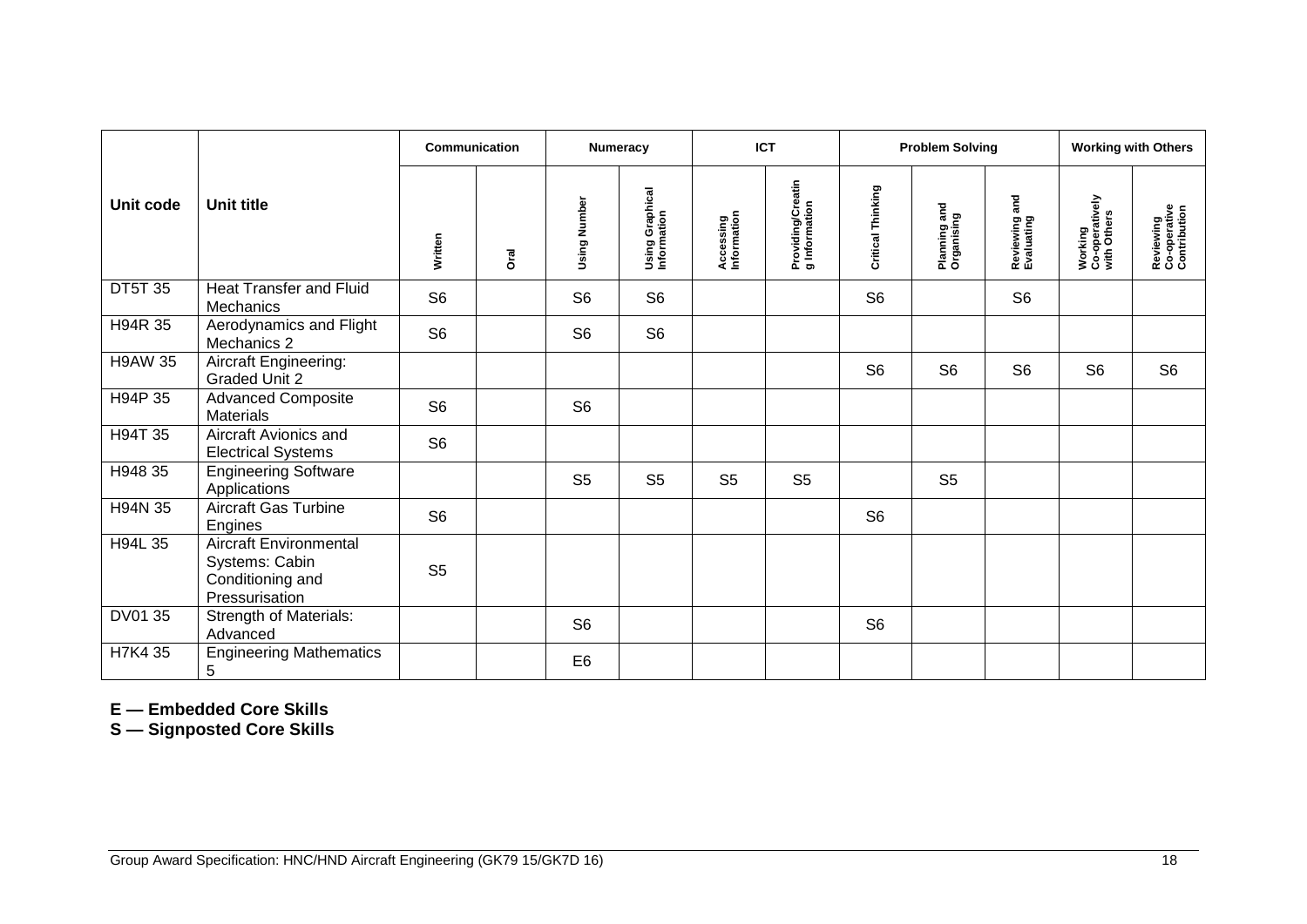|                |                                                                                       | Communication  |             |                | Numeracy                              |                          | <b>ICT</b>                         |                   | <b>Problem Solving</b>     |                             |                                                 | <b>Working with Others</b>                |
|----------------|---------------------------------------------------------------------------------------|----------------|-------------|----------------|---------------------------------------|--------------------------|------------------------------------|-------------------|----------------------------|-----------------------------|-------------------------------------------------|-------------------------------------------|
| Unit code      | Unit title                                                                            | Written        | <b>Dral</b> | Using Number   | <b>Using Graphical</b><br>Information | Accessing<br>Information | Providing/Creatin<br>g Information | Critical Thinking | Planning and<br>Organising | Reviewing and<br>Evaluating | <b>Working</b><br>Co-operatively<br>with Others | Reviewing<br>Co-operative<br>Contribution |
| <b>DT5T 35</b> | <b>Heat Transfer and Fluid</b><br>Mechanics                                           | S <sub>6</sub> |             | S <sub>6</sub> | S <sub>6</sub>                        |                          |                                    | S <sub>6</sub>    |                            | S <sub>6</sub>              |                                                 |                                           |
| H94R 35        | Aerodynamics and Flight<br>Mechanics 2                                                | S <sub>6</sub> |             | S <sub>6</sub> | S <sub>6</sub>                        |                          |                                    |                   |                            |                             |                                                 |                                           |
| <b>H9AW 35</b> | <b>Aircraft Engineering:</b><br><b>Graded Unit 2</b>                                  |                |             |                |                                       |                          |                                    | S <sub>6</sub>    | S <sub>6</sub>             | S <sub>6</sub>              | S <sub>6</sub>                                  | S <sub>6</sub>                            |
| H94P 35        | <b>Advanced Composite</b><br><b>Materials</b>                                         | S <sub>6</sub> |             | S <sub>6</sub> |                                       |                          |                                    |                   |                            |                             |                                                 |                                           |
| H94T 35        | Aircraft Avionics and<br><b>Electrical Systems</b>                                    | S <sub>6</sub> |             |                |                                       |                          |                                    |                   |                            |                             |                                                 |                                           |
| H948 35        | <b>Engineering Software</b><br>Applications                                           |                |             | S <sub>5</sub> | S <sub>5</sub>                        | S <sub>5</sub>           | S <sub>5</sub>                     |                   | S <sub>5</sub>             |                             |                                                 |                                           |
| H94N 35        | <b>Aircraft Gas Turbine</b><br>Engines                                                | S <sub>6</sub> |             |                |                                       |                          |                                    | S <sub>6</sub>    |                            |                             |                                                 |                                           |
| H94L 35        | <b>Aircraft Environmental</b><br>Systems: Cabin<br>Conditioning and<br>Pressurisation | S <sub>5</sub> |             |                |                                       |                          |                                    |                   |                            |                             |                                                 |                                           |
| DV01 35        | <b>Strength of Materials:</b><br>Advanced                                             |                |             | S <sub>6</sub> |                                       |                          |                                    | S <sub>6</sub>    |                            |                             |                                                 |                                           |
| H7K4 35        | <b>Engineering Mathematics</b><br>$\mathbf 5$                                         |                |             | E <sub>6</sub> |                                       |                          |                                    |                   |                            |                             |                                                 |                                           |

**E — Embedded Core Skills**

**S — Signposted Core Skills**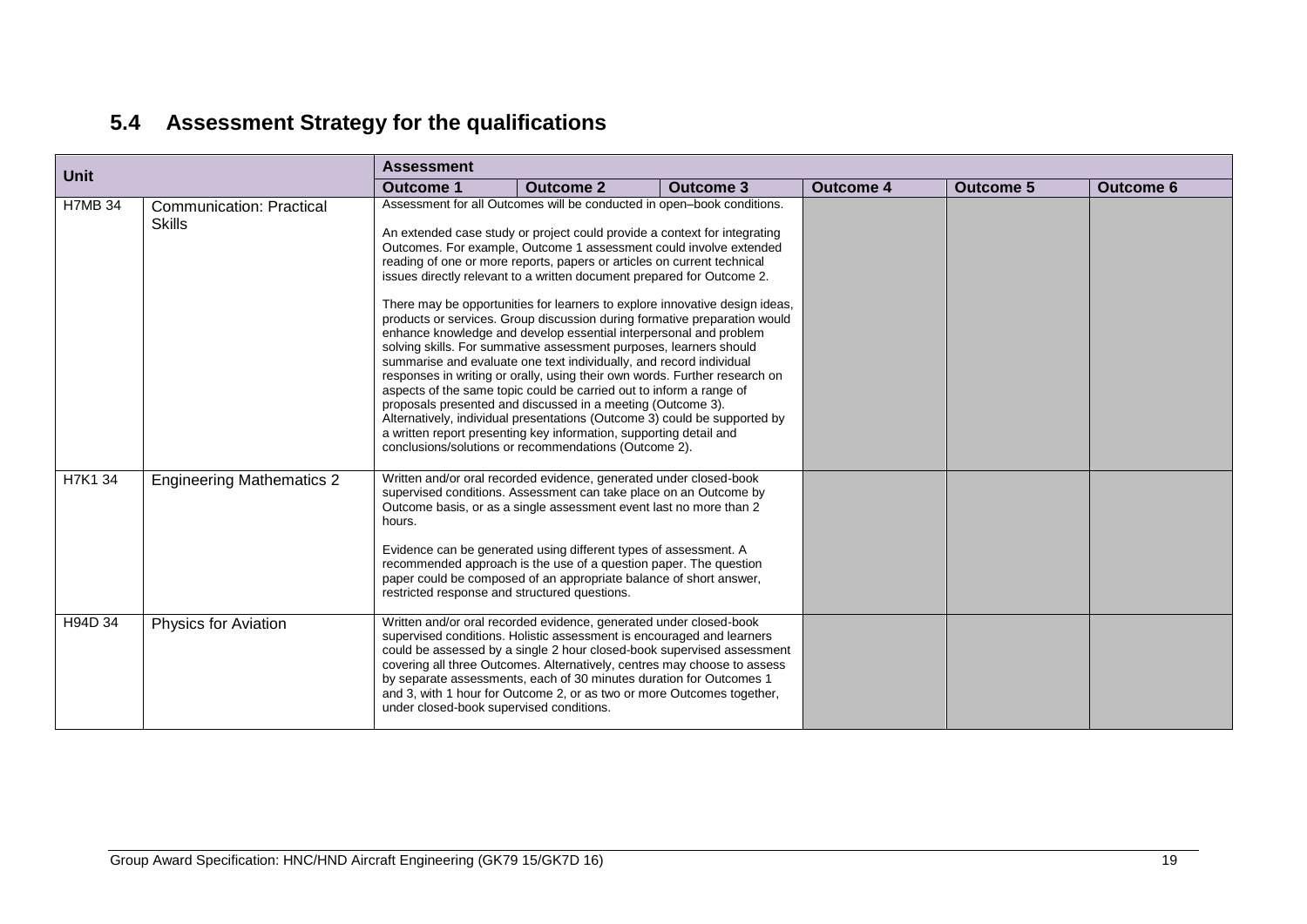# **5.4 Assessment Strategy for the qualifications**

<span id="page-20-0"></span>

| <b>Unit</b>    |                                                  | <b>Assessment</b>                                                      |                                                                                                                                                                                                                                                                                                                                                                                                                                                                                                                                                                                                                                                                                                                                                                                                                                                                                                                                                                                                                                                                                                                    |           |                  |           |                  |  |  |  |  |  |
|----------------|--------------------------------------------------|------------------------------------------------------------------------|--------------------------------------------------------------------------------------------------------------------------------------------------------------------------------------------------------------------------------------------------------------------------------------------------------------------------------------------------------------------------------------------------------------------------------------------------------------------------------------------------------------------------------------------------------------------------------------------------------------------------------------------------------------------------------------------------------------------------------------------------------------------------------------------------------------------------------------------------------------------------------------------------------------------------------------------------------------------------------------------------------------------------------------------------------------------------------------------------------------------|-----------|------------------|-----------|------------------|--|--|--|--|--|
|                |                                                  | <b>Outcome 1</b>                                                       | <b>Outcome 2</b>                                                                                                                                                                                                                                                                                                                                                                                                                                                                                                                                                                                                                                                                                                                                                                                                                                                                                                                                                                                                                                                                                                   | Outcome 3 | <b>Outcome 4</b> | Outcome 5 | <b>Outcome 6</b> |  |  |  |  |  |
| <b>H7MB 34</b> | <b>Communication: Practical</b><br><b>Skills</b> | Assessment for all Outcomes will be conducted in open-book conditions. | An extended case study or project could provide a context for integrating<br>Outcomes. For example, Outcome 1 assessment could involve extended<br>reading of one or more reports, papers or articles on current technical<br>issues directly relevant to a written document prepared for Outcome 2.<br>There may be opportunities for learners to explore innovative design ideas,<br>products or services. Group discussion during formative preparation would<br>enhance knowledge and develop essential interpersonal and problem<br>solving skills. For summative assessment purposes, learners should<br>summarise and evaluate one text individually, and record individual<br>responses in writing or orally, using their own words. Further research on<br>aspects of the same topic could be carried out to inform a range of<br>proposals presented and discussed in a meeting (Outcome 3).<br>Alternatively, individual presentations (Outcome 3) could be supported by<br>a written report presenting key information, supporting detail and<br>conclusions/solutions or recommendations (Outcome 2). |           |                  |           |                  |  |  |  |  |  |
| H7K1 34        | <b>Engineering Mathematics 2</b>                 | hours.                                                                 | Written and/or oral recorded evidence, generated under closed-book<br>supervised conditions. Assessment can take place on an Outcome by<br>Outcome basis, or as a single assessment event last no more than 2<br>Evidence can be generated using different types of assessment. A<br>recommended approach is the use of a question paper. The question<br>paper could be composed of an appropriate balance of short answer.<br>restricted response and structured questions.                                                                                                                                                                                                                                                                                                                                                                                                                                                                                                                                                                                                                                      |           |                  |           |                  |  |  |  |  |  |
| H94D 34        | <b>Physics for Aviation</b>                      | under closed-book supervised conditions.                               | Written and/or oral recorded evidence, generated under closed-book<br>supervised conditions. Holistic assessment is encouraged and learners<br>could be assessed by a single 2 hour closed-book supervised assessment<br>covering all three Outcomes. Alternatively, centres may choose to assess<br>by separate assessments, each of 30 minutes duration for Outcomes 1<br>and 3, with 1 hour for Outcome 2, or as two or more Outcomes together,                                                                                                                                                                                                                                                                                                                                                                                                                                                                                                                                                                                                                                                                 |           |                  |           |                  |  |  |  |  |  |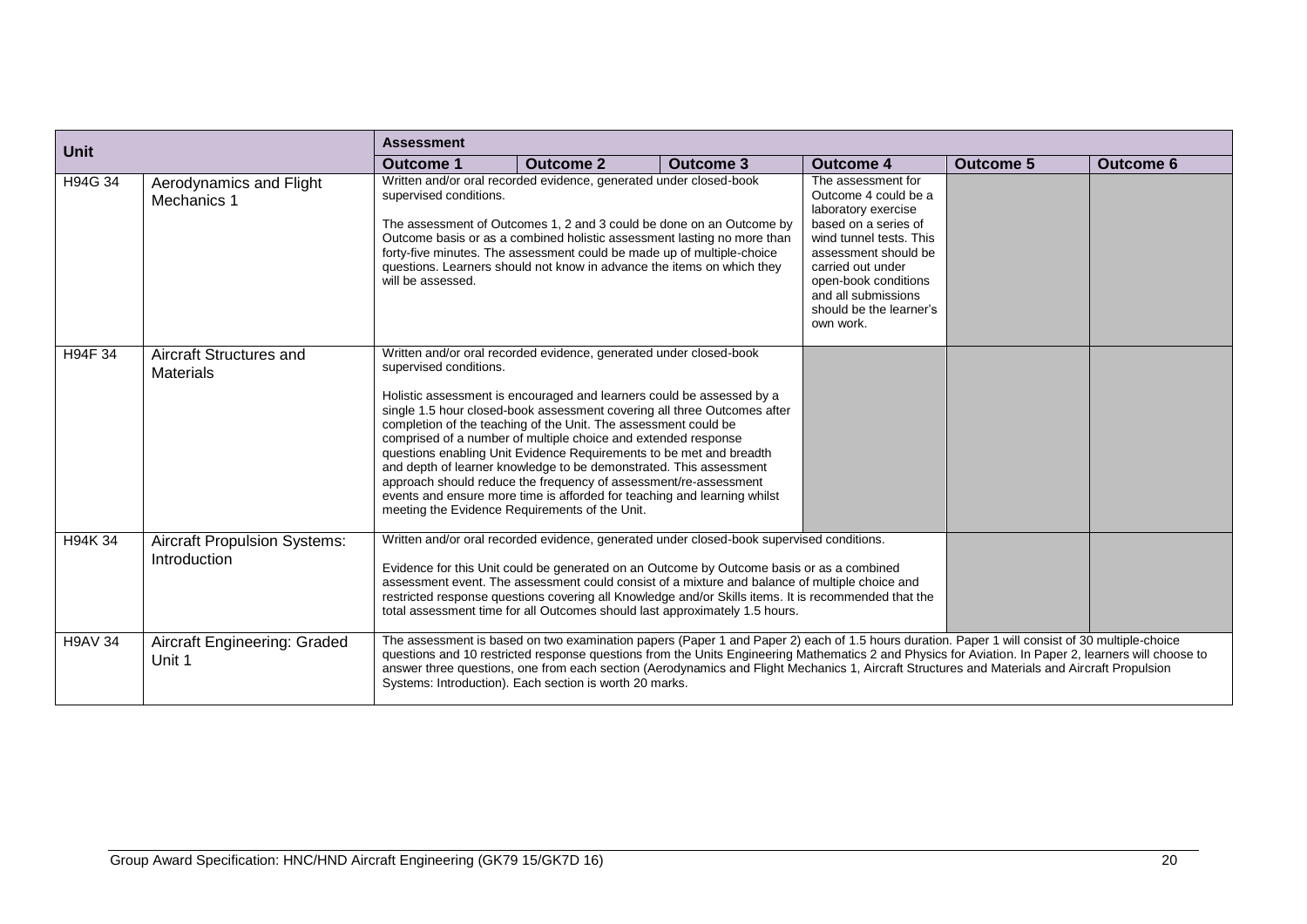| <b>Unit</b>    |                                                     | <b>Assessment</b>                                                                                                                                                                                                                                                                                                                                                                                                                                                                                                                                                                                                                                                                                                                     |                                                                                                                                                                                                                                                                                                                                                                                                                                                                                 |                  |                                                                                                                                                                                                                                                          |                  |                  |  |
|----------------|-----------------------------------------------------|---------------------------------------------------------------------------------------------------------------------------------------------------------------------------------------------------------------------------------------------------------------------------------------------------------------------------------------------------------------------------------------------------------------------------------------------------------------------------------------------------------------------------------------------------------------------------------------------------------------------------------------------------------------------------------------------------------------------------------------|---------------------------------------------------------------------------------------------------------------------------------------------------------------------------------------------------------------------------------------------------------------------------------------------------------------------------------------------------------------------------------------------------------------------------------------------------------------------------------|------------------|----------------------------------------------------------------------------------------------------------------------------------------------------------------------------------------------------------------------------------------------------------|------------------|------------------|--|
|                |                                                     | <b>Outcome 1</b>                                                                                                                                                                                                                                                                                                                                                                                                                                                                                                                                                                                                                                                                                                                      | <b>Outcome 2</b>                                                                                                                                                                                                                                                                                                                                                                                                                                                                | <b>Outcome 3</b> | <b>Outcome 4</b>                                                                                                                                                                                                                                         | <b>Outcome 5</b> | <b>Outcome 6</b> |  |
| H94G 34        | Aerodynamics and Flight<br>Mechanics 1              | Written and/or oral recorded evidence, generated under closed-book<br>supervised conditions.<br>The assessment of Outcomes 1, 2 and 3 could be done on an Outcome by<br>Outcome basis or as a combined holistic assessment lasting no more than<br>forty-five minutes. The assessment could be made up of multiple-choice<br>questions. Learners should not know in advance the items on which they<br>will be assessed.                                                                                                                                                                                                                                                                                                              |                                                                                                                                                                                                                                                                                                                                                                                                                                                                                 |                  | The assessment for<br>Outcome 4 could be a<br>laboratory exercise<br>based on a series of<br>wind tunnel tests. This<br>assessment should be<br>carried out under<br>open-book conditions<br>and all submissions<br>should be the learner's<br>own work. |                  |                  |  |
| H94F 34        | Aircraft Structures and<br><b>Materials</b>         | Written and/or oral recorded evidence, generated under closed-book<br>supervised conditions.<br>Holistic assessment is encouraged and learners could be assessed by a<br>single 1.5 hour closed-book assessment covering all three Outcomes after<br>completion of the teaching of the Unit. The assessment could be<br>comprised of a number of multiple choice and extended response<br>questions enabling Unit Evidence Requirements to be met and breadth<br>and depth of learner knowledge to be demonstrated. This assessment<br>approach should reduce the frequency of assessment/re-assessment<br>events and ensure more time is afforded for teaching and learning whilst<br>meeting the Evidence Requirements of the Unit. |                                                                                                                                                                                                                                                                                                                                                                                                                                                                                 |                  |                                                                                                                                                                                                                                                          |                  |                  |  |
| H94K 34        | <b>Aircraft Propulsion Systems:</b><br>Introduction |                                                                                                                                                                                                                                                                                                                                                                                                                                                                                                                                                                                                                                                                                                                                       | Written and/or oral recorded evidence, generated under closed-book supervised conditions.<br>Evidence for this Unit could be generated on an Outcome by Outcome basis or as a combined<br>assessment event. The assessment could consist of a mixture and balance of multiple choice and<br>restricted response questions covering all Knowledge and/or Skills items. It is recommended that the<br>total assessment time for all Outcomes should last approximately 1.5 hours. |                  |                                                                                                                                                                                                                                                          |                  |                  |  |
| <b>H9AV 34</b> | Aircraft Engineering: Graded<br>Unit 1              | The assessment is based on two examination papers (Paper 1 and Paper 2) each of 1.5 hours duration. Paper 1 will consist of 30 multiple-choice<br>questions and 10 restricted response questions from the Units Engineering Mathematics 2 and Physics for Aviation. In Paper 2, learners will choose to<br>answer three questions, one from each section (Aerodynamics and Flight Mechanics 1, Aircraft Structures and Materials and Aircraft Propulsion<br>Systems: Introduction). Each section is worth 20 marks.                                                                                                                                                                                                                   |                                                                                                                                                                                                                                                                                                                                                                                                                                                                                 |                  |                                                                                                                                                                                                                                                          |                  |                  |  |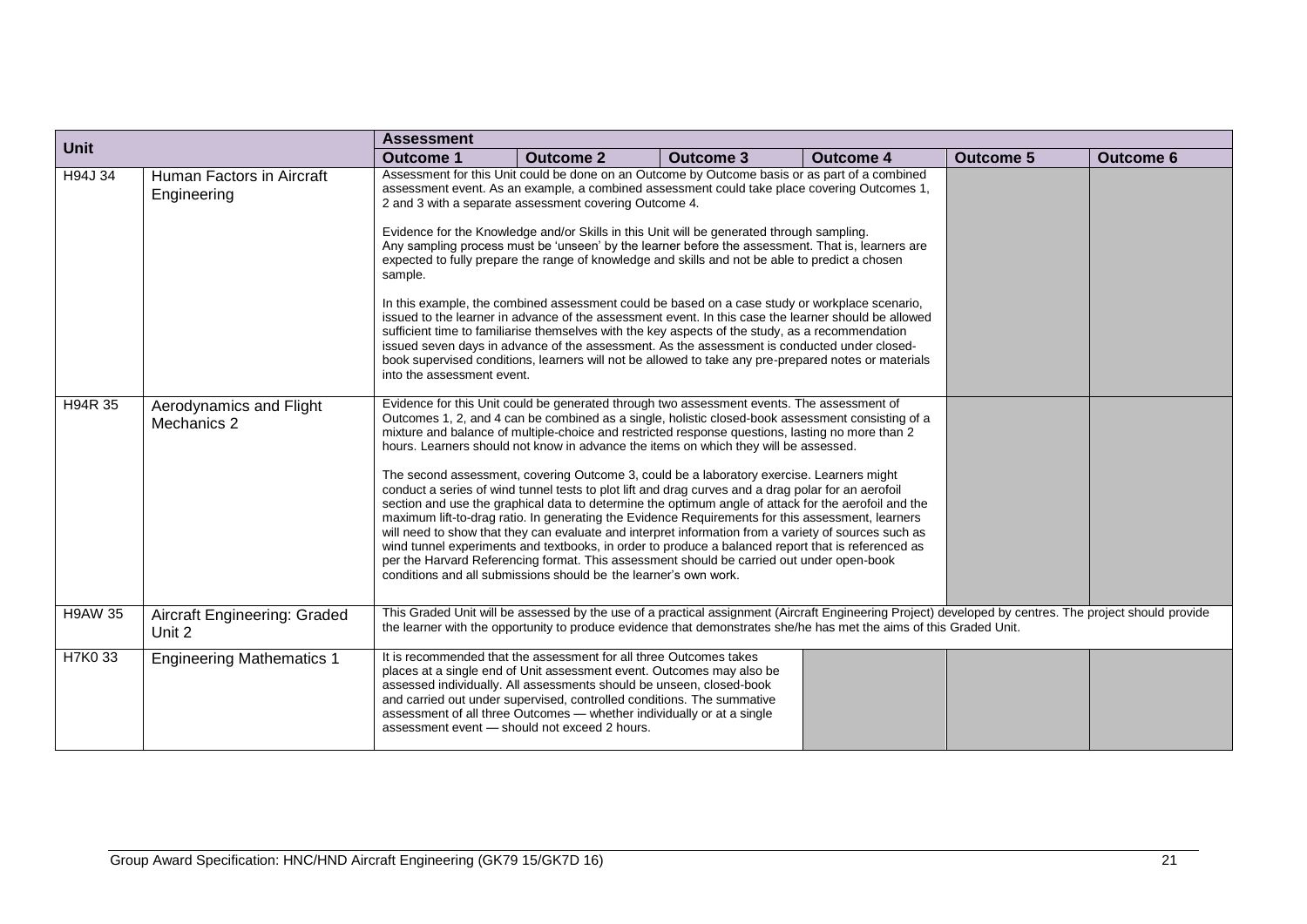| <b>Unit</b>    |                                          | <b>Assessment</b>                     |                                                                                                                                                                                                                                                                                                                                                                                                                                                                                                                                                                                                                                                                                                                                                                                                                                                                                                                                                                                                                                                                                                                                                                                             |                  |                                                                                                                                                                                                                                                                               |                  |                  |
|----------------|------------------------------------------|---------------------------------------|---------------------------------------------------------------------------------------------------------------------------------------------------------------------------------------------------------------------------------------------------------------------------------------------------------------------------------------------------------------------------------------------------------------------------------------------------------------------------------------------------------------------------------------------------------------------------------------------------------------------------------------------------------------------------------------------------------------------------------------------------------------------------------------------------------------------------------------------------------------------------------------------------------------------------------------------------------------------------------------------------------------------------------------------------------------------------------------------------------------------------------------------------------------------------------------------|------------------|-------------------------------------------------------------------------------------------------------------------------------------------------------------------------------------------------------------------------------------------------------------------------------|------------------|------------------|
|                |                                          | <b>Outcome 1</b>                      | <b>Outcome 2</b>                                                                                                                                                                                                                                                                                                                                                                                                                                                                                                                                                                                                                                                                                                                                                                                                                                                                                                                                                                                                                                                                                                                                                                            | <b>Outcome 3</b> | <b>Outcome 4</b>                                                                                                                                                                                                                                                              | <b>Outcome 5</b> | <b>Outcome 6</b> |
| H94J 34        | Human Factors in Aircraft<br>Engineering | sample.<br>into the assessment event. | Assessment for this Unit could be done on an Outcome by Outcome basis or as part of a combined<br>assessment event. As an example, a combined assessment could take place covering Outcomes 1,<br>2 and 3 with a separate assessment covering Outcome 4.<br>Evidence for the Knowledge and/or Skills in this Unit will be generated through sampling.<br>Any sampling process must be 'unseen' by the learner before the assessment. That is, learners are<br>expected to fully prepare the range of knowledge and skills and not be able to predict a chosen<br>In this example, the combined assessment could be based on a case study or workplace scenario,<br>issued to the learner in advance of the assessment event. In this case the learner should be allowed<br>sufficient time to familiarise themselves with the key aspects of the study, as a recommendation<br>issued seven days in advance of the assessment. As the assessment is conducted under closed-<br>book supervised conditions, learners will not be allowed to take any pre-prepared notes or materials                                                                                                         |                  |                                                                                                                                                                                                                                                                               |                  |                  |
| H94R 35        | Aerodynamics and Flight<br>Mechanics 2   |                                       | Evidence for this Unit could be generated through two assessment events. The assessment of<br>Outcomes 1, 2, and 4 can be combined as a single, holistic closed-book assessment consisting of a<br>mixture and balance of multiple-choice and restricted response questions, lasting no more than 2<br>hours. Learners should not know in advance the items on which they will be assessed.<br>The second assessment, covering Outcome 3, could be a laboratory exercise. Learners might<br>conduct a series of wind tunnel tests to plot lift and drag curves and a drag polar for an aerofoil<br>section and use the graphical data to determine the optimum angle of attack for the aerofoil and the<br>maximum lift-to-drag ratio. In generating the Evidence Requirements for this assessment, learners<br>will need to show that they can evaluate and interpret information from a variety of sources such as<br>wind tunnel experiments and textbooks, in order to produce a balanced report that is referenced as<br>per the Harvard Referencing format. This assessment should be carried out under open-book<br>conditions and all submissions should be the learner's own work. |                  |                                                                                                                                                                                                                                                                               |                  |                  |
| <b>H9AW 35</b> | Aircraft Engineering: Graded<br>Unit 2   |                                       |                                                                                                                                                                                                                                                                                                                                                                                                                                                                                                                                                                                                                                                                                                                                                                                                                                                                                                                                                                                                                                                                                                                                                                                             |                  | This Graded Unit will be assessed by the use of a practical assignment (Aircraft Engineering Project) developed by centres. The project should provide<br>the learner with the opportunity to produce evidence that demonstrates she/he has met the aims of this Graded Unit. |                  |                  |
| H7K0 33        | <b>Engineering Mathematics 1</b>         |                                       | It is recommended that the assessment for all three Outcomes takes<br>places at a single end of Unit assessment event. Outcomes may also be<br>assessed individually. All assessments should be unseen, closed-book<br>and carried out under supervised, controlled conditions. The summative<br>assessment of all three Outcomes - whether individually or at a single<br>assessment event - should not exceed 2 hours.                                                                                                                                                                                                                                                                                                                                                                                                                                                                                                                                                                                                                                                                                                                                                                    |                  |                                                                                                                                                                                                                                                                               |                  |                  |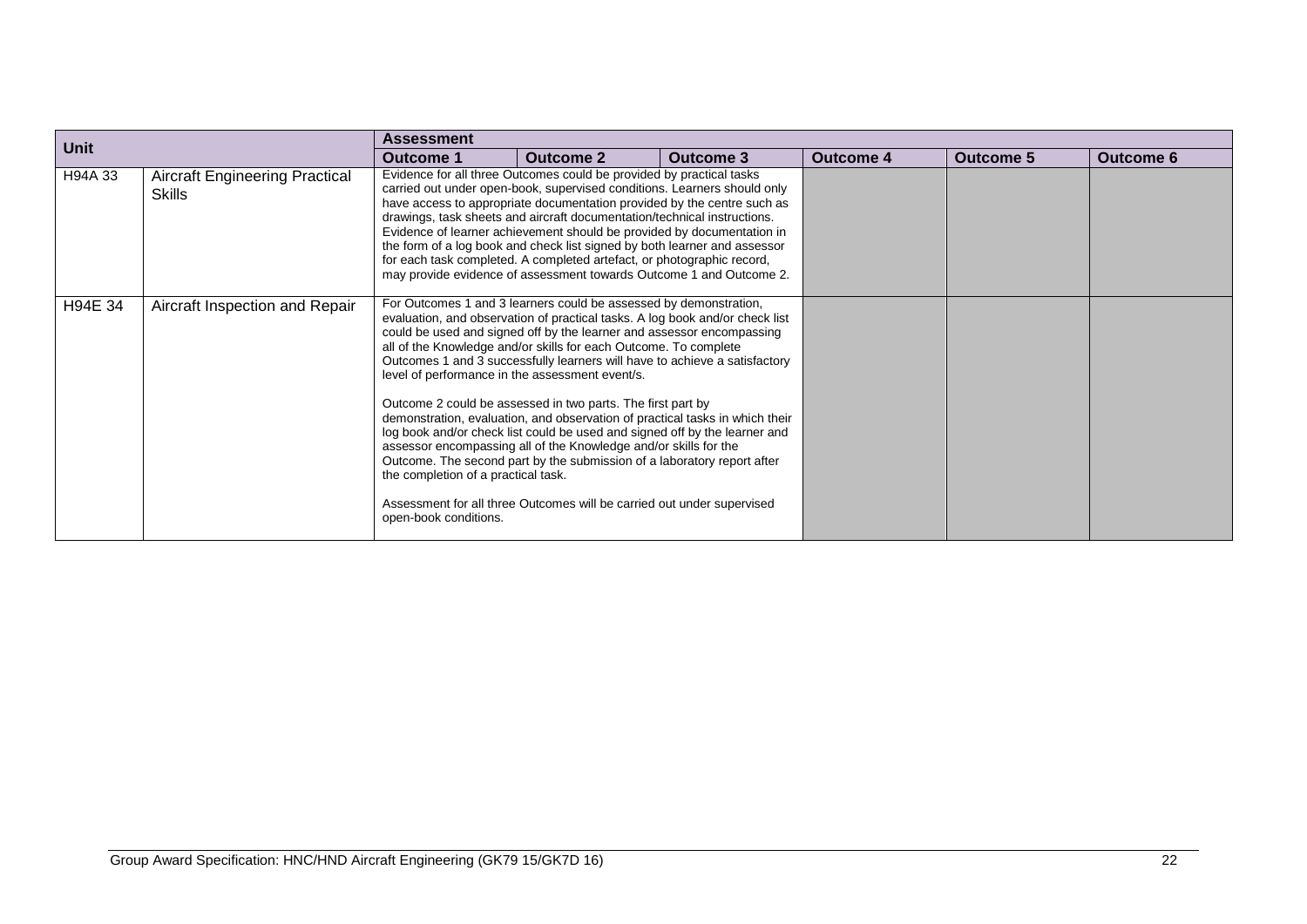| <b>Unit</b> |                                                        | <b>Assessment</b>                                            |                                                                                                                                                                                                                                                                                                                                                                                                                                                                                                                                                                                                                                                                                                                                                                                                                                                                                       |                  |                  |                  |                  |
|-------------|--------------------------------------------------------|--------------------------------------------------------------|---------------------------------------------------------------------------------------------------------------------------------------------------------------------------------------------------------------------------------------------------------------------------------------------------------------------------------------------------------------------------------------------------------------------------------------------------------------------------------------------------------------------------------------------------------------------------------------------------------------------------------------------------------------------------------------------------------------------------------------------------------------------------------------------------------------------------------------------------------------------------------------|------------------|------------------|------------------|------------------|
|             |                                                        | <b>Outcome 1</b>                                             | <b>Outcome 2</b>                                                                                                                                                                                                                                                                                                                                                                                                                                                                                                                                                                                                                                                                                                                                                                                                                                                                      | <b>Outcome 3</b> | <b>Outcome 4</b> | <b>Outcome 5</b> | <b>Outcome 6</b> |
| H94A 33     | <b>Aircraft Engineering Practical</b><br><b>Skills</b> |                                                              | Evidence for all three Outcomes could be provided by practical tasks<br>carried out under open-book, supervised conditions. Learners should only<br>have access to appropriate documentation provided by the centre such as<br>drawings, task sheets and aircraft documentation/technical instructions.<br>Evidence of learner achievement should be provided by documentation in<br>the form of a log book and check list signed by both learner and assessor<br>for each task completed. A completed artefact, or photographic record,<br>may provide evidence of assessment towards Outcome 1 and Outcome 2.                                                                                                                                                                                                                                                                       |                  |                  |                  |                  |
| H94E 34     | Aircraft Inspection and Repair                         | the completion of a practical task.<br>open-book conditions. | For Outcomes 1 and 3 learners could be assessed by demonstration,<br>evaluation, and observation of practical tasks. A log book and/or check list<br>could be used and signed off by the learner and assessor encompassing<br>all of the Knowledge and/or skills for each Outcome. To complete<br>Outcomes 1 and 3 successfully learners will have to achieve a satisfactory<br>level of performance in the assessment event/s.<br>Outcome 2 could be assessed in two parts. The first part by<br>demonstration, evaluation, and observation of practical tasks in which their<br>log book and/or check list could be used and signed off by the learner and<br>assessor encompassing all of the Knowledge and/or skills for the<br>Outcome. The second part by the submission of a laboratory report after<br>Assessment for all three Outcomes will be carried out under supervised |                  |                  |                  |                  |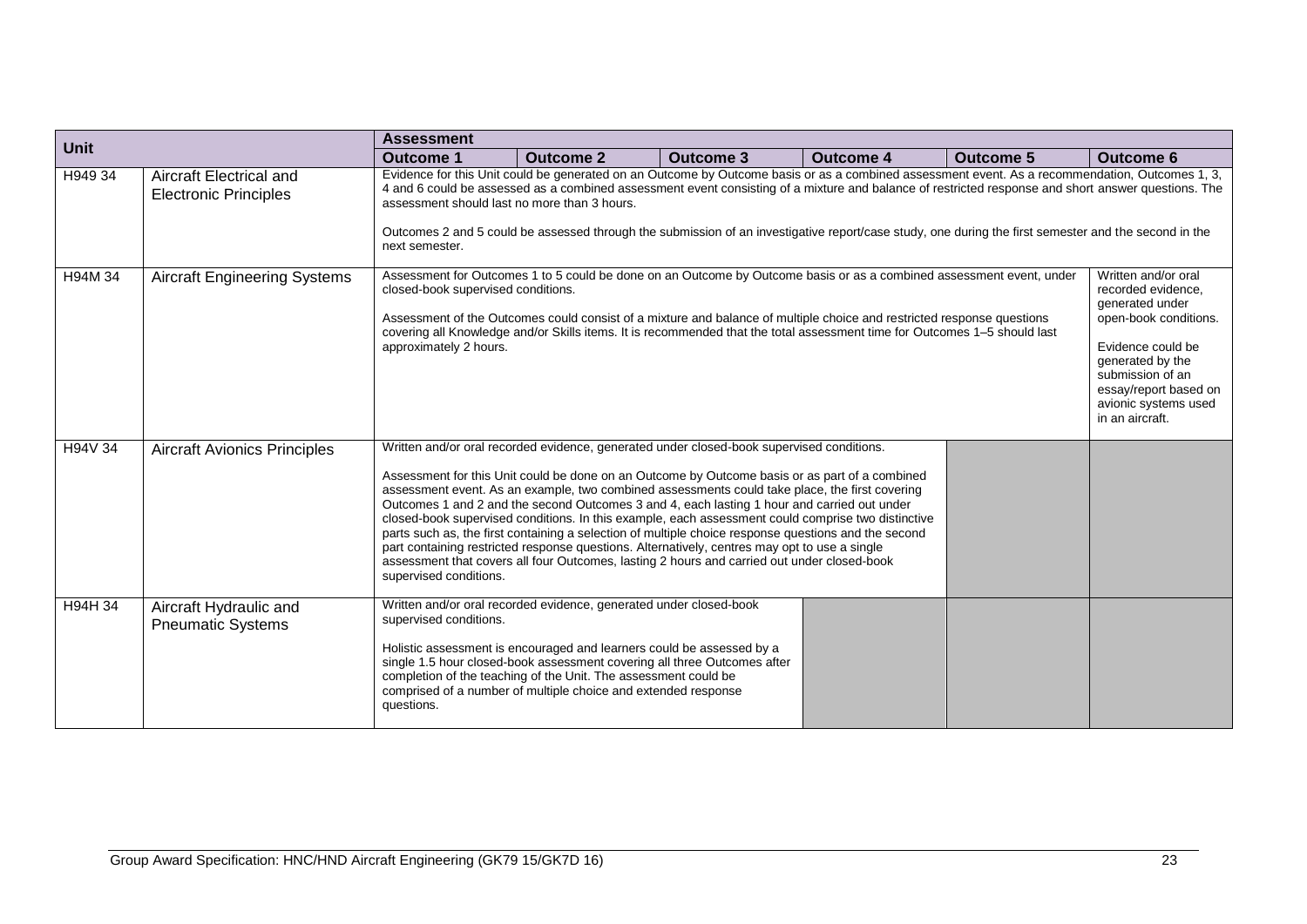| Unit    |                                                         | <b>Assessment</b>                    |                                                                                                                                                                                                                                                                                                                                                                                                                                                                                                                                                                                                                                                                                                                                                                                                            |                  |                  |           |                  |  |  |  |  |  |
|---------|---------------------------------------------------------|--------------------------------------|------------------------------------------------------------------------------------------------------------------------------------------------------------------------------------------------------------------------------------------------------------------------------------------------------------------------------------------------------------------------------------------------------------------------------------------------------------------------------------------------------------------------------------------------------------------------------------------------------------------------------------------------------------------------------------------------------------------------------------------------------------------------------------------------------------|------------------|------------------|-----------|------------------|--|--|--|--|--|
|         |                                                         | <b>Outcome 1</b>                     | <b>Outcome 2</b>                                                                                                                                                                                                                                                                                                                                                                                                                                                                                                                                                                                                                                                                                                                                                                                           | <b>Outcome 3</b> | <b>Outcome 4</b> | Outcome 5 | <b>Outcome 6</b> |  |  |  |  |  |
| H949 34 | Aircraft Electrical and<br><b>Electronic Principles</b> | next semester.                       | Evidence for this Unit could be generated on an Outcome by Outcome basis or as a combined assessment event. As a recommendation, Outcomes 1, 3,<br>4 and 6 could be assessed as a combined assessment event consisting of a mixture and balance of restricted response and short answer questions. The<br>assessment should last no more than 3 hours.<br>Outcomes 2 and 5 could be assessed through the submission of an investigative report/case study, one during the first semester and the second in the<br>Written and/or oral                                                                                                                                                                                                                                                                      |                  |                  |           |                  |  |  |  |  |  |
| H94M 34 | <b>Aircraft Engineering Systems</b>                     | approximately 2 hours.               | Assessment for Outcomes 1 to 5 could be done on an Outcome by Outcome basis or as a combined assessment event, under<br>closed-book supervised conditions.<br>recorded evidence,<br>generated under<br>Assessment of the Outcomes could consist of a mixture and balance of multiple choice and restricted response questions<br>open-book conditions.<br>covering all Knowledge and/or Skills items. It is recommended that the total assessment time for Outcomes 1-5 should last<br>Evidence could be<br>generated by the<br>submission of an<br>essay/report based on<br>avionic systems used<br>in an aircraft.                                                                                                                                                                                       |                  |                  |           |                  |  |  |  |  |  |
| H94V 34 | <b>Aircraft Avionics Principles</b>                     | supervised conditions.               | Written and/or oral recorded evidence, generated under closed-book supervised conditions.<br>Assessment for this Unit could be done on an Outcome by Outcome basis or as part of a combined<br>assessment event. As an example, two combined assessments could take place, the first covering<br>Outcomes 1 and 2 and the second Outcomes 3 and 4, each lasting 1 hour and carried out under<br>closed-book supervised conditions. In this example, each assessment could comprise two distinctive<br>parts such as, the first containing a selection of multiple choice response questions and the second<br>part containing restricted response questions. Alternatively, centres may opt to use a single<br>assessment that covers all four Outcomes, lasting 2 hours and carried out under closed-book |                  |                  |           |                  |  |  |  |  |  |
| H94H 34 | Aircraft Hydraulic and<br><b>Pneumatic Systems</b>      | supervised conditions.<br>questions. | Written and/or oral recorded evidence, generated under closed-book<br>Holistic assessment is encouraged and learners could be assessed by a<br>single 1.5 hour closed-book assessment covering all three Outcomes after<br>completion of the teaching of the Unit. The assessment could be<br>comprised of a number of multiple choice and extended response                                                                                                                                                                                                                                                                                                                                                                                                                                               |                  |                  |           |                  |  |  |  |  |  |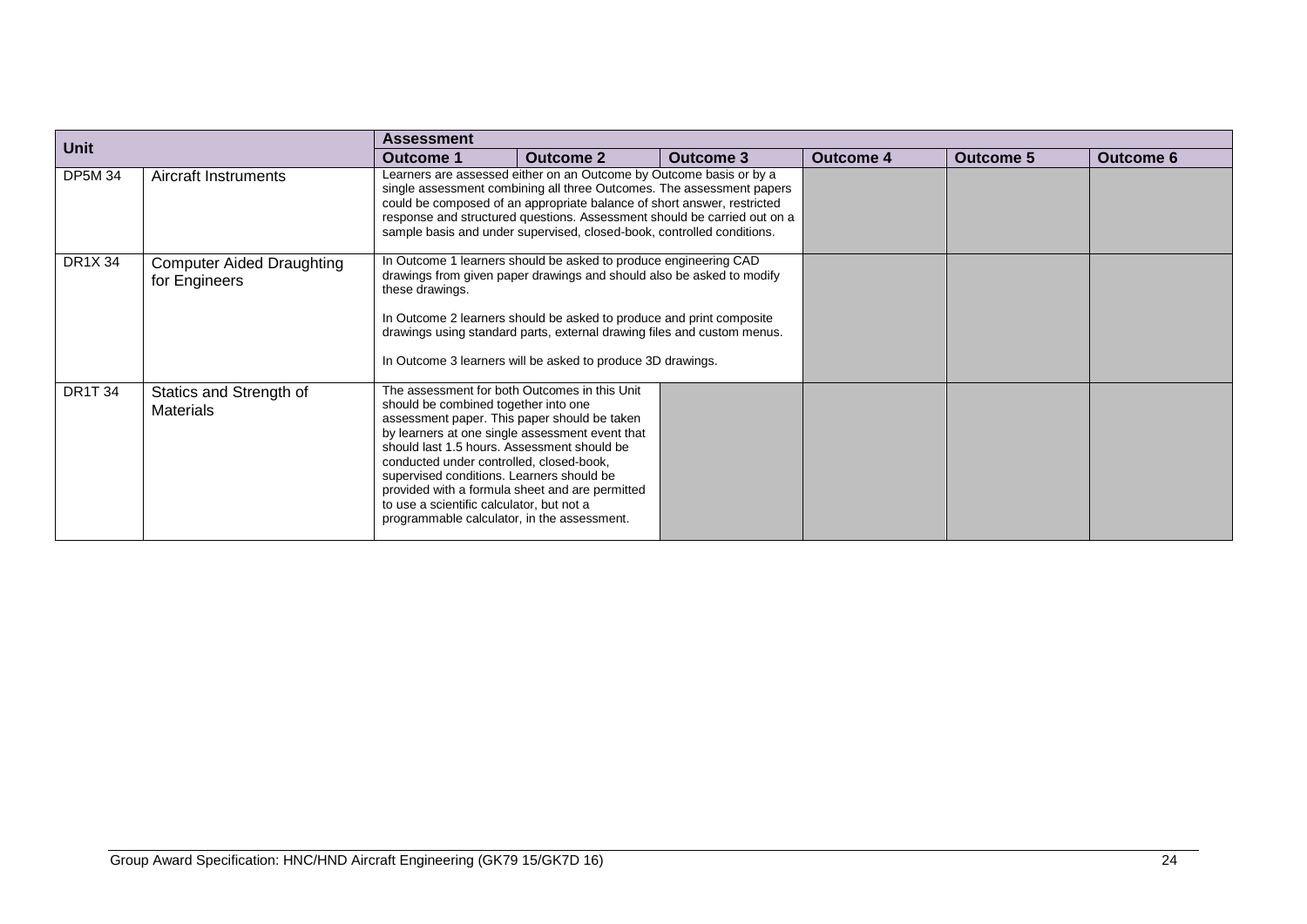| <b>Unit</b>    |                                                   | Assessment                                                                                                                                                                                                                                                               |                                                                                                                                                                                                                                                                                                                                                                                                                                                   |                  |                  |                  |                  |  |  |  |  |  |
|----------------|---------------------------------------------------|--------------------------------------------------------------------------------------------------------------------------------------------------------------------------------------------------------------------------------------------------------------------------|---------------------------------------------------------------------------------------------------------------------------------------------------------------------------------------------------------------------------------------------------------------------------------------------------------------------------------------------------------------------------------------------------------------------------------------------------|------------------|------------------|------------------|------------------|--|--|--|--|--|
|                |                                                   | Outcome 1                                                                                                                                                                                                                                                                | <b>Outcome 2</b>                                                                                                                                                                                                                                                                                                                                                                                                                                  | <b>Outcome 3</b> | <b>Outcome 4</b> | <b>Outcome 5</b> | <b>Outcome 6</b> |  |  |  |  |  |
| <b>DP5M 34</b> | Aircraft Instruments                              |                                                                                                                                                                                                                                                                          | Learners are assessed either on an Outcome by Outcome basis or by a<br>single assessment combining all three Outcomes. The assessment papers<br>could be composed of an appropriate balance of short answer, restricted<br>response and structured questions. Assessment should be carried out on a<br>sample basis and under supervised, closed-book, controlled conditions.<br>In Outcome 1 learners should be asked to produce engineering CAD |                  |                  |                  |                  |  |  |  |  |  |
| DR1X 34        | <b>Computer Aided Draughting</b><br>for Engineers | these drawings.                                                                                                                                                                                                                                                          | drawings from given paper drawings and should also be asked to modify<br>In Outcome 2 learners should be asked to produce and print composite<br>drawings using standard parts, external drawing files and custom menus.<br>In Outcome 3 learners will be asked to produce 3D drawings.                                                                                                                                                           |                  |                  |                  |                  |  |  |  |  |  |
| <b>DR1T34</b>  | Statics and Strength of<br><b>Materials</b>       | should be combined together into one<br>should last 1.5 hours. Assessment should be<br>conducted under controlled, closed-book,<br>supervised conditions. Learners should be<br>to use a scientific calculator, but not a<br>programmable calculator, in the assessment. | The assessment for both Outcomes in this Unit<br>assessment paper. This paper should be taken<br>by learners at one single assessment event that<br>provided with a formula sheet and are permitted                                                                                                                                                                                                                                               |                  |                  |                  |                  |  |  |  |  |  |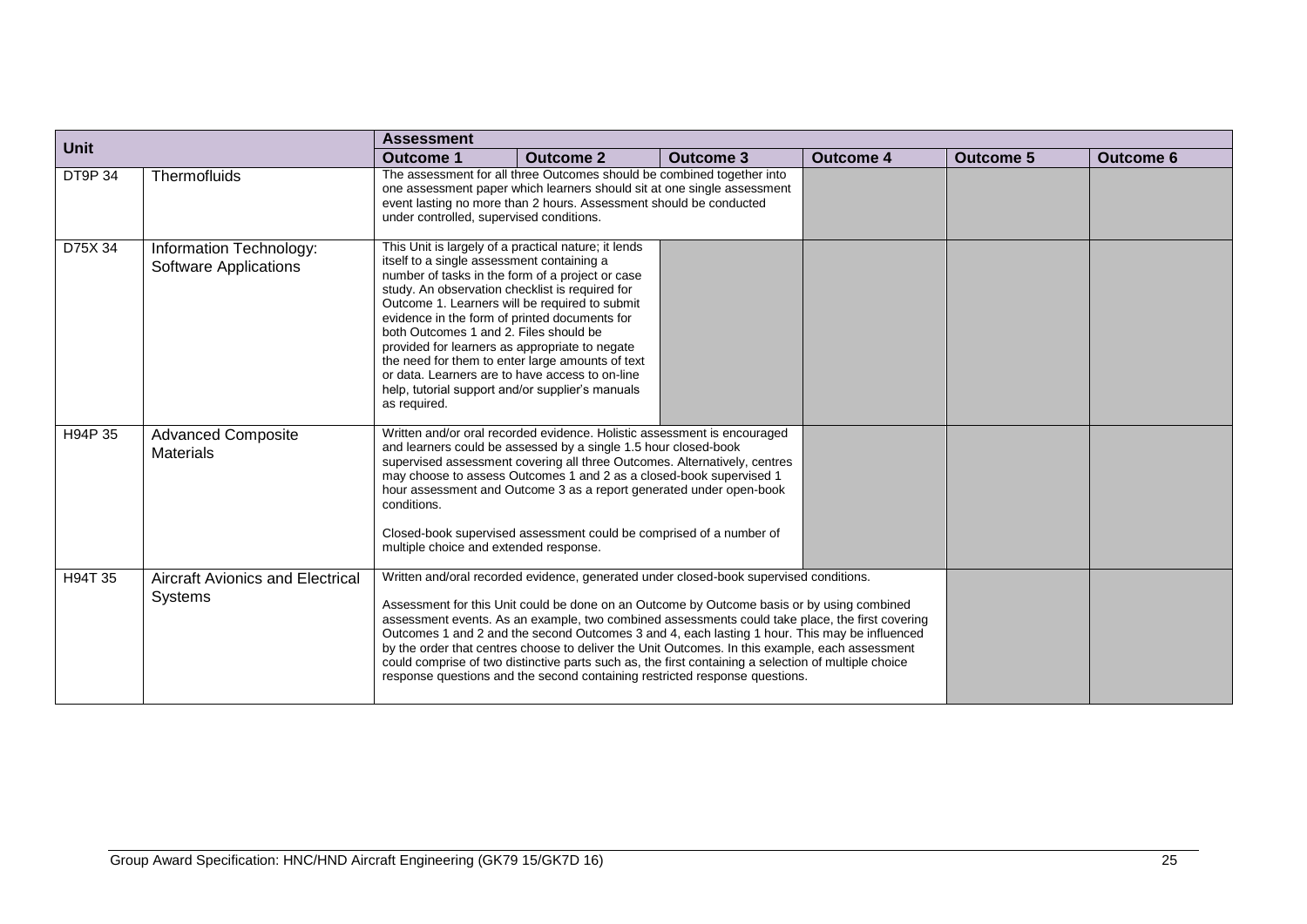| <b>Unit</b> |                                                           | <b>Assessment</b>                                                                                                                                                                                                                                                                                                                                                                                                                                                                                                                                                                   |                                                                                                                                                                                                                                                                                                                                                                                                                                                                                                                                                                                                                                                                                    |                  |                  |                  |                  |  |  |  |  |  |
|-------------|-----------------------------------------------------------|-------------------------------------------------------------------------------------------------------------------------------------------------------------------------------------------------------------------------------------------------------------------------------------------------------------------------------------------------------------------------------------------------------------------------------------------------------------------------------------------------------------------------------------------------------------------------------------|------------------------------------------------------------------------------------------------------------------------------------------------------------------------------------------------------------------------------------------------------------------------------------------------------------------------------------------------------------------------------------------------------------------------------------------------------------------------------------------------------------------------------------------------------------------------------------------------------------------------------------------------------------------------------------|------------------|------------------|------------------|------------------|--|--|--|--|--|
|             |                                                           | <b>Outcome 1</b>                                                                                                                                                                                                                                                                                                                                                                                                                                                                                                                                                                    | <b>Outcome 2</b>                                                                                                                                                                                                                                                                                                                                                                                                                                                                                                                                                                                                                                                                   | <b>Outcome 3</b> | <b>Outcome 4</b> | <b>Outcome 5</b> | <b>Outcome 6</b> |  |  |  |  |  |
| DT9P 34     | Thermofluids                                              | under controlled, supervised conditions.                                                                                                                                                                                                                                                                                                                                                                                                                                                                                                                                            | The assessment for all three Outcomes should be combined together into<br>one assessment paper which learners should sit at one single assessment<br>event lasting no more than 2 hours. Assessment should be conducted                                                                                                                                                                                                                                                                                                                                                                                                                                                            |                  |                  |                  |                  |  |  |  |  |  |
| D75X 34     | Information Technology:<br><b>Software Applications</b>   | This Unit is largely of a practical nature; it lends<br>itself to a single assessment containing a<br>number of tasks in the form of a project or case<br>study. An observation checklist is required for<br>Outcome 1. Learners will be required to submit<br>evidence in the form of printed documents for<br>both Outcomes 1 and 2. Files should be<br>provided for learners as appropriate to negate<br>the need for them to enter large amounts of text<br>or data. Learners are to have access to on-line<br>help, tutorial support and/or supplier's manuals<br>as required. |                                                                                                                                                                                                                                                                                                                                                                                                                                                                                                                                                                                                                                                                                    |                  |                  |                  |                  |  |  |  |  |  |
| H94P 35     | <b>Advanced Composite</b><br>Materials                    | conditions.<br>multiple choice and extended response.                                                                                                                                                                                                                                                                                                                                                                                                                                                                                                                               | Written and/or oral recorded evidence. Holistic assessment is encouraged<br>and learners could be assessed by a single 1.5 hour closed-book<br>supervised assessment covering all three Outcomes. Alternatively, centres<br>may choose to assess Outcomes 1 and 2 as a closed-book supervised 1<br>hour assessment and Outcome 3 as a report generated under open-book<br>Closed-book supervised assessment could be comprised of a number of                                                                                                                                                                                                                                      |                  |                  |                  |                  |  |  |  |  |  |
| H94T 35     | <b>Aircraft Avionics and Electrical</b><br><b>Systems</b> |                                                                                                                                                                                                                                                                                                                                                                                                                                                                                                                                                                                     | Written and/oral recorded evidence, generated under closed-book supervised conditions.<br>Assessment for this Unit could be done on an Outcome by Outcome basis or by using combined<br>assessment events. As an example, two combined assessments could take place, the first covering<br>Outcomes 1 and 2 and the second Outcomes 3 and 4, each lasting 1 hour. This may be influenced<br>by the order that centres choose to deliver the Unit Outcomes. In this example, each assessment<br>could comprise of two distinctive parts such as, the first containing a selection of multiple choice<br>response questions and the second containing restricted response questions. |                  |                  |                  |                  |  |  |  |  |  |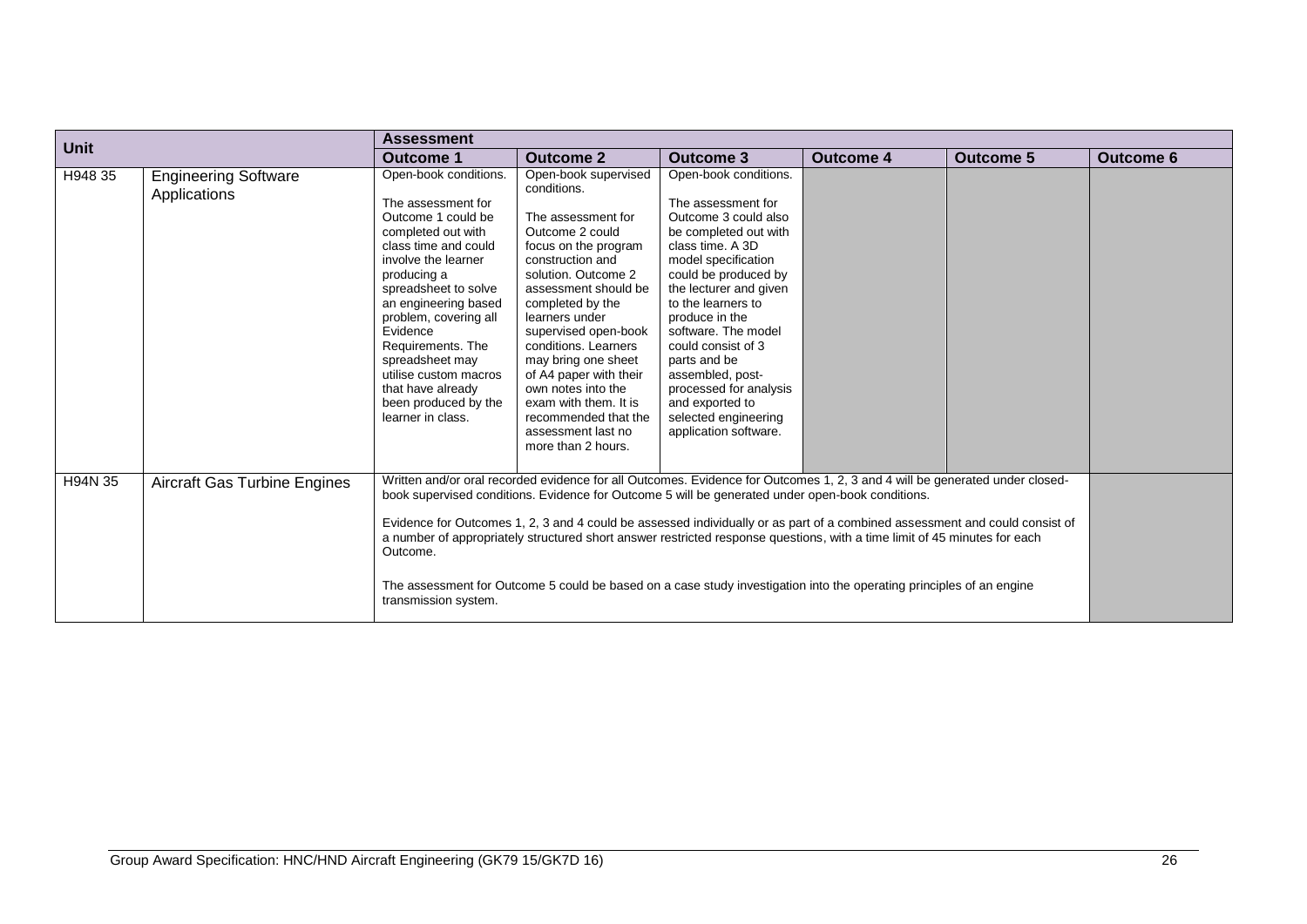| <b>Unit</b> |                                             | <b>Assessment</b>                                                                                                                                                                                                                                                                                                                                                             |                                                                                                                                                                                                                                                                                                                                                                                                                                                                                                                                                                                                                     |                                                                                                                                                                                                                                                                                                                                                                                                                  |                  |                  |                  |
|-------------|---------------------------------------------|-------------------------------------------------------------------------------------------------------------------------------------------------------------------------------------------------------------------------------------------------------------------------------------------------------------------------------------------------------------------------------|---------------------------------------------------------------------------------------------------------------------------------------------------------------------------------------------------------------------------------------------------------------------------------------------------------------------------------------------------------------------------------------------------------------------------------------------------------------------------------------------------------------------------------------------------------------------------------------------------------------------|------------------------------------------------------------------------------------------------------------------------------------------------------------------------------------------------------------------------------------------------------------------------------------------------------------------------------------------------------------------------------------------------------------------|------------------|------------------|------------------|
|             |                                             | <b>Outcome 1</b>                                                                                                                                                                                                                                                                                                                                                              | <b>Outcome 2</b>                                                                                                                                                                                                                                                                                                                                                                                                                                                                                                                                                                                                    | <b>Outcome 3</b>                                                                                                                                                                                                                                                                                                                                                                                                 | <b>Outcome 4</b> | <b>Outcome 5</b> | <b>Outcome 6</b> |
| H948 35     | <b>Engineering Software</b><br>Applications | Open-book conditions.<br>The assessment for<br>Outcome 1 could be<br>completed out with<br>class time and could<br>involve the learner<br>producing a<br>spreadsheet to solve<br>an engineering based<br>problem, covering all<br>Evidence<br>Requirements. The<br>spreadsheet may<br>utilise custom macros<br>that have already<br>been produced by the<br>learner in class. | Open-book supervised<br>conditions.<br>The assessment for<br>Outcome 2 could<br>focus on the program<br>construction and<br>solution. Outcome 2<br>assessment should be<br>completed by the<br>learners under<br>supervised open-book<br>conditions. Learners<br>may bring one sheet<br>of A4 paper with their<br>own notes into the<br>exam with them. It is<br>recommended that the<br>assessment last no<br>more than 2 hours.                                                                                                                                                                                   | Open-book conditions.<br>The assessment for<br>Outcome 3 could also<br>be completed out with<br>class time. A 3D<br>model specification<br>could be produced by<br>the lecturer and given<br>to the learners to<br>produce in the<br>software. The model<br>could consist of 3<br>parts and be<br>assembled, post-<br>processed for analysis<br>and exported to<br>selected engineering<br>application software. |                  |                  |                  |
| H94N 35     | Aircraft Gas Turbine Engines                | Outcome.<br>transmission system.                                                                                                                                                                                                                                                                                                                                              | Written and/or oral recorded evidence for all Outcomes. Evidence for Outcomes 1, 2, 3 and 4 will be generated under closed-<br>book supervised conditions. Evidence for Outcome 5 will be generated under open-book conditions.<br>Evidence for Outcomes 1, 2, 3 and 4 could be assessed individually or as part of a combined assessment and could consist of<br>a number of appropriately structured short answer restricted response questions, with a time limit of 45 minutes for each<br>The assessment for Outcome 5 could be based on a case study investigation into the operating principles of an engine |                                                                                                                                                                                                                                                                                                                                                                                                                  |                  |                  |                  |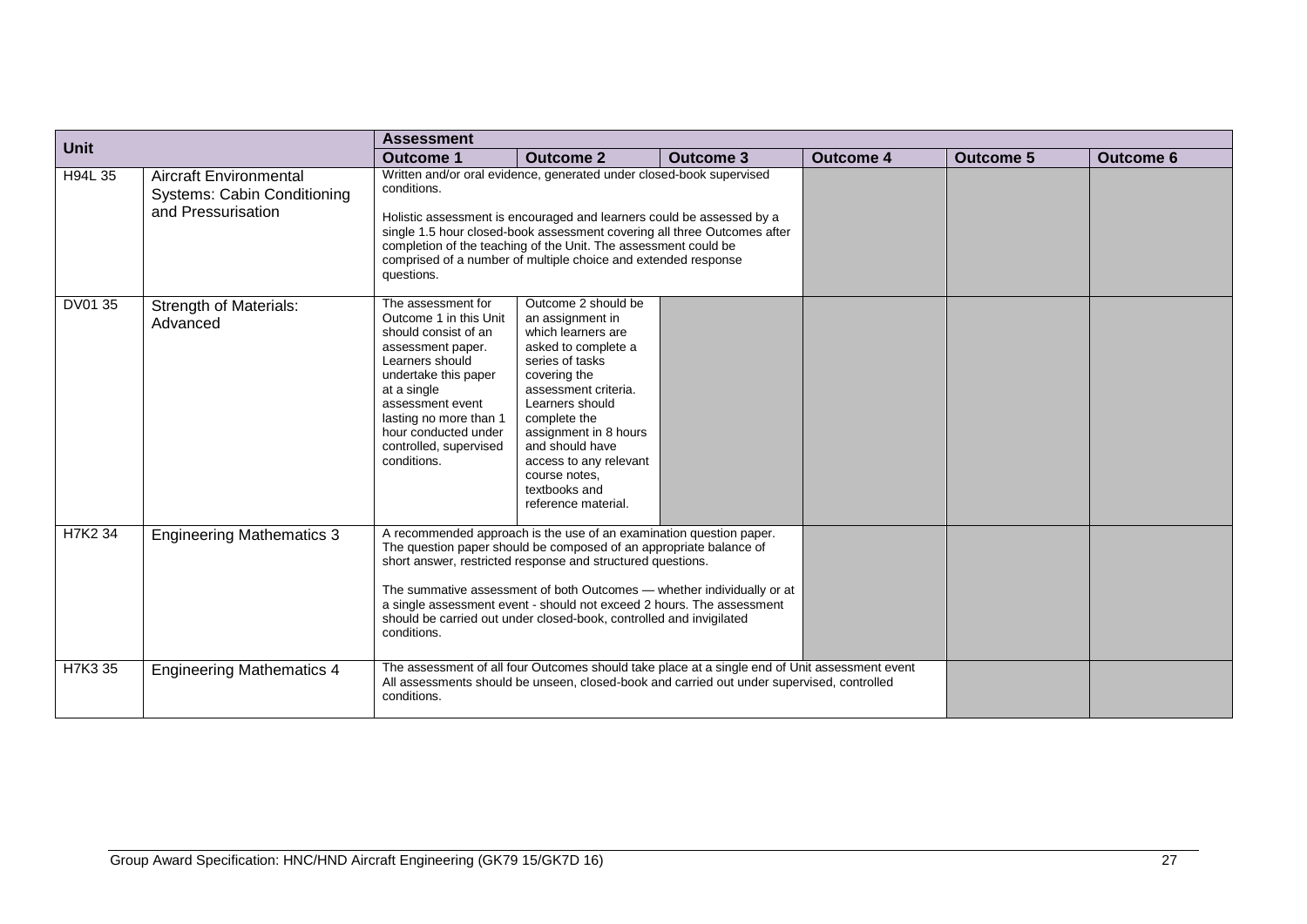| <b>Unit</b> |                                                                                           | <b>Assessment</b>                                                                                                                                                                                                                                                                                                                                                                                                                                 |                                                                                                                                                                                                                                                                                                                                                                |                                                                                                                                                                                              |                  |                  |                  |
|-------------|-------------------------------------------------------------------------------------------|---------------------------------------------------------------------------------------------------------------------------------------------------------------------------------------------------------------------------------------------------------------------------------------------------------------------------------------------------------------------------------------------------------------------------------------------------|----------------------------------------------------------------------------------------------------------------------------------------------------------------------------------------------------------------------------------------------------------------------------------------------------------------------------------------------------------------|----------------------------------------------------------------------------------------------------------------------------------------------------------------------------------------------|------------------|------------------|------------------|
|             |                                                                                           | <b>Outcome 1</b>                                                                                                                                                                                                                                                                                                                                                                                                                                  | <b>Outcome 2</b>                                                                                                                                                                                                                                                                                                                                               | <b>Outcome 3</b>                                                                                                                                                                             | <b>Outcome 4</b> | <b>Outcome 5</b> | <b>Outcome 6</b> |
| H94L 35     | <b>Aircraft Environmental</b><br><b>Systems: Cabin Conditioning</b><br>and Pressurisation | conditions.<br>questions.                                                                                                                                                                                                                                                                                                                                                                                                                         | Written and/or oral evidence, generated under closed-book supervised<br>Holistic assessment is encouraged and learners could be assessed by a<br>single 1.5 hour closed-book assessment covering all three Outcomes after<br>completion of the teaching of the Unit. The assessment could be<br>comprised of a number of multiple choice and extended response |                                                                                                                                                                                              |                  |                  |                  |
| DV01 35     | <b>Strength of Materials:</b><br>Advanced                                                 | The assessment for<br>Outcome 1 in this Unit<br>should consist of an<br>assessment paper.<br>Learners should<br>undertake this paper<br>at a single<br>assessment event<br>lasting no more than 1<br>hour conducted under<br>controlled, supervised<br>conditions.                                                                                                                                                                                | Outcome 2 should be<br>an assignment in<br>which learners are<br>asked to complete a<br>series of tasks<br>covering the<br>assessment criteria.<br>Learners should<br>complete the<br>assignment in 8 hours<br>and should have<br>access to any relevant<br>course notes.<br>textbooks and<br>reference material.                                              |                                                                                                                                                                                              |                  |                  |                  |
| H7K2 34     | <b>Engineering Mathematics 3</b>                                                          | A recommended approach is the use of an examination question paper.<br>The question paper should be composed of an appropriate balance of<br>short answer, restricted response and structured questions.<br>The summative assessment of both Outcomes - whether individually or at<br>a single assessment event - should not exceed 2 hours. The assessment<br>should be carried out under closed-book, controlled and invigilated<br>conditions. |                                                                                                                                                                                                                                                                                                                                                                |                                                                                                                                                                                              |                  |                  |                  |
| H7K3 35     | <b>Engineering Mathematics 4</b>                                                          | conditions.                                                                                                                                                                                                                                                                                                                                                                                                                                       |                                                                                                                                                                                                                                                                                                                                                                | The assessment of all four Outcomes should take place at a single end of Unit assessment event<br>All assessments should be unseen, closed-book and carried out under supervised, controlled |                  |                  |                  |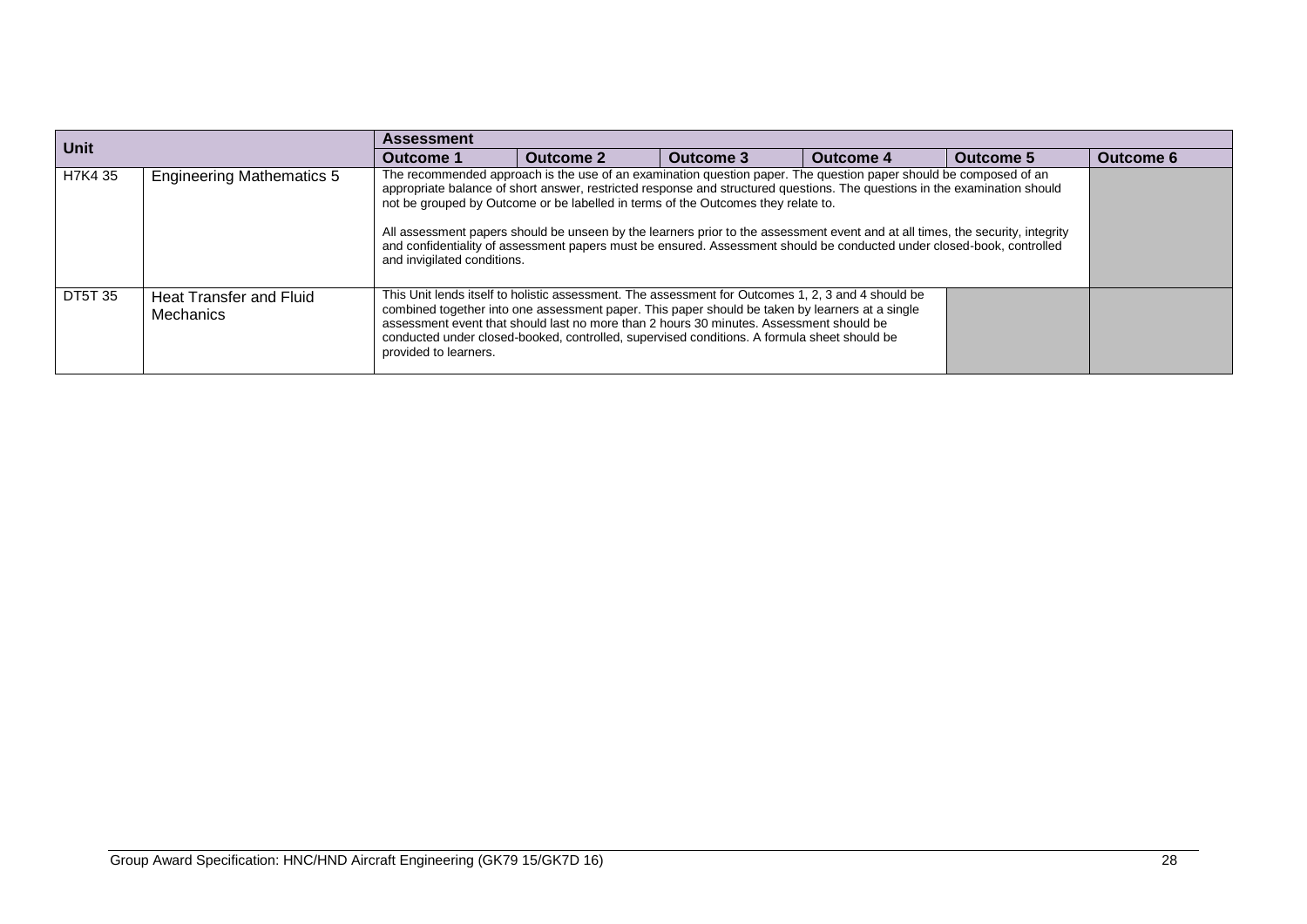| <b>Unit</b>    |                                             | <b>Assessment</b>                                                                                                                                                                                                                                                                                                                                                                                                                                                                                                                                                                                                               |           |           |           |                  |                  |  |  |
|----------------|---------------------------------------------|---------------------------------------------------------------------------------------------------------------------------------------------------------------------------------------------------------------------------------------------------------------------------------------------------------------------------------------------------------------------------------------------------------------------------------------------------------------------------------------------------------------------------------------------------------------------------------------------------------------------------------|-----------|-----------|-----------|------------------|------------------|--|--|
|                |                                             | Outcome 1                                                                                                                                                                                                                                                                                                                                                                                                                                                                                                                                                                                                                       | Outcome 2 | Outcome 3 | Outcome 4 | <b>Outcome 5</b> | <b>Outcome 6</b> |  |  |
| H7K4 35        | <b>Engineering Mathematics 5</b>            | The recommended approach is the use of an examination question paper. The question paper should be composed of an<br>appropriate balance of short answer, restricted response and structured questions. The questions in the examination should<br>not be grouped by Outcome or be labelled in terms of the Outcomes they relate to.<br>All assessment papers should be unseen by the learners prior to the assessment event and at all times, the security, integrity<br>and confidentiality of assessment papers must be ensured. Assessment should be conducted under closed-book, controlled<br>and invigilated conditions. |           |           |           |                  |                  |  |  |
| <b>DT5T 35</b> | Heat Transfer and Fluid<br><b>Mechanics</b> | This Unit lends itself to holistic assessment. The assessment for Outcomes 1, 2, 3 and 4 should be<br>combined together into one assessment paper. This paper should be taken by learners at a single<br>assessment event that should last no more than 2 hours 30 minutes. Assessment should be<br>conducted under closed-booked, controlled, supervised conditions. A formula sheet should be<br>provided to learners.                                                                                                                                                                                                        |           |           |           |                  |                  |  |  |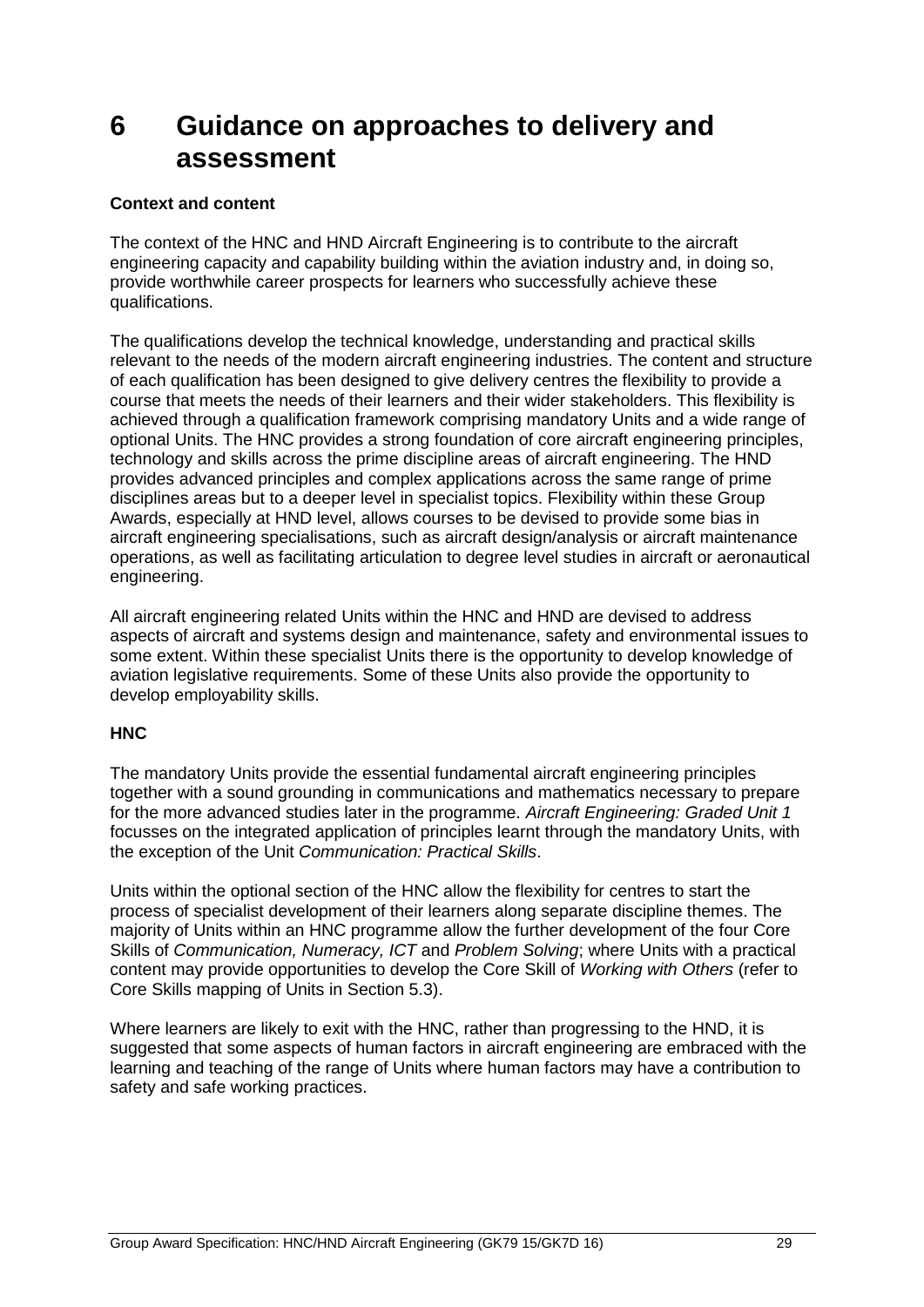# <span id="page-30-0"></span>**6 Guidance on approaches to delivery and assessment**

#### **Context and content**

The context of the HNC and HND Aircraft Engineering is to contribute to the aircraft engineering capacity and capability building within the aviation industry and, in doing so, provide worthwhile career prospects for learners who successfully achieve these qualifications.

The qualifications develop the technical knowledge, understanding and practical skills relevant to the needs of the modern aircraft engineering industries. The content and structure of each qualification has been designed to give delivery centres the flexibility to provide a course that meets the needs of their learners and their wider stakeholders. This flexibility is achieved through a qualification framework comprising mandatory Units and a wide range of optional Units. The HNC provides a strong foundation of core aircraft engineering principles, technology and skills across the prime discipline areas of aircraft engineering. The HND provides advanced principles and complex applications across the same range of prime disciplines areas but to a deeper level in specialist topics. Flexibility within these Group Awards, especially at HND level, allows courses to be devised to provide some bias in aircraft engineering specialisations, such as aircraft design/analysis or aircraft maintenance operations, as well as facilitating articulation to degree level studies in aircraft or aeronautical engineering.

All aircraft engineering related Units within the HNC and HND are devised to address aspects of aircraft and systems design and maintenance, safety and environmental issues to some extent. Within these specialist Units there is the opportunity to develop knowledge of aviation legislative requirements. Some of these Units also provide the opportunity to develop employability skills.

#### **HNC**

The mandatory Units provide the essential fundamental aircraft engineering principles together with a sound grounding in communications and mathematics necessary to prepare for the more advanced studies later in the programme. *Aircraft Engineering: Graded Unit 1* focusses on the integrated application of principles learnt through the mandatory Units, with the exception of the Unit *Communication: Practical Skills*.

Units within the optional section of the HNC allow the flexibility for centres to start the process of specialist development of their learners along separate discipline themes. The majority of Units within an HNC programme allow the further development of the four Core Skills of *Communication, Numeracy, ICT* and *Problem Solving*; where Units with a practical content may provide opportunities to develop the Core Skill of *Working with Others* (refer to Core Skills mapping of Units in Section 5.3).

Where learners are likely to exit with the HNC, rather than progressing to the HND, it is suggested that some aspects of human factors in aircraft engineering are embraced with the learning and teaching of the range of Units where human factors may have a contribution to safety and safe working practices.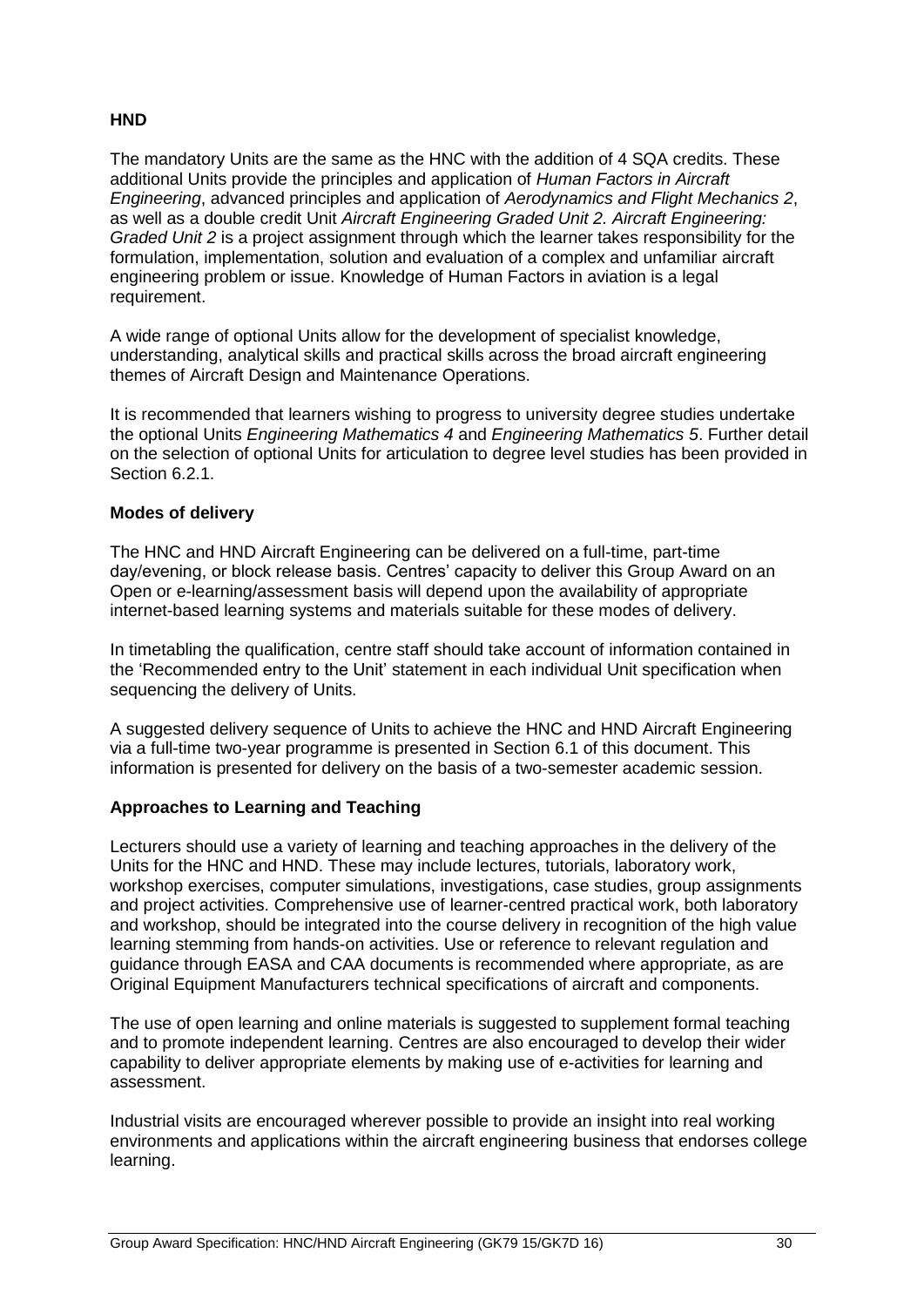#### **HND**

The mandatory Units are the same as the HNC with the addition of 4 SQA credits. These additional Units provide the principles and application of *Human Factors in Aircraft Engineering*, advanced principles and application of *Aerodynamics and Flight Mechanics 2*, as well as a double credit Unit *Aircraft Engineering Graded Unit 2. Aircraft Engineering: Graded Unit 2* is a project assignment through which the learner takes responsibility for the formulation, implementation, solution and evaluation of a complex and unfamiliar aircraft engineering problem or issue. Knowledge of Human Factors in aviation is a legal requirement.

A wide range of optional Units allow for the development of specialist knowledge, understanding, analytical skills and practical skills across the broad aircraft engineering themes of Aircraft Design and Maintenance Operations.

It is recommended that learners wishing to progress to university degree studies undertake the optional Units *Engineering Mathematics 4* and *Engineering Mathematics 5*. Further detail on the selection of optional Units for articulation to degree level studies has been provided in Section 6.2.1.

#### **Modes of delivery**

The HNC and HND Aircraft Engineering can be delivered on a full-time, part-time day/evening, or block release basis. Centres' capacity to deliver this Group Award on an Open or e-learning/assessment basis will depend upon the availability of appropriate internet-based learning systems and materials suitable for these modes of delivery.

In timetabling the qualification, centre staff should take account of information contained in the 'Recommended entry to the Unit' statement in each individual Unit specification when sequencing the delivery of Units.

A suggested delivery sequence of Units to achieve the HNC and HND Aircraft Engineering via a full-time two-year programme is presented in Section 6.1 of this document. This information is presented for delivery on the basis of a two-semester academic session.

#### **Approaches to Learning and Teaching**

Lecturers should use a variety of learning and teaching approaches in the delivery of the Units for the HNC and HND. These may include lectures, tutorials, laboratory work, workshop exercises, computer simulations, investigations, case studies, group assignments and project activities. Comprehensive use of learner-centred practical work, both laboratory and workshop, should be integrated into the course delivery in recognition of the high value learning stemming from hands-on activities. Use or reference to relevant regulation and guidance through EASA and CAA documents is recommended where appropriate, as are Original Equipment Manufacturers technical specifications of aircraft and components.

The use of open learning and online materials is suggested to supplement formal teaching and to promote independent learning. Centres are also encouraged to develop their wider capability to deliver appropriate elements by making use of e-activities for learning and assessment.

Industrial visits are encouraged wherever possible to provide an insight into real working environments and applications within the aircraft engineering business that endorses college learning.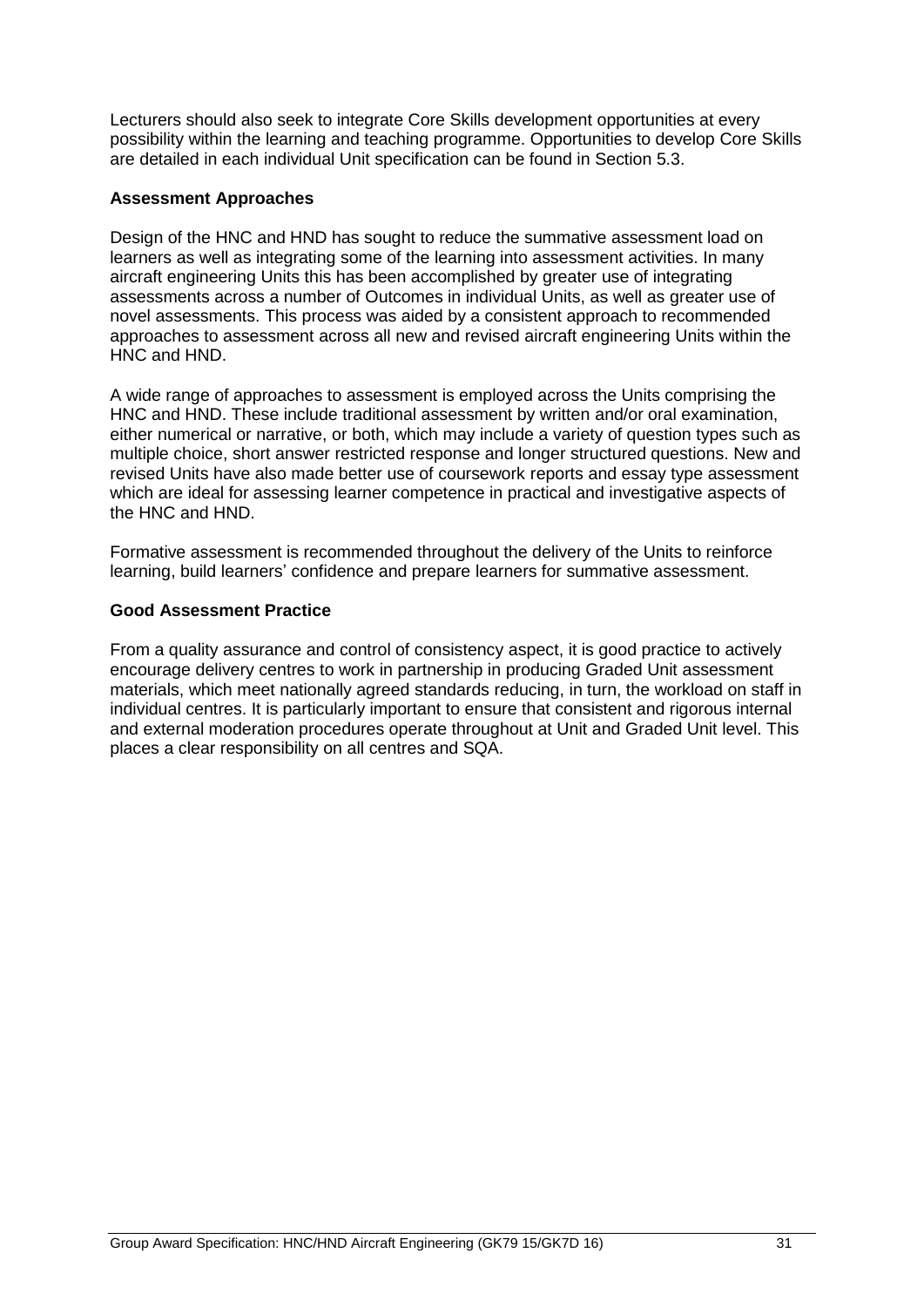Lecturers should also seek to integrate Core Skills development opportunities at every possibility within the learning and teaching programme. Opportunities to develop Core Skills are detailed in each individual Unit specification can be found in Section 5.3.

#### **Assessment Approaches**

Design of the HNC and HND has sought to reduce the summative assessment load on learners as well as integrating some of the learning into assessment activities. In many aircraft engineering Units this has been accomplished by greater use of integrating assessments across a number of Outcomes in individual Units, as well as greater use of novel assessments. This process was aided by a consistent approach to recommended approaches to assessment across all new and revised aircraft engineering Units within the HNC and HND.

A wide range of approaches to assessment is employed across the Units comprising the HNC and HND. These include traditional assessment by written and/or oral examination, either numerical or narrative, or both, which may include a variety of question types such as multiple choice, short answer restricted response and longer structured questions. New and revised Units have also made better use of coursework reports and essay type assessment which are ideal for assessing learner competence in practical and investigative aspects of the HNC and HND.

Formative assessment is recommended throughout the delivery of the Units to reinforce learning, build learners' confidence and prepare learners for summative assessment.

#### **Good Assessment Practice**

From a quality assurance and control of consistency aspect, it is good practice to actively encourage delivery centres to work in partnership in producing Graded Unit assessment materials, which meet nationally agreed standards reducing, in turn, the workload on staff in individual centres. It is particularly important to ensure that consistent and rigorous internal and external moderation procedures operate throughout at Unit and Graded Unit level. This places a clear responsibility on all centres and SQA.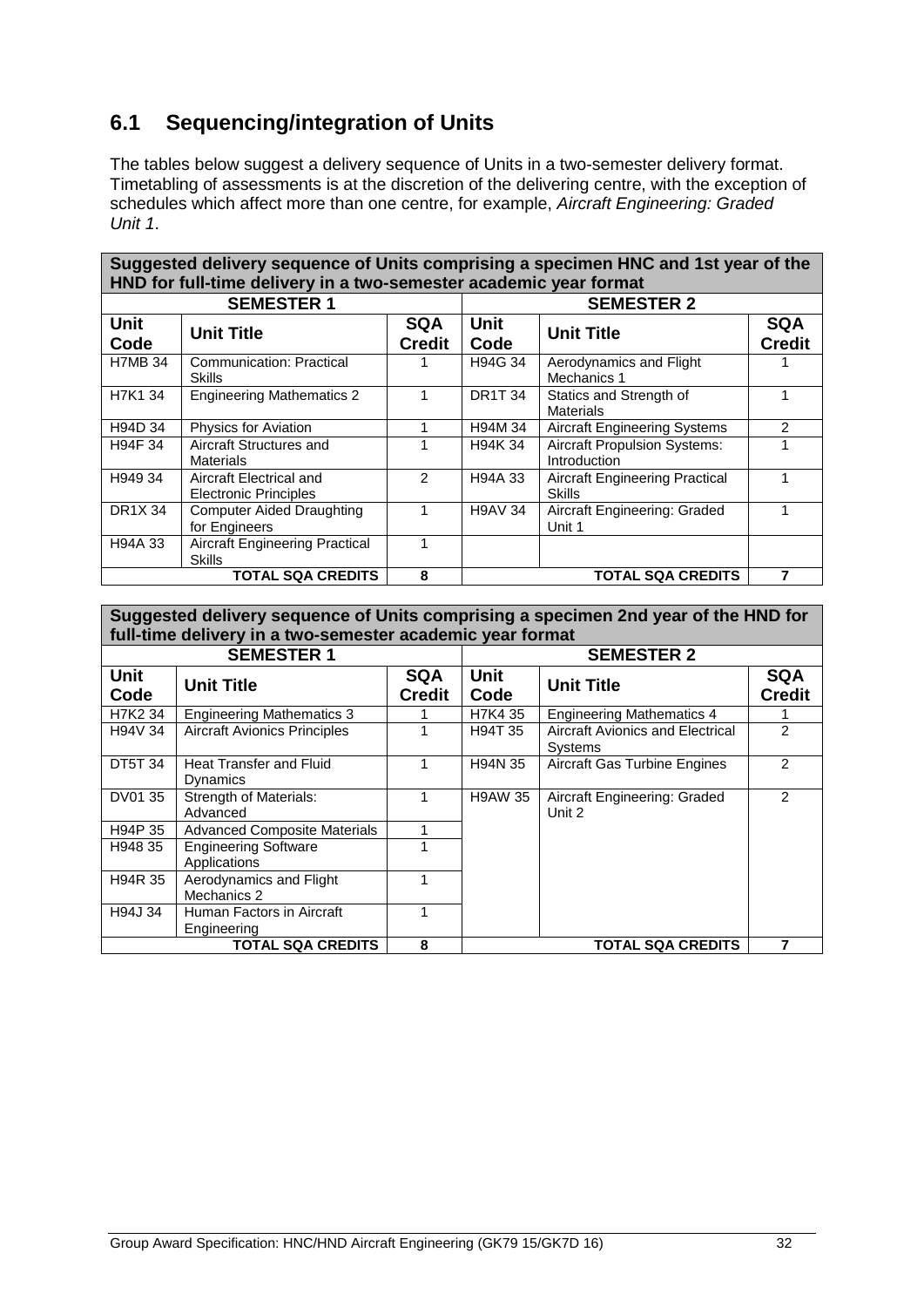## <span id="page-33-0"></span>**6.1 Sequencing/integration of Units**

The tables below suggest a delivery sequence of Units in a two-semester delivery format. Timetabling of assessments is at the discretion of the delivering centre, with the exception of schedules which affect more than one centre, for example, *Aircraft Engineering: Graded Unit 1*.

| Suggested delivery sequence of Units comprising a specimen HNC and 1st year of the<br>HND for full-time delivery in a two-semester academic year format |                                                         |                             |                                   |                                                        |                             |  |  |
|---------------------------------------------------------------------------------------------------------------------------------------------------------|---------------------------------------------------------|-----------------------------|-----------------------------------|--------------------------------------------------------|-----------------------------|--|--|
|                                                                                                                                                         | <b>SEMESTER 1</b>                                       |                             | <b>SEMESTER 2</b>                 |                                                        |                             |  |  |
| <b>Unit</b><br>Code                                                                                                                                     | <b>Unit Title</b>                                       | <b>SQA</b><br><b>Credit</b> | Unit<br><b>Unit Title</b><br>Code |                                                        | <b>SQA</b><br><b>Credit</b> |  |  |
| <b>H7MB 34</b>                                                                                                                                          | Communication: Practical<br>Skills                      |                             | H94G 34                           | Aerodynamics and Flight<br>Mechanics 1                 |                             |  |  |
| H7K1 34                                                                                                                                                 | <b>Engineering Mathematics 2</b>                        |                             | <b>DR1T34</b>                     | Statics and Strength of<br><b>Materials</b>            |                             |  |  |
| H94D 34                                                                                                                                                 | <b>Physics for Aviation</b>                             |                             | H94M 34                           | <b>Aircraft Engineering Systems</b>                    | 2                           |  |  |
| H94F 34                                                                                                                                                 | Aircraft Structures and<br><b>Materials</b>             |                             | H94K 34                           | <b>Aircraft Propulsion Systems:</b><br>Introduction    |                             |  |  |
| H949 34                                                                                                                                                 | Aircraft Electrical and<br><b>Electronic Principles</b> | 2                           | H94A 33                           | <b>Aircraft Engineering Practical</b><br><b>Skills</b> |                             |  |  |
| DR1X 34                                                                                                                                                 | <b>Computer Aided Draughting</b><br>for Engineers       |                             | <b>H9AV 34</b>                    | Aircraft Engineering: Graded<br>Unit 1                 |                             |  |  |
| H94A 33                                                                                                                                                 | <b>Aircraft Engineering Practical</b><br><b>Skills</b>  |                             |                                   |                                                        |                             |  |  |
|                                                                                                                                                         | TOTAL SQA CREDITS                                       | 8                           |                                   | <b>TOTAL SQA CREDITS</b>                               |                             |  |  |

**Suggested delivery sequence of Units comprising a specimen 2nd year of the HND for full-time delivery in a two-semester academic year format**

|                     | <b>SEMESTER 1</b>                           |                             | <b>SEMESTER 2</b>                        |                                                    |                             |
|---------------------|---------------------------------------------|-----------------------------|------------------------------------------|----------------------------------------------------|-----------------------------|
| <b>Unit</b><br>Code | <b>Unit Title</b>                           | <b>SQA</b><br><b>Credit</b> | <b>Unit</b><br><b>Unit Title</b><br>Code |                                                    | <b>SQA</b><br><b>Credit</b> |
| H7K2 34             | <b>Engineering Mathematics 3</b>            |                             | H7K4 35                                  | <b>Engineering Mathematics 4</b>                   |                             |
| H94V 34             | <b>Aircraft Avionics Principles</b>         |                             | H94T 35                                  | Aircraft Avionics and Electrical<br><b>Systems</b> | $\mathfrak{p}$              |
| <b>DT5T 34</b>      | <b>Heat Transfer and Fluid</b><br>Dynamics  | 1                           | H94N 35                                  | Aircraft Gas Turbine Engines                       | $\mathcal{P}$               |
| DV01 35             | <b>Strength of Materials:</b><br>Advanced   | 1                           | <b>H9AW 35</b>                           | Aircraft Engineering: Graded<br>Unit 2             | $\mathcal{P}$               |
| H94P 35             | <b>Advanced Composite Materials</b>         | 1                           |                                          |                                                    |                             |
| H948 35             | <b>Engineering Software</b><br>Applications | 1                           |                                          |                                                    |                             |
| H94R 35             | Aerodynamics and Flight<br>Mechanics 2      | 1                           |                                          |                                                    |                             |
| H94J 34             | Human Factors in Aircraft<br>Engineering    | 1                           |                                          |                                                    |                             |
|                     | <b>TOTAL SQA CREDITS</b>                    | 8                           |                                          | <b>TOTAL SQA CREDITS</b>                           | 7                           |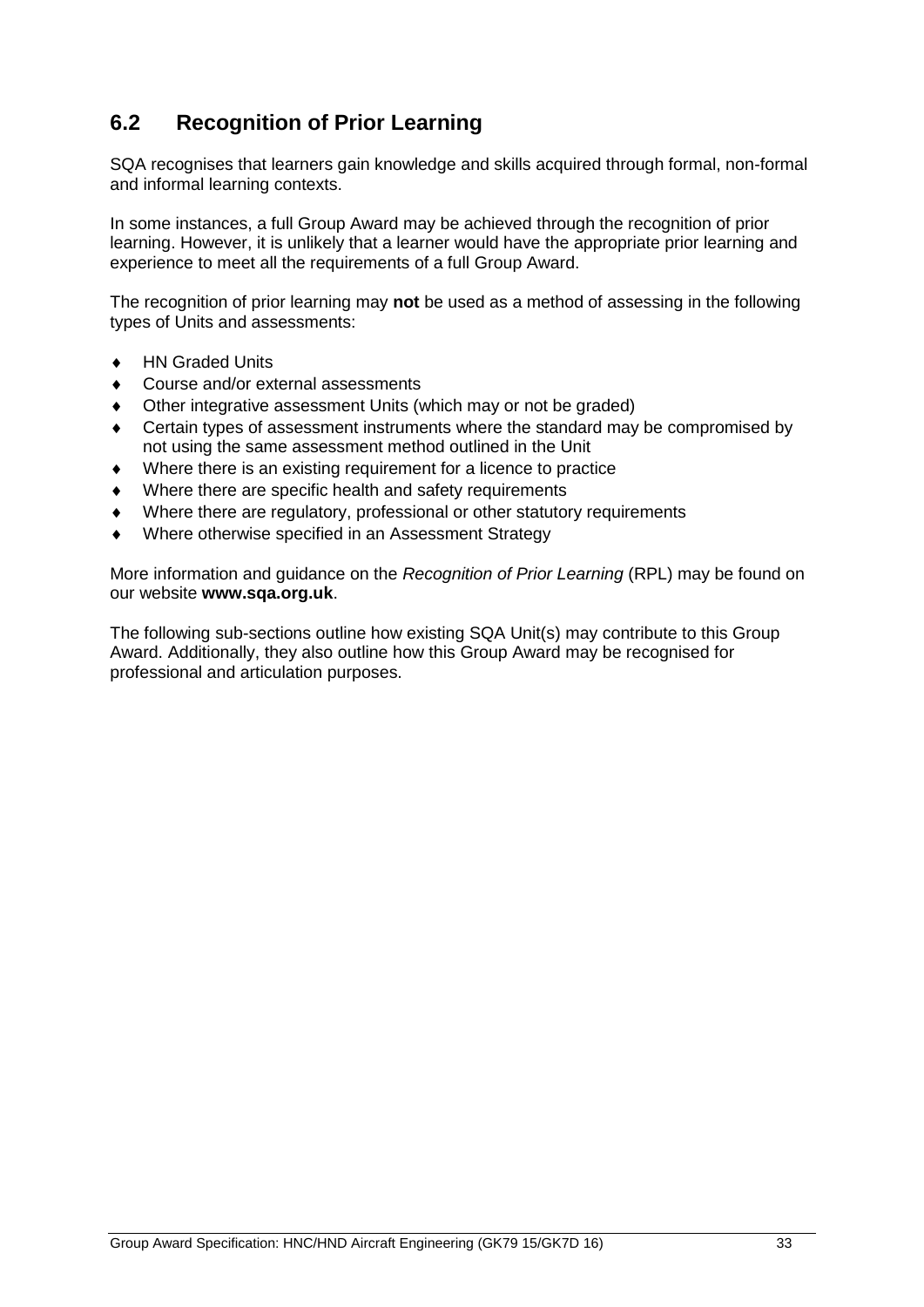## <span id="page-34-0"></span>**6.2 Recognition of Prior Learning**

SQA recognises that learners gain knowledge and skills acquired through formal, non-formal and informal learning contexts.

In some instances, a full Group Award may be achieved through the recognition of prior learning. However, it is unlikely that a learner would have the appropriate prior learning and experience to meet all the requirements of a full Group Award.

The recognition of prior learning may **not** be used as a method of assessing in the following types of Units and assessments:

- ◆ HN Graded Units
- Course and/or external assessments
- Other integrative assessment Units (which may or not be graded)
- Certain types of assessment instruments where the standard may be compromised by not using the same assessment method outlined in the Unit
- Where there is an existing requirement for a licence to practice
- Where there are specific health and safety requirements
- Where there are regulatory, professional or other statutory requirements
- Where otherwise specified in an Assessment Strategy

More information and guidance on the *Recognition of Prior Learning* (RPL) may be found on our website **[www.sqa.org.uk](http://www.sqa.org.uk/)**.

The following sub-sections outline how existing SQA Unit(s) may contribute to this Group Award. Additionally, they also outline how this Group Award may be recognised for professional and articulation purposes.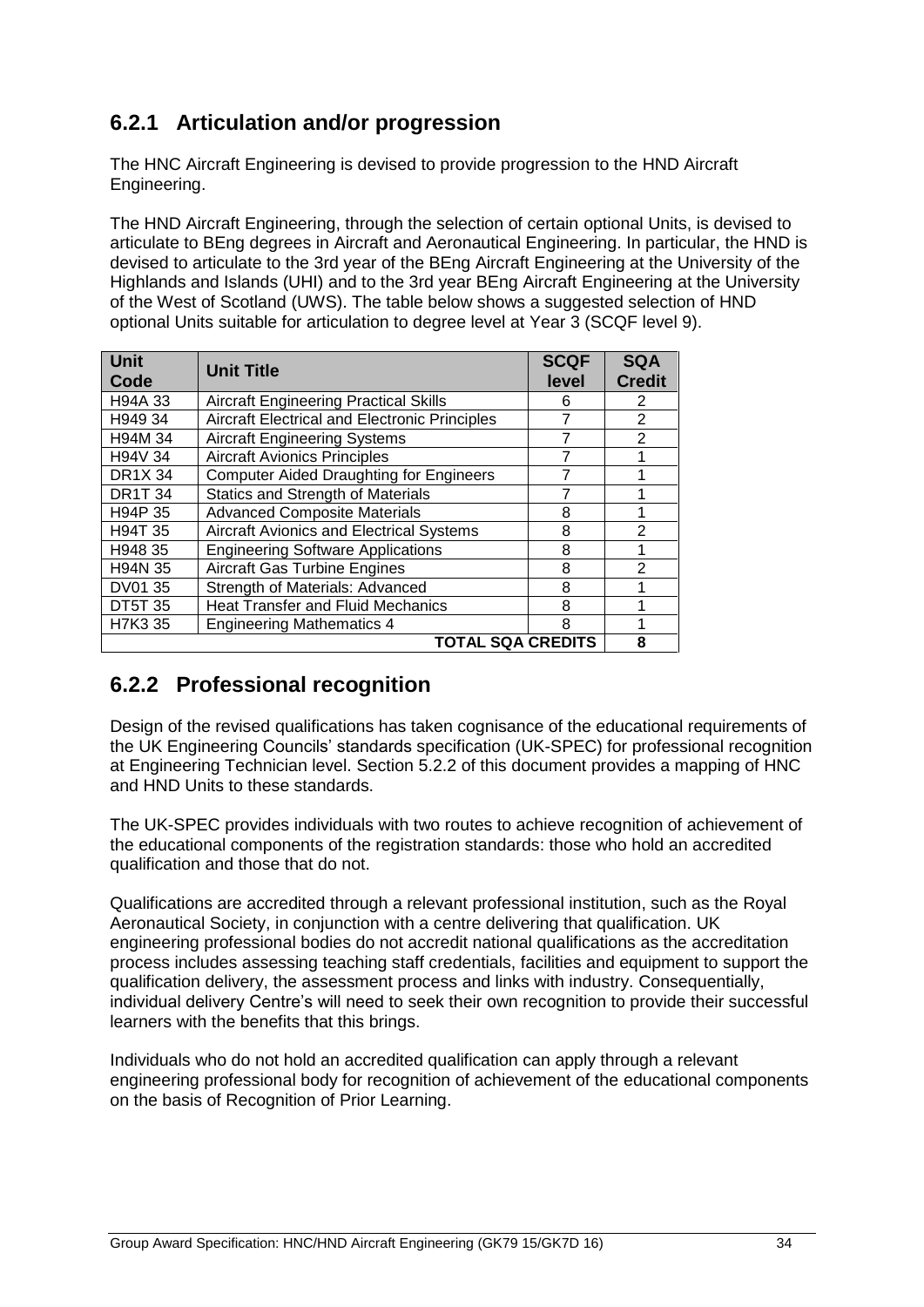## **6.2.1 Articulation and/or progression**

The HNC Aircraft Engineering is devised to provide progression to the HND Aircraft Engineering.

The HND Aircraft Engineering, through the selection of certain optional Units, is devised to articulate to BEng degrees in Aircraft and Aeronautical Engineering. In particular, the HND is devised to articulate to the 3rd year of the BEng Aircraft Engineering at the University of the Highlands and Islands (UHI) and to the 3rd year BEng Aircraft Engineering at the University of the West of Scotland (UWS). The table below shows a suggested selection of HND optional Units suitable for articulation to degree level at Year 3 (SCQF level 9).

| <b>Unit</b><br>Code      | <b>Unit Title</b>                                    | <b>SCQF</b><br>level | <b>SQA</b><br><b>Credit</b> |  |  |  |
|--------------------------|------------------------------------------------------|----------------------|-----------------------------|--|--|--|
| H94A 33                  | <b>Aircraft Engineering Practical Skills</b>         | 6                    | 2                           |  |  |  |
| H949 34                  | <b>Aircraft Electrical and Electronic Principles</b> |                      | $\overline{2}$              |  |  |  |
| H94M 34                  | <b>Aircraft Engineering Systems</b>                  |                      | 2                           |  |  |  |
| H94V 34                  | <b>Aircraft Avionics Principles</b>                  | 7                    | 1                           |  |  |  |
| <b>DR1X 34</b>           | <b>Computer Aided Draughting for Engineers</b>       |                      |                             |  |  |  |
| <b>DR1T 34</b>           | <b>Statics and Strength of Materials</b>             |                      |                             |  |  |  |
| H94P 35                  | <b>Advanced Composite Materials</b>                  | 8                    |                             |  |  |  |
| H94T 35                  | <b>Aircraft Avionics and Electrical Systems</b>      | 8                    | $\mathfrak{p}$              |  |  |  |
| H948 35                  | <b>Engineering Software Applications</b>             | 8                    |                             |  |  |  |
| H94N 35                  | <b>Aircraft Gas Turbine Engines</b>                  | 8                    | $\mathcal{P}$               |  |  |  |
| DV01 35                  | Strength of Materials: Advanced                      | 8                    |                             |  |  |  |
| <b>DT5T 35</b>           | <b>Heat Transfer and Fluid Mechanics</b>             | 8                    |                             |  |  |  |
| H7K3 35                  | <b>Engineering Mathematics 4</b>                     | 8                    |                             |  |  |  |
| <b>TOTAL SQA CREDITS</b> |                                                      |                      |                             |  |  |  |

### **6.2.2 Professional recognition**

Design of the revised qualifications has taken cognisance of the educational requirements of the UK Engineering Councils' standards specification (UK-SPEC) for professional recognition at Engineering Technician level. Section 5.2.2 of this document provides a mapping of HNC and HND Units to these standards.

The UK-SPEC provides individuals with two routes to achieve recognition of achievement of the educational components of the registration standards: those who hold an accredited qualification and those that do not.

Qualifications are accredited through a relevant professional institution, such as the Royal Aeronautical Society, in conjunction with a centre delivering that qualification. UK engineering professional bodies do not accredit national qualifications as the accreditation process includes assessing teaching staff credentials, facilities and equipment to support the qualification delivery, the assessment process and links with industry. Consequentially, individual delivery Centre's will need to seek their own recognition to provide their successful learners with the benefits that this brings.

Individuals who do not hold an accredited qualification can apply through a relevant engineering professional body for recognition of achievement of the educational components on the basis of Recognition of Prior Learning.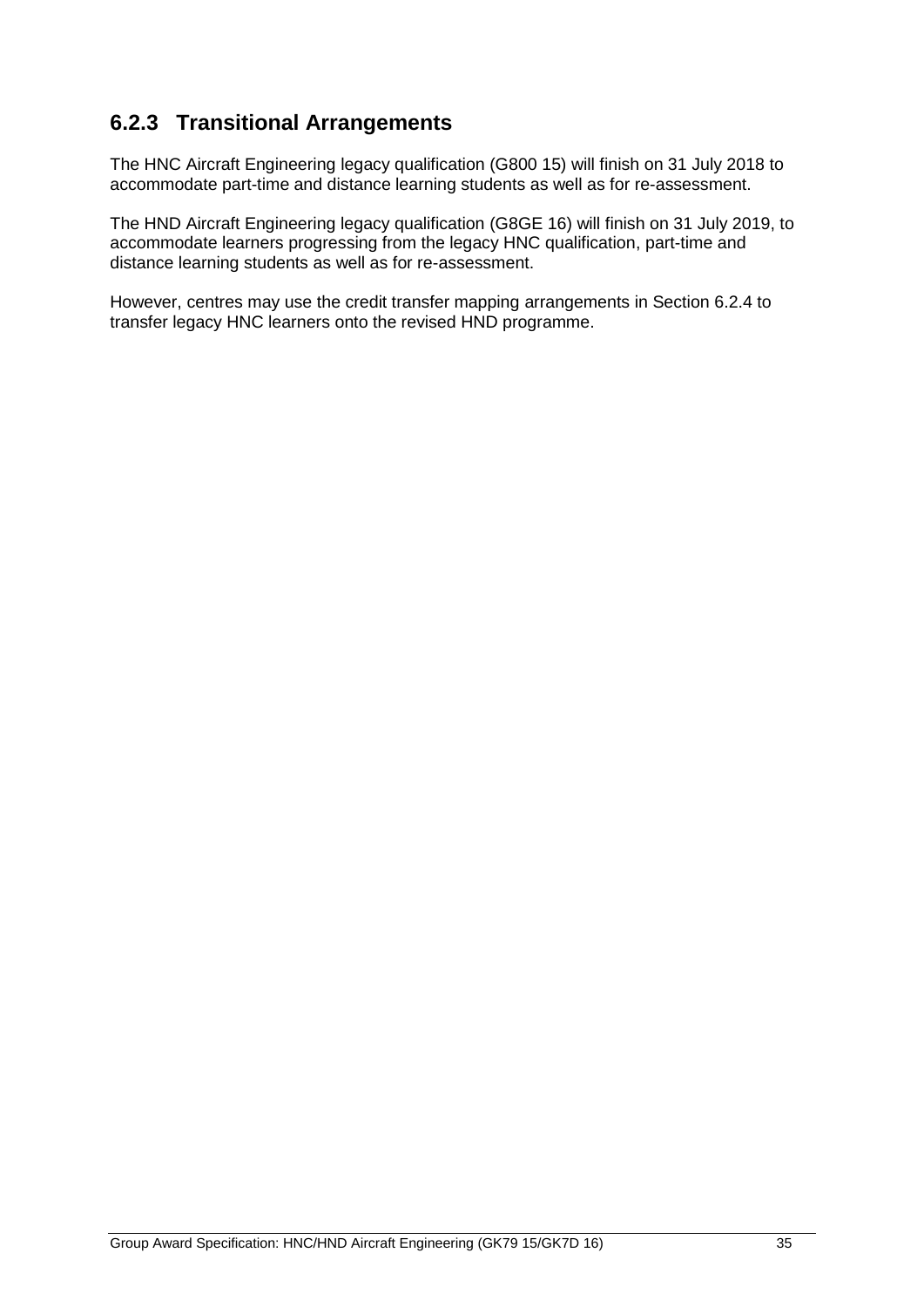## **6.2.3 Transitional Arrangements**

The HNC Aircraft Engineering legacy qualification (G800 15) will finish on 31 July 2018 to accommodate part-time and distance learning students as well as for re-assessment.

The HND Aircraft Engineering legacy qualification (G8GE 16) will finish on 31 July 2019, to accommodate learners progressing from the legacy HNC qualification, part-time and distance learning students as well as for re-assessment.

However, centres may use the credit transfer mapping arrangements in Section 6.2.4 to transfer legacy HNC learners onto the revised HND programme.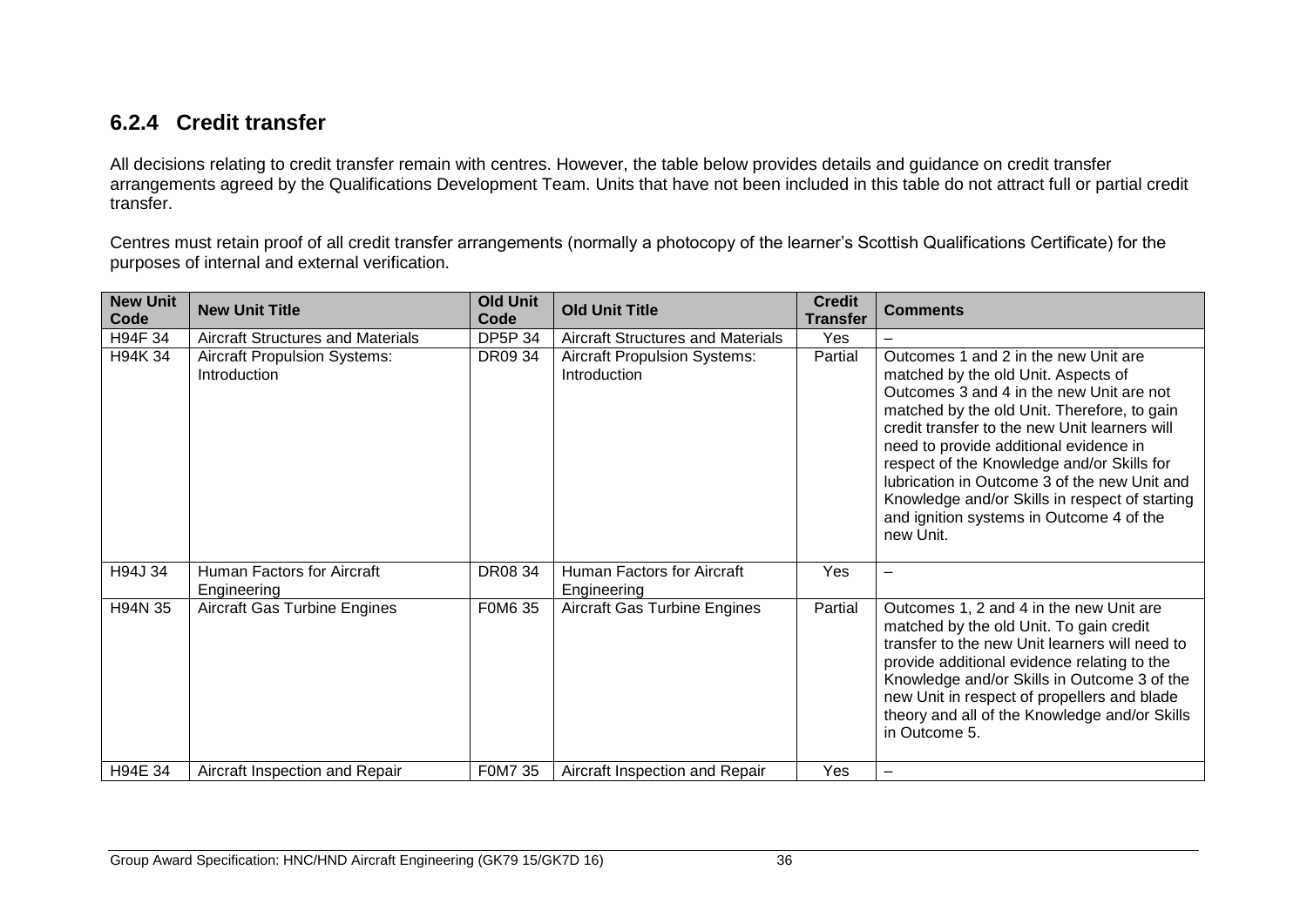## **6.2.4 Credit transfer**

All decisions relating to credit transfer remain with centres. However, the table below provides details and guidance on credit transfer arrangements agreed by the Qualifications Development Team. Units that have not been included in this table do not attract full or partial credit transfer.

Centres must retain proof of all credit transfer arrangements (normally a photocopy of the learner's Scottish Qualifications Certificate) for the purposes of internal and external verification.

| <b>New Unit</b><br>Code | <b>New Unit Title</b>                               | <b>Old Unit</b><br>Code | <b>Old Unit Title</b>                               | <b>Credit</b><br><b>Transfer</b> | <b>Comments</b>                                                                                                                                                                                                                                                                                                                                                                                                                                                            |
|-------------------------|-----------------------------------------------------|-------------------------|-----------------------------------------------------|----------------------------------|----------------------------------------------------------------------------------------------------------------------------------------------------------------------------------------------------------------------------------------------------------------------------------------------------------------------------------------------------------------------------------------------------------------------------------------------------------------------------|
| H94F 34                 | <b>Aircraft Structures and Materials</b>            | <b>DP5P 34</b>          | <b>Aircraft Structures and Materials</b>            | Yes                              |                                                                                                                                                                                                                                                                                                                                                                                                                                                                            |
| H94K 34                 | <b>Aircraft Propulsion Systems:</b><br>Introduction | DR09 34                 | <b>Aircraft Propulsion Systems:</b><br>Introduction | Partial                          | Outcomes 1 and 2 in the new Unit are<br>matched by the old Unit. Aspects of<br>Outcomes 3 and 4 in the new Unit are not<br>matched by the old Unit. Therefore, to gain<br>credit transfer to the new Unit learners will<br>need to provide additional evidence in<br>respect of the Knowledge and/or Skills for<br>lubrication in Outcome 3 of the new Unit and<br>Knowledge and/or Skills in respect of starting<br>and ignition systems in Outcome 4 of the<br>new Unit. |
| H94J 34                 | Human Factors for Aircraft<br>Engineering           | DR08 34                 | Human Factors for Aircraft<br>Engineering           | Yes                              |                                                                                                                                                                                                                                                                                                                                                                                                                                                                            |
| H94N 35                 | <b>Aircraft Gas Turbine Engines</b>                 | F0M6 35                 | <b>Aircraft Gas Turbine Engines</b>                 | Partial                          | Outcomes 1, 2 and 4 in the new Unit are<br>matched by the old Unit. To gain credit<br>transfer to the new Unit learners will need to<br>provide additional evidence relating to the<br>Knowledge and/or Skills in Outcome 3 of the<br>new Unit in respect of propellers and blade<br>theory and all of the Knowledge and/or Skills<br>in Outcome 5.                                                                                                                        |
| H94E 34                 | Aircraft Inspection and Repair                      | F0M7 35                 | Aircraft Inspection and Repair                      | Yes                              |                                                                                                                                                                                                                                                                                                                                                                                                                                                                            |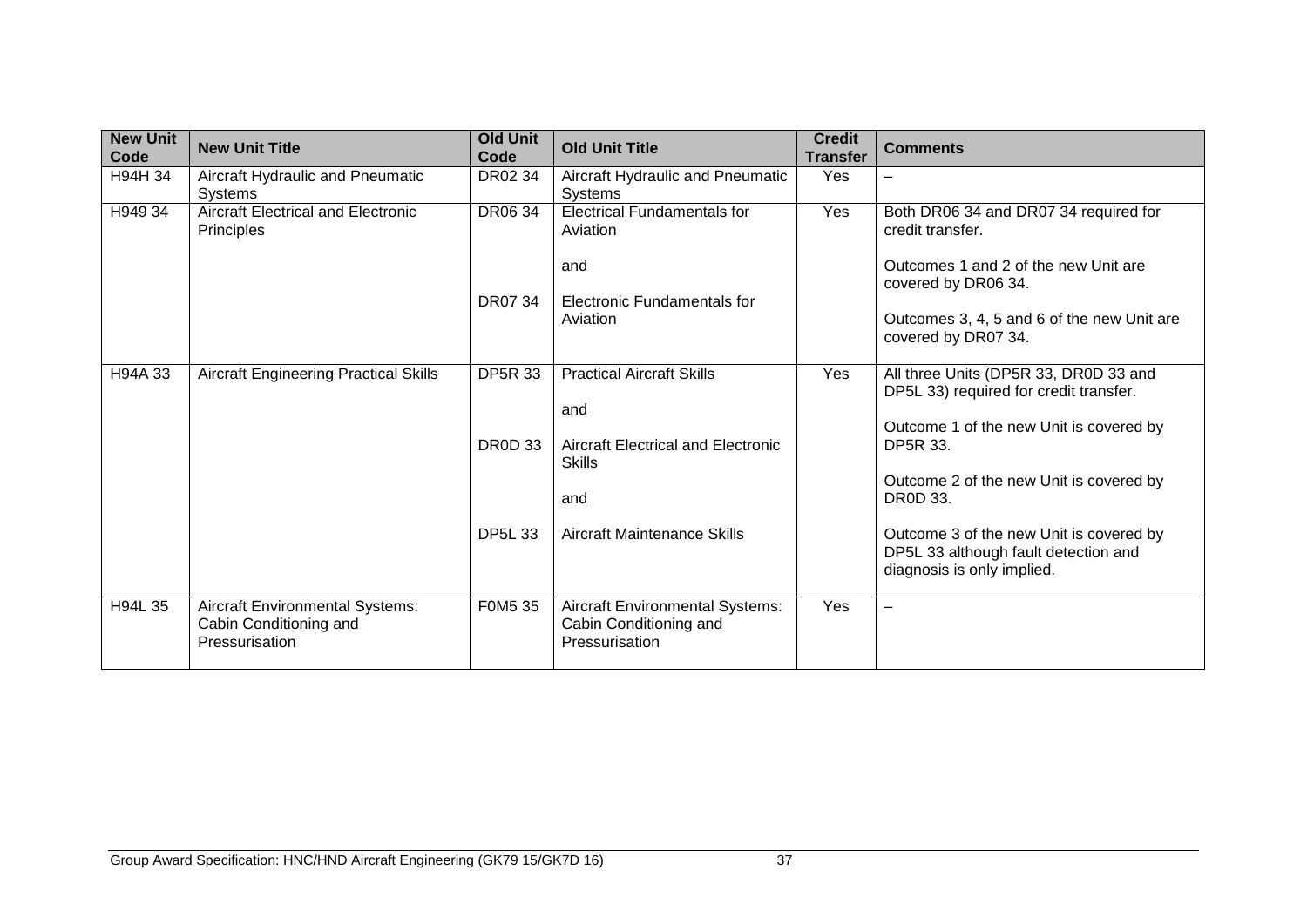| <b>New Unit</b><br>Code | <b>New Unit Title</b>                                                              | <b>Old Unit</b><br>Code | <b>Old Unit Title</b>                                                              | <b>Credit</b><br><b>Transfer</b> | <b>Comments</b>                                                                                               |
|-------------------------|------------------------------------------------------------------------------------|-------------------------|------------------------------------------------------------------------------------|----------------------------------|---------------------------------------------------------------------------------------------------------------|
| H94H 34                 | Aircraft Hydraulic and Pneumatic<br><b>Systems</b>                                 | DR02 34                 | Aircraft Hydraulic and Pneumatic<br>Systems                                        | Yes                              | $\overline{\phantom{0}}$                                                                                      |
| H949 34                 | <b>Aircraft Electrical and Electronic</b><br>Principles                            | <b>DR0634</b>           | <b>Electrical Fundamentals for</b><br>Aviation                                     | Yes                              | Both DR06 34 and DR07 34 required for<br>credit transfer.                                                     |
|                         |                                                                                    |                         | and                                                                                |                                  | Outcomes 1 and 2 of the new Unit are<br>covered by DR06 34.                                                   |
|                         |                                                                                    | DR07 34                 | Electronic Fundamentals for<br>Aviation                                            |                                  | Outcomes 3, 4, 5 and 6 of the new Unit are<br>covered by DR07 34.                                             |
| H94A 33                 | <b>Aircraft Engineering Practical Skills</b>                                       | <b>DP5R 33</b>          | <b>Practical Aircraft Skills</b><br>and                                            | Yes                              | All three Units (DP5R 33, DR0D 33 and<br>DP5L 33) required for credit transfer.                               |
|                         |                                                                                    | <b>DR0D 33</b>          | Aircraft Electrical and Electronic<br><b>Skills</b>                                |                                  | Outcome 1 of the new Unit is covered by<br><b>DP5R 33.</b>                                                    |
|                         |                                                                                    |                         | and                                                                                |                                  | Outcome 2 of the new Unit is covered by<br>DR0D 33.                                                           |
|                         |                                                                                    | <b>DP5L 33</b>          | Aircraft Maintenance Skills                                                        |                                  | Outcome 3 of the new Unit is covered by<br>DP5L 33 although fault detection and<br>diagnosis is only implied. |
| H94L 35                 | <b>Aircraft Environmental Systems:</b><br>Cabin Conditioning and<br>Pressurisation | F0M5 35                 | <b>Aircraft Environmental Systems:</b><br>Cabin Conditioning and<br>Pressurisation | Yes                              | $\overline{\phantom{m}}$                                                                                      |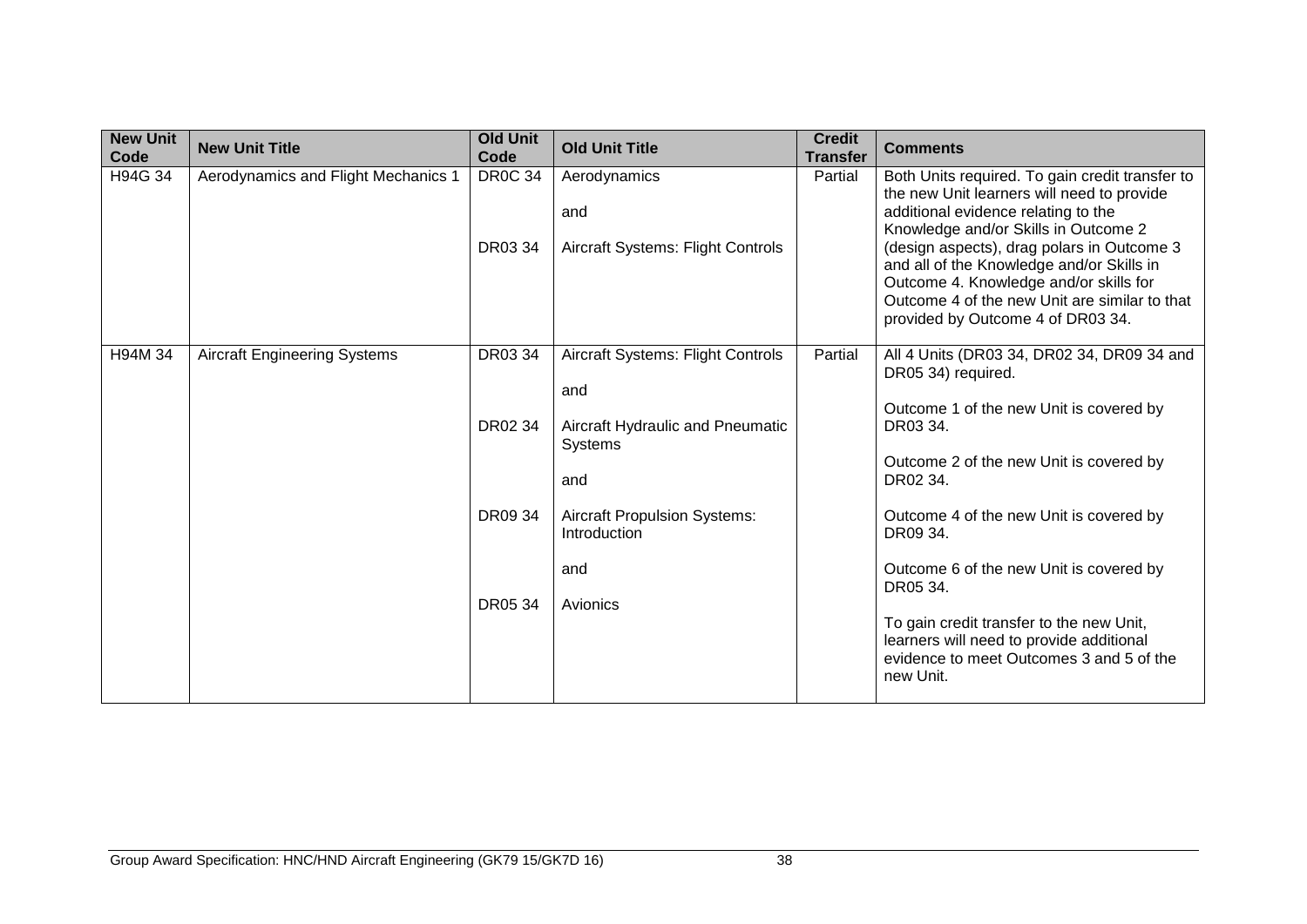| <b>New Unit</b><br>Code | <b>New Unit Title</b>               | <b>Old Unit</b><br>Code   | <b>Old Unit Title</b>                                                                                 | <b>Credit</b><br><b>Transfer</b> | <b>Comments</b>                                                                                                                                                                                                                                                                                                                                                                                         |
|-------------------------|-------------------------------------|---------------------------|-------------------------------------------------------------------------------------------------------|----------------------------------|---------------------------------------------------------------------------------------------------------------------------------------------------------------------------------------------------------------------------------------------------------------------------------------------------------------------------------------------------------------------------------------------------------|
| H94G 34                 | Aerodynamics and Flight Mechanics 1 | <b>DR0C 34</b><br>DR03 34 | Aerodynamics<br>and<br><b>Aircraft Systems: Flight Controls</b>                                       | Partial                          | Both Units required. To gain credit transfer to<br>the new Unit learners will need to provide<br>additional evidence relating to the<br>Knowledge and/or Skills in Outcome 2<br>(design aspects), drag polars in Outcome 3<br>and all of the Knowledge and/or Skills in<br>Outcome 4. Knowledge and/or skills for<br>Outcome 4 of the new Unit are similar to that<br>provided by Outcome 4 of DR03 34. |
| H94M 34                 | <b>Aircraft Engineering Systems</b> | DR03 34<br>DR02 34        | <b>Aircraft Systems: Flight Controls</b><br>and<br>Aircraft Hydraulic and Pneumatic<br>Systems<br>and | Partial                          | All 4 Units (DR03 34, DR02 34, DR09 34 and<br>DR05 34) required.<br>Outcome 1 of the new Unit is covered by<br>DR03 34.<br>Outcome 2 of the new Unit is covered by<br>DR02 34.                                                                                                                                                                                                                          |
|                         |                                     | DR09 34                   | <b>Aircraft Propulsion Systems:</b><br>Introduction<br>and                                            |                                  | Outcome 4 of the new Unit is covered by<br>DR09 34.<br>Outcome 6 of the new Unit is covered by<br>DR05 34.                                                                                                                                                                                                                                                                                              |
|                         |                                     | DR05 34                   | Avionics                                                                                              |                                  | To gain credit transfer to the new Unit,<br>learners will need to provide additional<br>evidence to meet Outcomes 3 and 5 of the<br>new Unit.                                                                                                                                                                                                                                                           |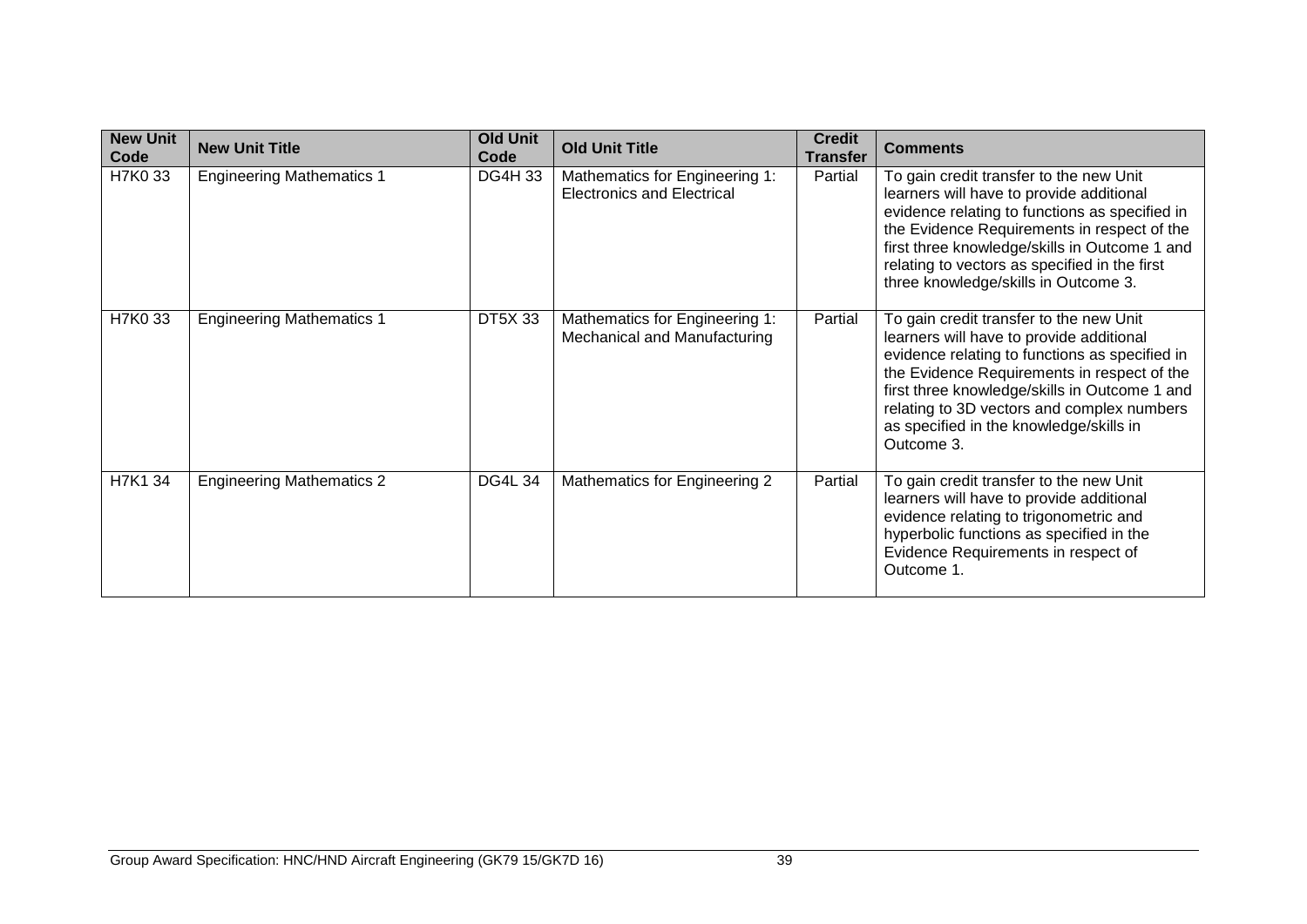| <b>New Unit</b><br>Code | <b>New Unit Title</b>            | <b>Old Unit</b><br>Code | <b>Old Unit Title</b>                                               | <b>Credit</b><br><b>Transfer</b> | <b>Comments</b>                                                                                                                                                                                                                                                                                                                              |
|-------------------------|----------------------------------|-------------------------|---------------------------------------------------------------------|----------------------------------|----------------------------------------------------------------------------------------------------------------------------------------------------------------------------------------------------------------------------------------------------------------------------------------------------------------------------------------------|
| H7K0 33                 | <b>Engineering Mathematics 1</b> | <b>DG4H33</b>           | Mathematics for Engineering 1:<br><b>Electronics and Electrical</b> | Partial                          | To gain credit transfer to the new Unit<br>learners will have to provide additional<br>evidence relating to functions as specified in<br>the Evidence Requirements in respect of the<br>first three knowledge/skills in Outcome 1 and<br>relating to vectors as specified in the first<br>three knowledge/skills in Outcome 3.               |
| H7K0 33                 | <b>Engineering Mathematics 1</b> | <b>DT5X33</b>           | Mathematics for Engineering 1:<br>Mechanical and Manufacturing      | Partial                          | To gain credit transfer to the new Unit<br>learners will have to provide additional<br>evidence relating to functions as specified in<br>the Evidence Requirements in respect of the<br>first three knowledge/skills in Outcome 1 and<br>relating to 3D vectors and complex numbers<br>as specified in the knowledge/skills in<br>Outcome 3. |
| H7K1 34                 | <b>Engineering Mathematics 2</b> | <b>DG4L 34</b>          | Mathematics for Engineering 2                                       | Partial                          | To gain credit transfer to the new Unit<br>learners will have to provide additional<br>evidence relating to trigonometric and<br>hyperbolic functions as specified in the<br>Evidence Requirements in respect of<br>Outcome 1.                                                                                                               |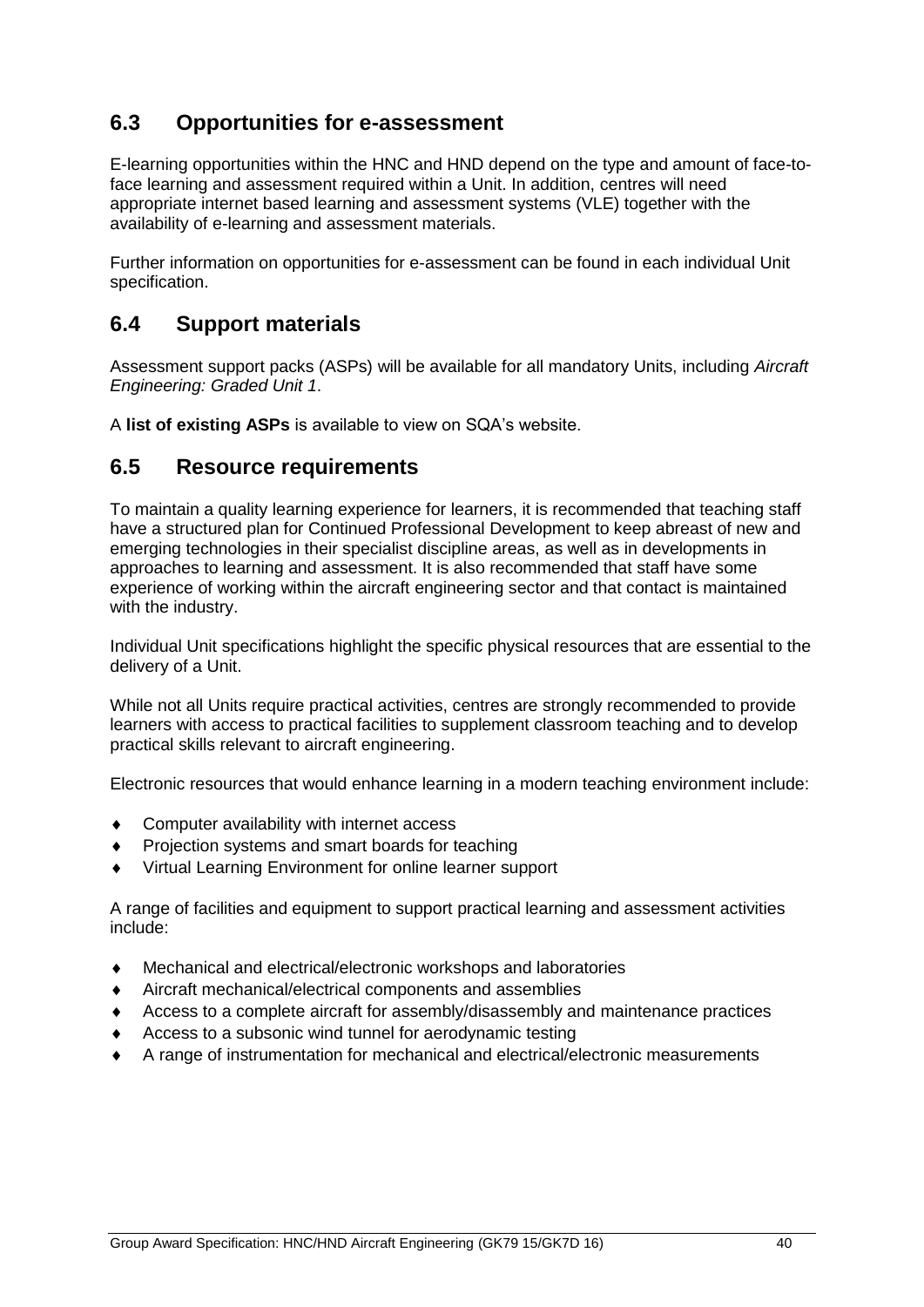### <span id="page-41-0"></span>**6.3 Opportunities for e-assessment**

E-learning opportunities within the HNC and HND depend on the type and amount of face-toface learning and assessment required within a Unit. In addition, centres will need appropriate internet based learning and assessment systems (VLE) together with the availability of e-learning and assessment materials.

Further information on opportunities for e-assessment can be found in each individual Unit specification.

### <span id="page-41-1"></span>**6.4 Support materials**

Assessment support packs (ASPs) will be available for all mandatory Units, including *Aircraft Engineering: Graded Unit 1*.

A **[list of existing ASPs](http://www.sqa.org.uk/sqa/46233.2769.html)** is available to view on SQA's website.

### <span id="page-41-2"></span>**6.5 Resource requirements**

To maintain a quality learning experience for learners, it is recommended that teaching staff have a structured plan for Continued Professional Development to keep abreast of new and emerging technologies in their specialist discipline areas, as well as in developments in approaches to learning and assessment. It is also recommended that staff have some experience of working within the aircraft engineering sector and that contact is maintained with the industry.

Individual Unit specifications highlight the specific physical resources that are essential to the delivery of a Unit.

While not all Units require practical activities, centres are strongly recommended to provide learners with access to practical facilities to supplement classroom teaching and to develop practical skills relevant to aircraft engineering.

Electronic resources that would enhance learning in a modern teaching environment include:

- Computer availability with internet access
- Projection systems and smart boards for teaching
- Virtual Learning Environment for online learner support

A range of facilities and equipment to support practical learning and assessment activities include:

- Mechanical and electrical/electronic workshops and laboratories
- Aircraft mechanical/electrical components and assemblies
- Access to a complete aircraft for assembly/disassembly and maintenance practices
- Access to a subsonic wind tunnel for aerodynamic testing
- A range of instrumentation for mechanical and electrical/electronic measurements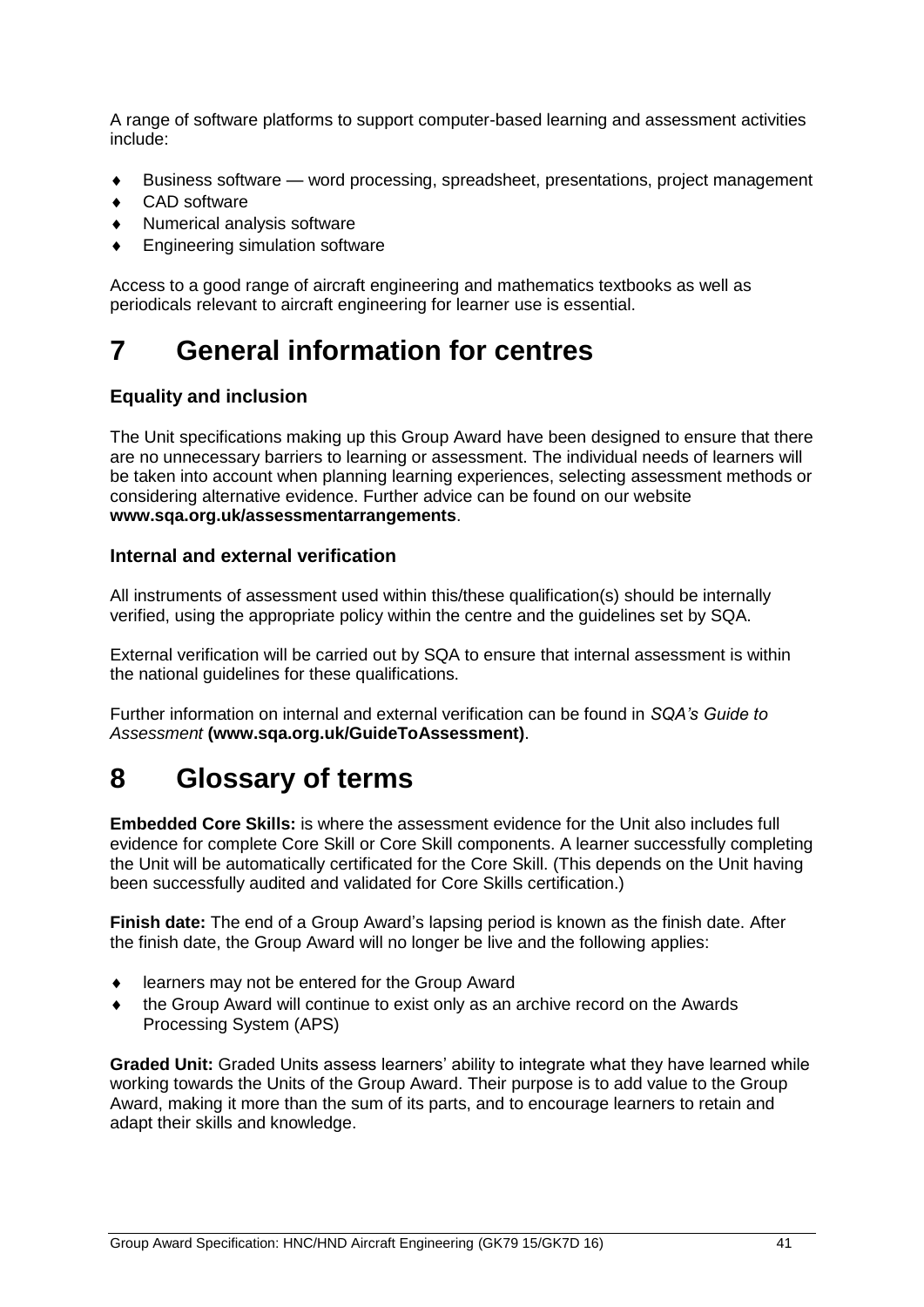A range of software platforms to support computer-based learning and assessment activities include:

- Business software word processing, spreadsheet, presentations, project management
- ◆ CAD software
- Numerical analysis software
- Engineering simulation software

Access to a good range of aircraft engineering and mathematics textbooks as well as periodicals relevant to aircraft engineering for learner use is essential.

# <span id="page-42-0"></span>**7 General information for centres**

#### **Equality and inclusion**

The Unit specifications making up this Group Award have been designed to ensure that there are no unnecessary barriers to learning or assessment. The individual needs of learners will be taken into account when planning learning experiences, selecting assessment methods or considering alternative evidence. Further advice can be found on our website **[www.sqa.org.uk/assessmentarrangements](http://www.sqa.org.uk/sqa/14977.html)**.

#### **Internal and external verification**

All instruments of assessment used within this/these qualification(s) should be internally verified, using the appropriate policy within the centre and the guidelines set by SQA.

External verification will be carried out by SQA to ensure that internal assessment is within the national guidelines for these qualifications.

Further information on internal and external verification can be found in *SQA's Guide to Assessment* **[\(www.sqa.org.uk/GuideToAssessment\)](http://www.sqa.org.uk/sqa/files_ccc/GuideToAssessment.pdf)**.

# <span id="page-42-1"></span>**8 Glossary of terms**

**Embedded Core Skills:** is where the assessment evidence for the Unit also includes full evidence for complete Core Skill or Core Skill components. A learner successfully completing the Unit will be automatically certificated for the Core Skill. (This depends on the Unit having been successfully audited and validated for Core Skills certification.)

**Finish date:** The end of a Group Award's lapsing period is known as the finish date. After the finish date, the Group Award will no longer be live and the following applies:

- learners may not be entered for the Group Award
- the Group Award will continue to exist only as an archive record on the Awards Processing System (APS)

**Graded Unit:** Graded Units assess learners' ability to integrate what they have learned while working towards the Units of the Group Award. Their purpose is to add value to the Group Award, making it more than the sum of its parts, and to encourage learners to retain and adapt their skills and knowledge.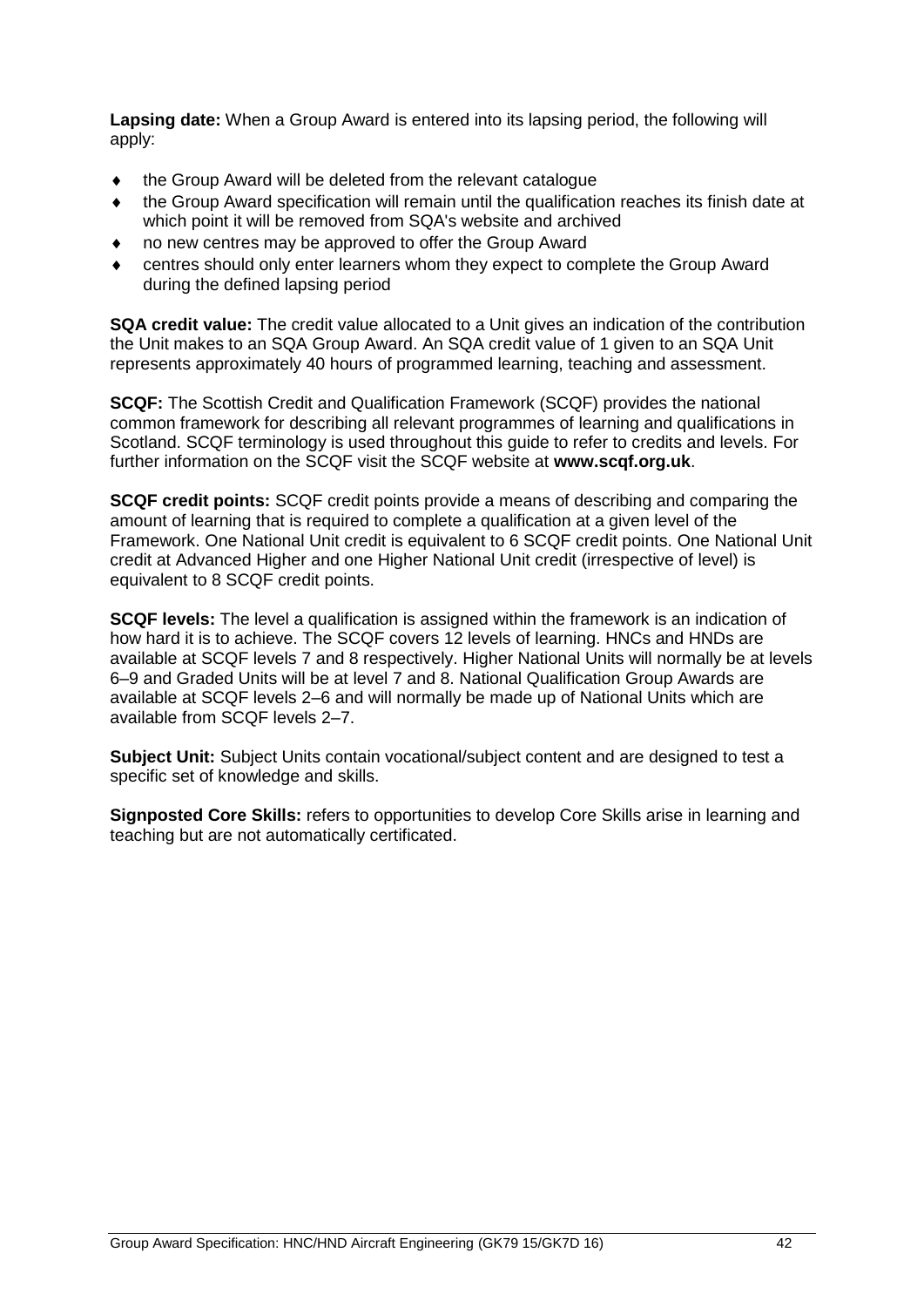**Lapsing date:** When a Group Award is entered into its lapsing period, the following will apply:

- the Group Award will be deleted from the relevant catalogue
- the Group Award specification will remain until the qualification reaches its finish date at which point it will be removed from SQA's website and archived
- no new centres may be approved to offer the Group Award
- centres should only enter learners whom they expect to complete the Group Award during the defined lapsing period

**SQA credit value:** The credit value allocated to a Unit gives an indication of the contribution the Unit makes to an SQA Group Award. An SQA credit value of 1 given to an SQA Unit represents approximately 40 hours of programmed learning, teaching and assessment.

**SCQF:** The Scottish Credit and Qualification Framework (SCQF) provides the national common framework for describing all relevant programmes of learning and qualifications in Scotland. SCQF terminology is used throughout this guide to refer to credits and levels. For further information on the SCQF visit the SCQF website at **[www.scqf.org.uk](http://www.scqf.org.uk/)**.

**SCQF credit points:** SCQF credit points provide a means of describing and comparing the amount of learning that is required to complete a qualification at a given level of the Framework. One National Unit credit is equivalent to 6 SCQF credit points. One National Unit credit at Advanced Higher and one Higher National Unit credit (irrespective of level) is equivalent to 8 SCQF credit points.

**SCQF levels:** The level a qualification is assigned within the framework is an indication of how hard it is to achieve. The SCQF covers 12 levels of learning. HNCs and HNDs are available at SCQF levels 7 and 8 respectively. Higher National Units will normally be at levels 6–9 and Graded Units will be at level 7 and 8. National Qualification Group Awards are available at SCQF levels 2–6 and will normally be made up of National Units which are available from SCQF levels 2–7.

**Subject Unit:** Subject Units contain vocational/subject content and are designed to test a specific set of knowledge and skills.

**Signposted Core Skills:** refers to opportunities to develop Core Skills arise in learning and teaching but are not automatically certificated.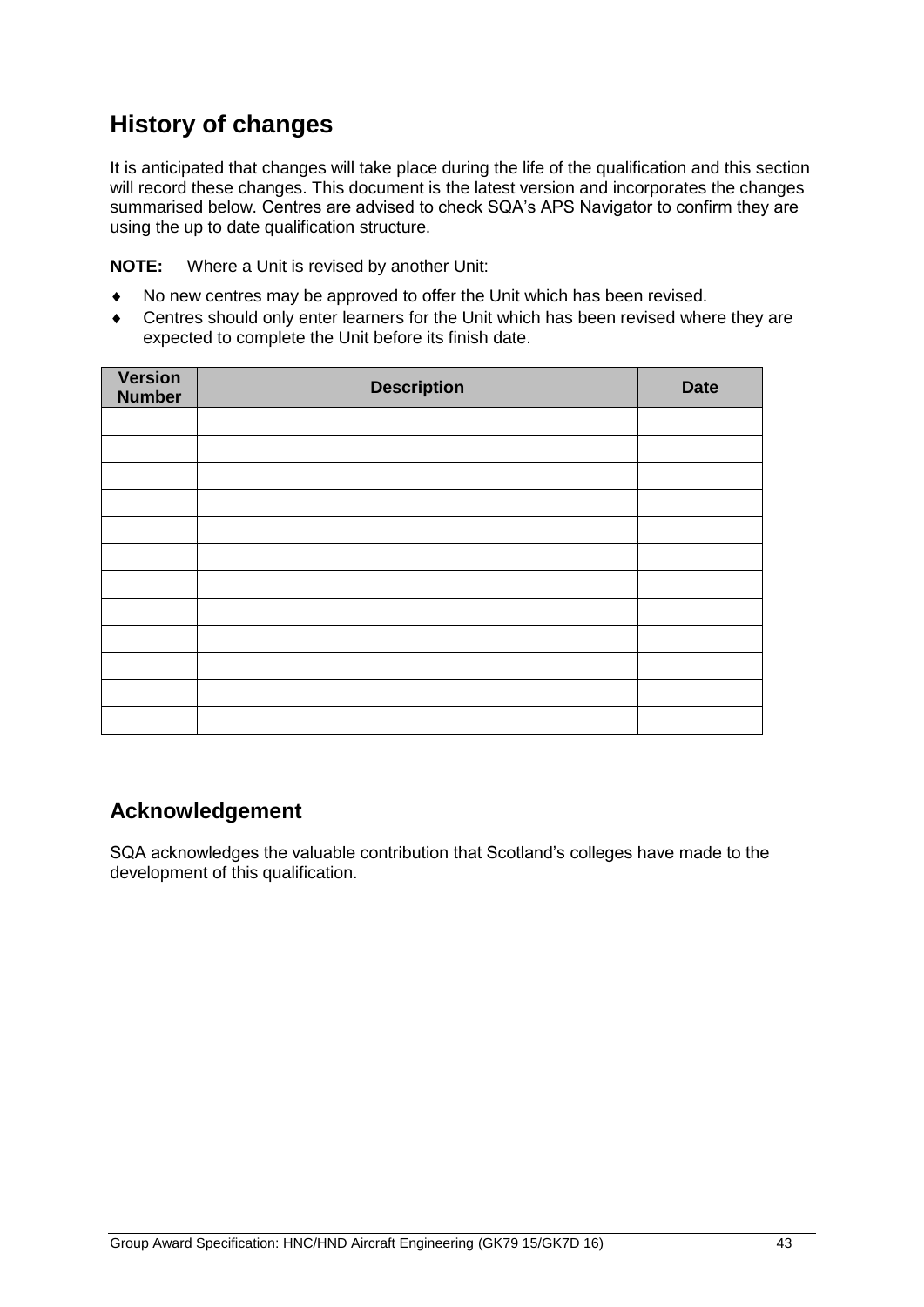# **History of changes**

It is anticipated that changes will take place during the life of the qualification and this section will record these changes. This document is the latest version and incorporates the changes summarised below. Centres are advised to check SQA's APS Navigator to confirm they are using the up to date qualification structure.

**NOTE:** Where a Unit is revised by another Unit:

- No new centres may be approved to offer the Unit which has been revised.
- Centres should only enter learners for the Unit which has been revised where they are expected to complete the Unit before its finish date.

| Version<br><b>Number</b> | <b>Description</b> | <b>Date</b> |
|--------------------------|--------------------|-------------|
|                          |                    |             |
|                          |                    |             |
|                          |                    |             |
|                          |                    |             |
|                          |                    |             |
|                          |                    |             |
|                          |                    |             |
|                          |                    |             |
|                          |                    |             |
|                          |                    |             |
|                          |                    |             |
|                          |                    |             |

### **Acknowledgement**

SQA acknowledges the valuable contribution that Scotland's colleges have made to the development of this qualification.